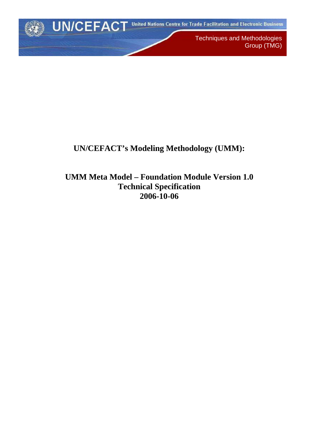

Techniques and Methodologies Group (TMG)

# **UN/CEFACT's Modeling Methodology (UMM):**

**UMM Meta Model – Foundation Module Version 1.0 Technical Specification 2006-10-06**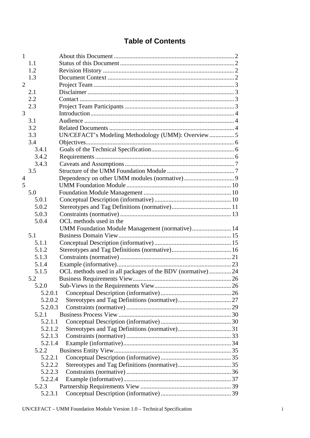# **Table of Contents**

| $\mathbf{1}$   |         |                                                           |  |
|----------------|---------|-----------------------------------------------------------|--|
|                | 1.1     |                                                           |  |
|                | 1.2     |                                                           |  |
|                | 1.3     |                                                           |  |
| $\overline{2}$ |         |                                                           |  |
|                | 2.1     |                                                           |  |
|                | 2.2     |                                                           |  |
|                | 2.3     |                                                           |  |
| 3              |         |                                                           |  |
|                | 3.1     |                                                           |  |
|                | 3.2     |                                                           |  |
|                | 3.3     | UN/CEFACT's Modeling Methodology (UMM): Overview 5        |  |
|                | 3.4     |                                                           |  |
|                | 3.4.1   |                                                           |  |
|                | 3.4.2   |                                                           |  |
|                | 3.4.3   |                                                           |  |
|                | 3.5     |                                                           |  |
| $\overline{4}$ |         |                                                           |  |
| 5              |         |                                                           |  |
|                | 5.0     |                                                           |  |
|                | 5.0.1   |                                                           |  |
|                | 5.0.2   |                                                           |  |
|                | 5.0.3   |                                                           |  |
|                | 5.0.4   | OCL methods used in the                                   |  |
|                |         |                                                           |  |
|                | 5.1     |                                                           |  |
|                | 5.1.1   |                                                           |  |
|                | 5.1.2   |                                                           |  |
|                | 5.1.3   |                                                           |  |
|                | 5.1.4   |                                                           |  |
|                | 5.1.5   | OCL methods used in all packages of the BDV (normative)24 |  |
|                | 5.2     |                                                           |  |
|                | 5.2.0   |                                                           |  |
|                | 5.2.0.1 |                                                           |  |
|                | 5.2.0.2 |                                                           |  |
|                | 5.2.0.3 |                                                           |  |
|                | 5.2.1   |                                                           |  |
|                | 5.2.1.1 |                                                           |  |
|                | 5.2.1.2 |                                                           |  |
|                | 5.2.1.3 |                                                           |  |
|                | 5.2.1.4 |                                                           |  |
|                | 5.2.2   |                                                           |  |
|                | 5.2.2.1 |                                                           |  |
|                | 5.2.2.2 |                                                           |  |
|                | 5.2.2.3 |                                                           |  |
|                | 5.2.2.4 |                                                           |  |
|                | 5.2.3   |                                                           |  |
|                | 5.2.3.1 |                                                           |  |
|                |         |                                                           |  |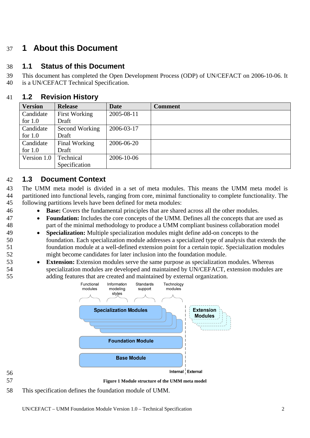# <span id="page-3-0"></span>37 **1 About this Document**

#### 38 **1.1 Status of this Document**

39 40 This document has completed the Open Development Process (ODP) of UN/CEFACT on 2006-10-06. It is a UN/CEFACT Technical Specification.

#### 41 **1.2 Revision History**

| <b>Version</b> | <b>Release</b>       | <b>Date</b> | <b>Comment</b> |
|----------------|----------------------|-------------|----------------|
| Candidate      | <b>First Working</b> | 2005-08-11  |                |
| for $1.0$      | Draft                |             |                |
| Candidate      | Second Working       | 2006-03-17  |                |
| for $1.0$      | Draft                |             |                |
| Candidate      | Final Working        | 2006-06-20  |                |
| for $1.0$      | Draft                |             |                |
| Version 1.0    | Technical            | 2006-10-06  |                |
|                | Specification        |             |                |

# 42 **1.3 Document Context**

- 43 44 45 The UMM meta model is divided in a set of meta modules. This means the UMM meta model is partitioned into functional levels, ranging from core, minimal functionality to complete functionality. The following partitions levels have been defined for meta modules:
	- **Base:** Covers the fundamental principles that are shared across all the other modules.
	- **Foundation:** Includes the core concepts of the UMM. Defines all the concepts that are used as part of the minimal methodology to produce a UMM compliant business collaboration model
	- **Specialization:** Multiple specialization modules might define add-on concepts to the foundation. Each specialization module addresses a specialized type of analysis that extends the foundation module at a well-defined extension point for a certain topic. Specialization modules might become candidates for later inclusion into the foundation module.
		- **Extension:** Extension modules serve the same purpose as specialization modules. Whereas specialization modules are developed and maintained by UN/CEFACT, extension modules are adding features that are created and maintained by external organization.



56 57

- **Figure 1 Module structure of the UMM meta model**
- 58 This specification defines the foundation module of UMM.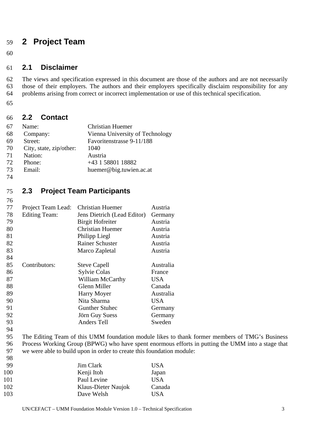# <span id="page-4-0"></span>59 **2 Project Team**

60

#### 61 **2.1 Disclaimer**

62 63 64 The views and specification expressed in this document are those of the authors and are not necessarily those of their employers. The authors and their employers specifically disclaim responsibility for any problems arising from correct or incorrect implementation or use of this technical specification.

65

#### 66 **2.2 Contact**

| 67            | Name:                   | <b>Christian Huemer</b>         |
|---------------|-------------------------|---------------------------------|
| 68            | Company:                | Vienna University of Technology |
| 69            | Street:                 | Favoritenstrasse 9-11/188       |
| 70            | City, state, zip/other: | 1040                            |
| 71            | Nation:                 | Austria                         |
| 72            | Phone:                  | +43 1 58801 18882               |
| 73            | Email:                  | huemer@big.tuwien.ac.at         |
| $\sim$ $\sim$ |                         |                                 |

74

76

#### 75 **2.3 Project Team Participants**

| 77 |                      | <b>Christian Huemer</b>     |            |
|----|----------------------|-----------------------------|------------|
|    | Project Team Lead:   |                             | Austria    |
| 78 | <b>Editing Team:</b> | Jens Dietrich (Lead Editor) | Germany    |
| 79 |                      | <b>Birgit Hofreiter</b>     | Austria    |
| 80 |                      | <b>Christian Huemer</b>     | Austria    |
| 81 |                      | Philipp Liegl               | Austria    |
| 82 |                      | <b>Rainer Schuster</b>      | Austria    |
| 83 |                      | Marco Zapletal              | Austria    |
| 84 |                      |                             |            |
| 85 | Contributors:        | <b>Steve Capell</b>         | Australia  |
| 86 |                      | <b>Sylvie Colas</b>         | France     |
| 87 |                      | <b>William McCarthy</b>     | <b>USA</b> |
| 88 |                      | Glenn Miller                | Canada     |
| 89 |                      | Harry Moyer                 | Australia  |
| 90 |                      | Nita Sharma                 | USA        |
| 91 |                      | <b>Gunther Stuhec</b>       | Germany    |
| 92 |                      | Jörn Guy Suess              | Germany    |
| 93 |                      | <b>Anders Tell</b>          | Sweden     |
| 94 |                      |                             |            |

95 96 97 The Editing Team of this UMM foundation module likes to thank former members of TMG's Business Process Working Group (BPWG) who have spent enormous efforts in putting the UMM into a stage that we were able to build upon in order to create this foundation module:

| 98  |                     |            |
|-----|---------------------|------------|
| 99  | Jim Clark           | <b>USA</b> |
| 100 | Kenji Itoh          | Japan      |
| 101 | Paul Levine         | <b>USA</b> |
| 102 | Klaus-Dieter Naujok | Canada     |
| 103 | Dave Welsh          | USA        |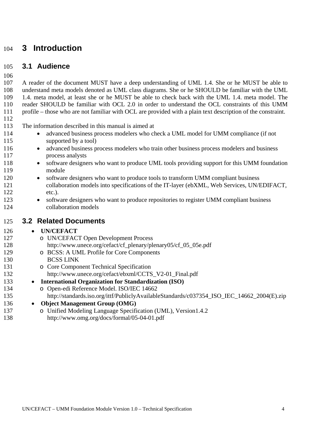# <span id="page-5-0"></span>104 **3 Introduction**

#### 105 **3.1 Audience**

106

107 108 109 110 111 A reader of the document MUST have a deep understanding of UML 1.4. She or he MUST be able to understand meta models denoted as UML class diagrams. She or he SHOULD be familiar with the UML 1.4. meta model, at least she or he MUST be able to check back with the UML 1.4. meta model. The reader SHOULD be familiar with OCL 2.0 in order to understand the OCL constraints of this UMM profile – those who are not familiar with OCL are provided with a plain text description of the constraint.

112

123 124

126

113 The information described in this manual is aimed at

- advanced business process modelers who check a UML model for UMM compliance (if not supported by a tool)
- advanced business process modelers who train other business process modelers and business process analysts
- 118 119 • software designers who want to produce UML tools providing support for this UMM foundation module
- 120 121 122 • software designers who want to produce tools to transform UMM compliant business collaboration models into specifications of the IT-layer (ebXML, Web Services, UN/EDIFACT, etc.).
	- software designers who want to produce repositories to register UMM compliant business collaboration models

#### 125 **3.2 Related Documents**

## • **UN/CEFACT**

- 127 128 o UN/CEFACT Open Development Process
	- http://www.unece.org/cefact/cf\_plenary/plenary05/cf\_05\_05e.pdf
	- o BCSS: A UML Profile for Core Components BCSS LINK
		- o Core Component Technical Specification http://www.unece.org/cefact/ebxml/CCTS\_V2-01\_Final.pdf
	- **International Organization for Standardization (ISO)** 
		- o Open-edi Reference Model. ISO/IEC 14662 http://standards.iso.org/ittf/PubliclyAvailableStandards/c037354\_ISO\_IEC\_14662\_2004(E).zip
- 136 • **Object Management Group (OMG)**
- 137 138 o Unified Modeling Language Specification (UML), Version1.4.2
	- http://www.omg.org/docs/formal/05-04-01.pdf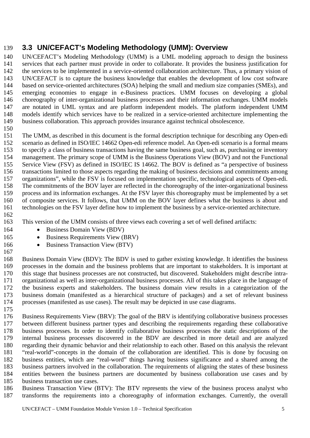# <span id="page-6-0"></span>139 **3.3 UN/CEFACT's Modeling Methodology (UMM): Overview**

140 141 142 143 144 145 146 147 148 149 UN/CEFACT's Modeling Methodology (UMM) is a UML modeling approach to design the business services that each partner must provide in order to collaborate. It provides the business justification for the services to be implemented in a service-oriented collaboration architecture. Thus, a primary vision of UN/CEFACT is to capture the business knowledge that enables the development of low cost software based on service-oriented architectures (SOA) helping the small and medium size companies (SMEs), and emerging economies to engage in e-Business practices. UMM focuses on developing a global choreography of inter-organizational business processes and their information exchanges. UMM models are notated in UML syntax and are platform independent models. The platform independent UMM models identify which services have to be realized in a service-oriented architecture implementing the business collaboration. This approach provides insurance against technical obsolescence.

150

151 152 153 154 155 156 157 158 159 160 161 The UMM, as described in this document is the formal description technique for describing any Open-edi scenario as defined in ISO/IEC 14662 Open-edi reference model. An Open-edi scenario is a formal means to specify a class of business transactions having the same business goal, such as, purchasing or inventory management. The primary scope of UMM is the Business Operations View (BOV) and not the Functional Service View (FSV) as defined in ISO/IEC IS 14662. The BOV is defined as "a perspective of business transactions limited to those aspects regarding the making of business decisions and commitments among organizations", while the FSV is focused on implementation specific, technological aspects of Open-edi. The commitments of the BOV layer are reflected in the choreography of the inter-organizational business process and its information exchanges. At the FSV layer this choreography must be implemented by a set of composite services. It follows, that UMM on the BOV layer defines what the business is about and technologies on the FSV layer define how to implement the business by a service-oriented architecture.

162

163 This version of the UMM consists of three views each covering a set of well defined artifacts:

- Business Domain View (BDV)
- Business Requirements View (BRV)
- Business Transaction View (BTV)

168 169 170 171 172 173 174 175 Business Domain View (BDV): The BDV is used to gather existing knowledge. It identifies the business processes in the domain and the business problems that are important to stakeholders. It is important at this stage that business processes are not constructed, but discovered. Stakeholders might describe intraorganizational as well as inter-organizational business processes. All of this takes place in the language of the business experts and stakeholders. The business domain view results in a categorization of the business domain (manifested as a hierarchical structure of packages) and a set of relevant business processes (manifested as use cases). The result may be depicted in use case diagrams.

176 177 178 179 180 181 182 183 184 185 Business Requirements View (BRV): The goal of the BRV is identifying collaborative business processes between different business partner types and describing the requirements regarding these collaborative business processes. In order to identify collaborative business processes the static descriptions of the internal business processes discovered in the BDV are described in more detail and are analyzed regarding their dynamic behavior and their relationship to each other. Based on this analysis the relevant "real-world"-concepts in the domain of the collaboration are identified. This is done by focusing on business entities, which are "real-word" things having business significance and a shared among the business partners involved in the collaboration. The requirements of aligning the states of these business entities between the business partners are documented by business collaboration use cases and by business transaction use cases.

186 187 Business Transaction View (BTV): The BTV represents the view of the business process analyst who transforms the requirements into a choreography of information exchanges. Currently, the overall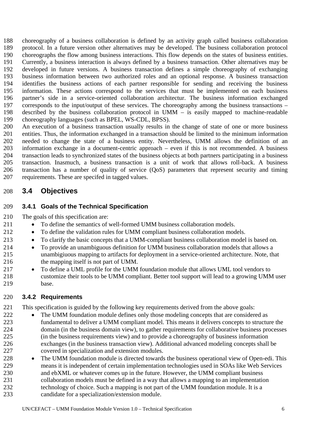<span id="page-7-0"></span>188 189 190 191 192 193 194 195 196 197 198 199 choreography of a business collaboration is defined by an activity graph called business collaboration protocol. In a future version other alternatives may be developed. The business collaboration protocol choreographs the flow among business interactions. This flow depends on the states of business entities. Currently, a business interaction is always defined by a business transaction. Other alternatives may be developed in future versions. A business transaction defines a simple choreography of exchanging business information between two authorized roles and an optional response. A business transaction identifies the business actions of each partner responsible for sending and receiving the business information. These actions correspond to the services that must be implemented on each business partner's side in a service-oriented collaboration architectur. The business information exchanged corresponds to the input/output of these services. The choreography among the business transactions – described by the business collaboration protocol in UMM – is easily mapped to machine-readable choreography languages (such as BPEL, WS-CDL, BPSS).

200 201 202 203 204 205 206 207 An execution of a business transaction usually results in the change of state of one or more business entities. Thus, the information exchanged in a transaction should be limited to the minimum information needed to change the state of a business entity. Nevertheless, UMM allows the definition of an information exchange in a document-centric approach – even if this is not recommended. A business transaction leads to synchronized states of the business objects at both partners participating in a business transaction. Inasmuch, a business transaction is a unit of work that allows roll-back. A business transaction has a number of quality of service (QoS) parameters that represent security and timing requirements. These are specifed in tagged values.

#### 208 **3.4 Objectives**

211 212

#### 209 **3.4.1 Goals of the Technical Specification**

210 The goals of this specification are:

- To define the semantics of well-formed UMM business collaboration models.
	- To define the validation rules for UMM compliant business collaboration models.
- 213 • To clarify the basic concepts that a UMM-compliant business collaboration model is based on.
- 214 215 216 • To provide an unambiguous definition for UMM business collaboration models that allows a unambigiuous mapping to artifacts for deployment in a service-oriented architecture. Note, that the mapping itself is not part of UMM.
- 217 218 219 • To define a UML profile for the UMM foundation module that allows UML tool vendors to customize their tools to be UMM compliant. Better tool support will lead to a growing UMM user base.

#### 220 **3.4.2 Requirements**

221 This specification is guided by the following key requirements derived from the above goals:

- 222 223 224 225 226 227 • The UMM foundation module defines only those modeling concepts that are considered as fundamental to deliver a UMM compliant model. This means it delivers concepts to structure the domain (in the business domain view), to gather requirements for collaborative business processes (in the business requirements view) and to provide a choreography of business information exchanges (in the business transaction view). Additional advanced modeling concepts shall be covered in specialization and extension modules.
- 228 229 230 231 232 • The UMM foundation module is directed towards the business operational view of Open-edi. This means it is independent of certain implementation technologies used in SOAs like Web Services and ebXML or whatever comes up in the future. However, the UMM compliant business collaboration models must be defined in a way that allows a mapping to an implementation technology of choice. Such a mapping is not part of the UMM foundation module. It is a
- 233 candidate for a specialization/extension module.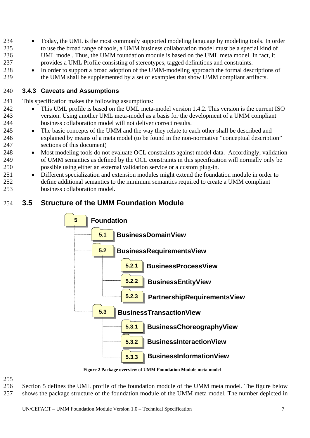- <span id="page-8-0"></span>234 235 236 237 • Today, the UML is the most commonly supported modeling language by modeling tools. In order to use the broad range of tools, a UMM business collaboration model must be a special kind of UML model. Thus, the UMM foundation module is based on the UML meta model. In fact, it provides a UML Profile consisting of stereotypes, tagged definitions and constraints.
- 238 239 • In order to support a broad adoption of the UMM-modeling approach the formal descriptions of the UMM shall be supplemented by a set of examples that show UMM compliant artifacts.

#### 240 **3.4.3 Caveats and Assumptions**

241 This specification makes the following assumptions:

- This UML profile is based on the UML meta-model version 1.4.2. This version is the current ISO version. Using another UML meta-model as a basis for the development of a UMM compliant business collaboration model will not deliver correct results.
- The basic concepts of the UMM and the way they relate to each other shall be described and explained by means of a meta model (to be found in the non-normative "conceptual description" sections of this document)
- 248 249 250 • Most modeling tools do not evaluate OCL constraints against model data. Accordingly, validation of UMM semantics as defined by the OCL constraints in this specification will normally only be possible using either an external validation service or a custom plug-in.
- 251 252 253 • Different specialization and extension modules might extend the foundation module in order to define additional semantics to the minimum semantics required to create a UMM compliant business collaboration model.

#### 254 **3.5 Structure of the UMM Foundation Module**



**Figure 2 Package overview of UMM Foundation Module meta model** 

## 255

256 Section 5 defines the UML profile of the foundation module of the UMM meta model. The figure below

257 shows the package structure of the foundation module of the UMM meta model. The number depicted in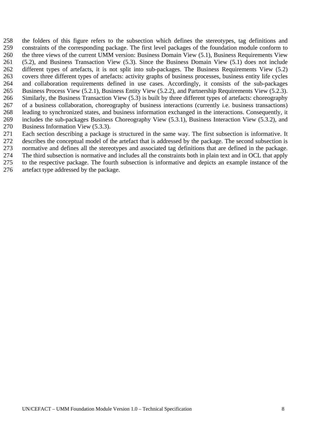- 258 259 260 261 262 263 264 265 266 267 268 269 270 the folders of this figure refers to the subsection which defines the stereotypes, tag definitions and constraints of the corresponding package. The first level packages of the foundation module conform to the three views of the current UMM version: Business Domain View (5.1), Business Requirements View (5.2), and Business Transaction View (5.3). Since the Business Domain View (5.1) does not include different types of artefacts, it is not split into sub-packages. The Business Requirements View (5.2) covers three different types of artefacts: activity graphs of business processes, business entity life cycles and collaboration requirements defined in use cases. Accordingly, it consists of the sub-packages Business Process View (5.2.1), Business Entity View (5.2.2), and Partnership Requirements View (5.2.3). Similarly, the Business Transaction View (5.3) is built by three different types of artefacts: choreography of a business collaboration, choreography of business interactions (currently i.e. business transactions) leading to synchronized states, and business information exchanged in the interactions. Consequently, it includes the sub-packages Business Choreography View (5.3.1), Business Interaction View (5.3.2), and Business Information View (5.3.3).
- 271 Each section describing a package is structured in the same way. The first subsection is informative. It
- 272 describes the conceptual model of the artefact that is addressed by the package. The second subsection is
- 273 normative and defines all the stereotypes and associated tag definitions that are defined in the package.
- 274 275 The third subsection is normative and includes all the constraints both in plain text and in OCL that apply to the respective package. The fourth subsection is informative and depicts an example instance of the
- 276 artefact type addressed by the package.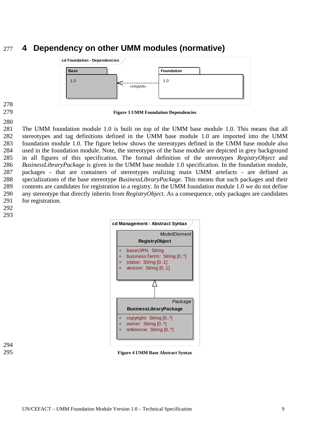# <span id="page-10-0"></span>277 **4 Dependency on other UMM modules (normative)**



278 279

280

**Figure 3 UMM Foundation Dependencies** 

281 282 283 284 285 286 287 288 289 290 291 The UMM foundation module 1.0 is built on top of the UMM base module 1.0. This means that all stereotypes and tag definitions defined in the UMM base module 1.0 are imported into the UMM foundation module 1.0. The figure below shows the stereotypes defined in the UMM base module also used in the foundation module. Note, the stereotypes of the base module are depicted in grey background in all figures of this specification. The formal definition of the stereotypes *RegistryObject* and *BusinessLibraryPackage* is given in the UMM base module 1.0 specification. In the foundation module, packages - that are containers of stereotypes realizing main UMM artefacts - are defined as specializations of the base stereotype *BusinessLibraryPackage*. This means that such packages and their contents are candidates for registration in a registry. In the UMM foundation module 1.0 we do not define any stereotype that directly inherits from *RegistryObject*. As a consequence, only packages are candidates for registration.



294

295 **Figure 4 UMM Base Abstract Syntax**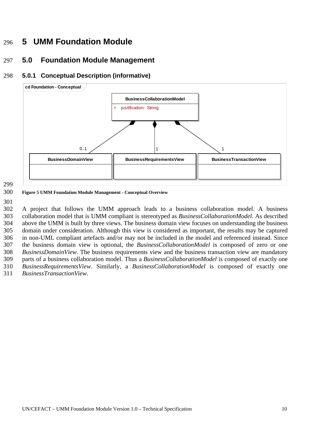# <span id="page-11-0"></span>296 **5 UMM Foundation Module**

#### 297 **5.0 Foundation Module Management**

#### 298 **5.0.1 Conceptual Description (informative)**



299

300 **Figure 5 UMM Foundation Module Management - Conceptual Overview** 

301

302 303 304 305 306 307 308 309 310 311 A project that follows the UMM approach leads to a business collaboration model. A business collaboration model that is UMM compliant is stereotyped as *BusinessCollaborationModel*. As described above the UMM is built by three views. The business domain view focuses on understanding the business domain under consideration. Although this view is considered as important, the results may be captured in non-UML compliant artefacts and/or may not be included in the model and referenced instead. Since the business domain view is optional, the *BusinessCollaborationModel* is composed of zero or one *BusinessDomainView*. The business requirements view and the business transaction view are mandatory parts of a business collaboration model. Thus a *BusinessCollaborationModel* is composed of exactly one *BusinessRequirementsView*. Similarly, a *BusinessCollaborationModel* is composed of exactly one *BusinessTransactionView*.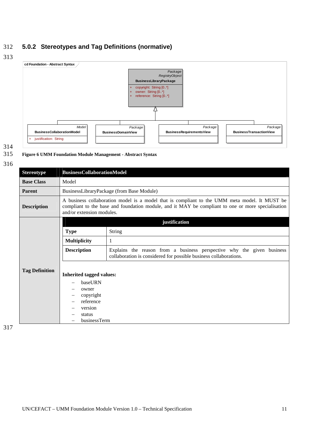## <span id="page-12-0"></span>312 **5.0.2 Stereotypes and Tag Definitions (normative)**

313



## 314

#### 315 **Figure 6 UMM Foundation Module Management - Abstract Syntax**

316

| <b>Stereotype</b>     | <b>BusinessCollaborationModel</b>                                                                                                                                                                                                |                                                                                                                                             |  |  |
|-----------------------|----------------------------------------------------------------------------------------------------------------------------------------------------------------------------------------------------------------------------------|---------------------------------------------------------------------------------------------------------------------------------------------|--|--|
| <b>Base Class</b>     | Model                                                                                                                                                                                                                            |                                                                                                                                             |  |  |
| <b>Parent</b>         | BusinessLibraryPackage (from Base Module)                                                                                                                                                                                        |                                                                                                                                             |  |  |
| <b>Description</b>    | A business collaboration model is a model that is compliant to the UMM meta model. It MUST be<br>compliant to the base and foundation module, and it MAY be compliant to one or more specialisation<br>and/or extension modules. |                                                                                                                                             |  |  |
|                       |                                                                                                                                                                                                                                  | justification                                                                                                                               |  |  |
|                       | <b>Type</b>                                                                                                                                                                                                                      | <b>String</b>                                                                                                                               |  |  |
|                       | <b>Multiplicity</b>                                                                                                                                                                                                              | 1                                                                                                                                           |  |  |
|                       | <b>Description</b>                                                                                                                                                                                                               | Explains the reason from a business perspective why the given business<br>collaboration is considered for possible business collaborations. |  |  |
| <b>Tag Definition</b> | <b>Inherited tagged values:</b><br>baseURN<br>owner<br>copyright<br>reference<br>version<br>status<br>businessTerm                                                                                                               |                                                                                                                                             |  |  |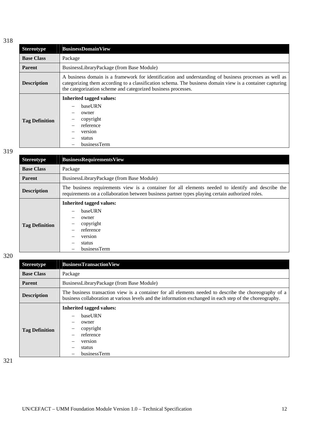| <b>Stereotype</b>     | <b>BusinessDomainView</b>                                                                                                                                                                                                                                                            |  |  |  |  |
|-----------------------|--------------------------------------------------------------------------------------------------------------------------------------------------------------------------------------------------------------------------------------------------------------------------------------|--|--|--|--|
| <b>Base Class</b>     | Package                                                                                                                                                                                                                                                                              |  |  |  |  |
| <b>Parent</b>         | BusinessLibraryPackage (from Base Module)                                                                                                                                                                                                                                            |  |  |  |  |
| <b>Description</b>    | A business domain is a framework for identification and understanding of business processes as well as<br>categorizing them according to a classification schema. The business domain view is a container capturing<br>the categorization scheme and categorized business processes. |  |  |  |  |
| <b>Tag Definition</b> | <b>Inherited tagged values:</b><br>baseURN<br>owner<br>copyright<br>reference<br>version<br>status<br>businessTerm                                                                                                                                                                   |  |  |  |  |

319

| <b>Stereotype</b>     | <b>BusinessRequirementsView</b>                                                                                                                                                                        |  |  |  |
|-----------------------|--------------------------------------------------------------------------------------------------------------------------------------------------------------------------------------------------------|--|--|--|
| <b>Base Class</b>     | Package                                                                                                                                                                                                |  |  |  |
| <b>Parent</b>         | BusinessLibraryPackage (from Base Module)                                                                                                                                                              |  |  |  |
| <b>Description</b>    | The business requirements view is a container for all elements needed to identify and describe the<br>requirements on a collaboration between business partner types playing certain authorized roles. |  |  |  |
| <b>Tag Definition</b> | Inherited tagged values:<br>baseURN<br>owner<br>copyright<br>reference<br>version<br>status<br>businessTerm                                                                                            |  |  |  |

320

| <b>Stereotype</b>     | <b>BusinessTransactionView</b>                                                                                                                                                                                     |  |  |  |  |
|-----------------------|--------------------------------------------------------------------------------------------------------------------------------------------------------------------------------------------------------------------|--|--|--|--|
| <b>Base Class</b>     | Package                                                                                                                                                                                                            |  |  |  |  |
| <b>Parent</b>         | BusinessLibraryPackage (from Base Module)                                                                                                                                                                          |  |  |  |  |
| <b>Description</b>    | The business transaction view is a container for all elements needed to describe the choreography of a<br>business collaboration at various levels and the information exchanged in each step of the choreography. |  |  |  |  |
| <b>Tag Definition</b> | Inherited tagged values:<br>baseURN<br>owner<br>copyright<br>reference<br>version<br>status<br>businessTerm                                                                                                        |  |  |  |  |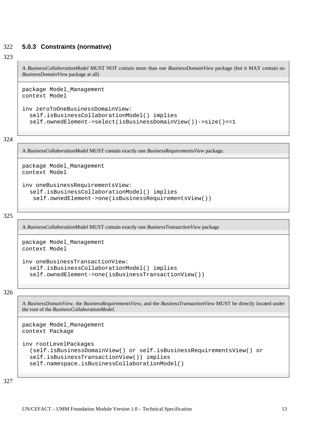### <span id="page-14-0"></span>322 **5.0.3 Constraints (normative)**

### 323

A *BusinessCollaborationModel* MUST NOT contain more than one *BusinessDomainView* package (but it MAY contain no *BusinessDomainView* package at all)

```
package Model_Management 
context Model 
inv zeroToOneBusinessDomainView: 
   self.isBusinessCollaborationModel() implies 
   self.ownedElement->select(isBusinessDomainView())->size()<=1
```
324

A *BusinessCollaborationModel* MUST contain exactly one *BusinessRequirementsView* package.

```
package Model_Management 
context Model 
inv oneBusinessRequirementsView: 
   self.isBusinessCollaborationModel() implies 
    self.ownedElement->one(isBusinessRequirementsView())
```
325

A *BusinessCollaborationModel* MUST contain exactly one *BusinessTransactionView* package

```
package Model_Management 
context Model 
inv oneBusinessTransactionView: 
   self.isBusinessCollaborationModel() implies 
   self.ownedElement->one(isBusinessTransactionView())
```
326

A *BusinessDomainView*, the *BusinessRequirementsView*, and the *BusinessTransactionView* MUST be directly located under the root of the *BusinessCollaborationModel*.

```
package Model_Management 
context Package 
inv rootLevelPackages 
   (self.isBusinessDomainView() or self.isBusinessRequirementsView() or 
   self.isBusinessTransactionView()) implies 
   self.namespace.isBusinessCollaborationModel()
```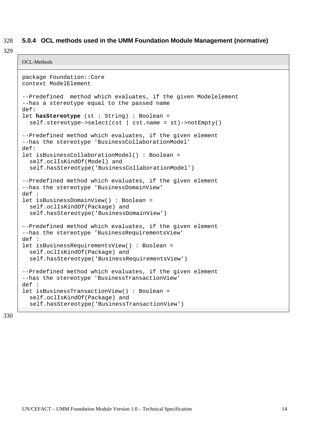### <span id="page-15-0"></span>328 **5.0.4 OCL methods used in the UMM Foundation Module Management (normative)**

329

```
OCL-Methods
```

```
package Foundation::Core 
context ModelElement 
--Predefined method which evaluates, if the given Modelelement 
--has a stereotype equal to the passed name 
def:
let hasStereotype (st : String) : Boolean = 
   self.stereotype->select(cst | cst.name = st)->notEmpty() 
--Predefined method which evaluates, if the given element 
--has the stereotype 'BusinessCollaborationModel' 
def: 
let isBusinessCollaborationModel() : Boolean = 
   self.oclIsKindOf(Model) and 
   self.hasStereotype('BusinessCollaborationModel') 
--Predefined method which evaluates, if the given element 
--has the stereotype 'BusinessDomainView' 
def : 
let isBusinessDomainView() : Boolean = 
   self.oclIsKindOf(Package) and 
   self.hasStereotype('BusinessDomainView') 
--Predefined method which evaluates, if the given element 
--has the stereotype 'BusinessRequirementsView' 
def : 
let isBusinessRequirementsView() : Boolean = 
   self.oclIsKindOf(Package) and 
   self.hasStereotype('BusinessRequirementsView') 
--Predefined method which evaluates, if the given element 
--has the stereotype 'BusinessTransactionView' 
def : 
let isBusinessTransactionView() : Boolean = 
   self.oclIsKindOf(Package) and 
   self.hasStereotype('BusinessTransactionView')
```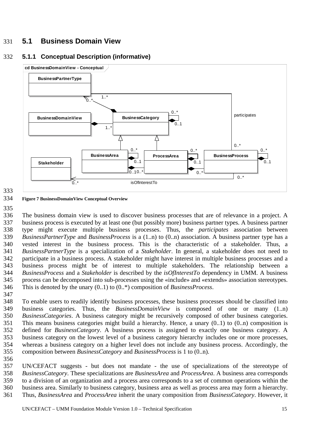# <span id="page-16-0"></span>331 **5.1 Business Domain View**

## 332 **5.1.1 Conceptual Description (informative)**



## 333

#### 334 **Figure 7 BusinessDomainView Conceptual Overview**

335

336 337 338 339 340 341 342 343 344 345 346 347 The business domain view is used to discover business processes that are of relevance in a project. A business process is executed by at least one (but possibly more) business partner types. A business partner type might execute multiple business processes. Thus, the *participates* association between *BusinessPartnerType* and *BusinessProcess* is a (1..n) to (0..n) association. A business partner type has a vested interest in the business process. This is the characteristic of a stakeholder. Thus, a *BusinessPartnerType* is a specialization of a *Stakeholder*. In general, a stakeholder does not need to participate in a business process. A stakeholder might have interest in multiple business processes and a business process might be of interest to multiple stakeholders. The relationship between a *BusinessProcess* and a *Stakeholder* is described by the *isOfInterestTo* dependency in UMM. A business process can be decomposed into sub-processes using the «include» and «extends» association stereotypes. This is denoted by the unary (0..1) to (0..\*) composition of *BusinessProcess*.

348 349 350 351 352 353 354 355 To enable users to readily identify business processes, these business processes should be classified into business categories. Thus, the *BusinessDomainView* is composed of one or many (1..n) *BusinessCategories*. A business category might be recursively composed of other business categories. This means business categories might build a hierarchy. Hence, a unary (0..1) to (0..n) composition is defined for *BusinessCategory*. A business process is assigned to exactly one business category. A business category on the lowest level of a business category hierarchy includes one or more processes, whereas a business category on a higher level does not include any business process. Accordingly, the composition between *BusinessCategory* and *BusinessProcess* is 1 to (0..n).

356

357 358 359 360 361 UN/CEFACT suggests - but does not mandate - the use of specializations of the stereotype of *BusinessCategory*. These specializations are *BusinessArea* and *ProcessArea*. A business area corresponds to a division of an organization and a process area corresponds to a set of common operations within the business area. Similarly to business category, business area as well as process area may form a hierarchy. Thus, *BusinessArea* and *ProcessArea* inherit the unary composition from *BusinessCategory*. However, it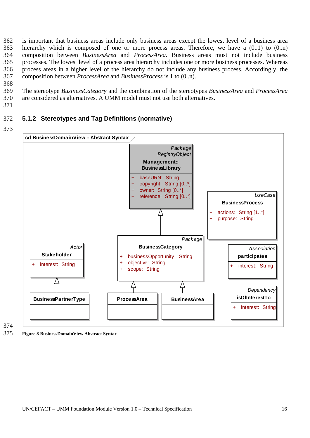<span id="page-17-0"></span>362 363 364 365 366 367 is important that business areas include only business areas except the lowest level of a business area hierarchy which is composed of one or more process areas. Therefore, we have a  $(0..1)$  to  $(0..n)$ composition between *BusinessArea* and *ProcessArea*. Business areas must not include business processes. The lowest level of a process area hierarchy includes one or more business processes. Whereas process areas in a higher level of the hierarchy do not include any business process. Accordingly, the composition between *ProcessArea* and *BusinessProcess* is 1 to (0..n).

368

369 370 The stereotype *BusinessCategory* and the combination of the stereotypes *BusinessArea* and *ProcessArea* are considered as alternatives. A UMM model must not use both alternatives.

371

#### 372 **5.1.2 Stereotypes and Tag Definitions (normative)**



374

375 **Figure 8 BusinessDomainView Abstract Syntax**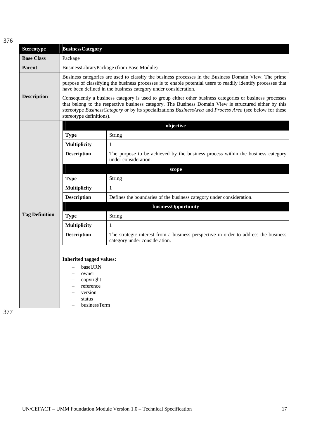| ٠ | I |  |
|---|---|--|

| <b>Stereotype</b>     | <b>BusinessCategory</b>                                                                                                                                                                                                                                                                                                                                                                                                                                                                                                                                                                                                                                  |                                                                                                                      |  |
|-----------------------|----------------------------------------------------------------------------------------------------------------------------------------------------------------------------------------------------------------------------------------------------------------------------------------------------------------------------------------------------------------------------------------------------------------------------------------------------------------------------------------------------------------------------------------------------------------------------------------------------------------------------------------------------------|----------------------------------------------------------------------------------------------------------------------|--|
| <b>Base Class</b>     | Package                                                                                                                                                                                                                                                                                                                                                                                                                                                                                                                                                                                                                                                  |                                                                                                                      |  |
| <b>Parent</b>         |                                                                                                                                                                                                                                                                                                                                                                                                                                                                                                                                                                                                                                                          | BusinessLibraryPackage (from Base Module)                                                                            |  |
| <b>Description</b>    | Business categories are used to classify the business processes in the Business Domain View. The prime<br>purpose of classifying the business processes is to enable potential users to readily identify processes that<br>have been defined in the business category under consideration.<br>Consequently a business category is used to group either other business categories or business processes<br>that belong to the respective business category. The Business Domain View is structured either by this<br>stereotype BusinessCategory or by its specializations BusinessArea and Process Area (see below for these<br>stereotype definitions). |                                                                                                                      |  |
|                       |                                                                                                                                                                                                                                                                                                                                                                                                                                                                                                                                                                                                                                                          | objective                                                                                                            |  |
|                       | <b>Type</b>                                                                                                                                                                                                                                                                                                                                                                                                                                                                                                                                                                                                                                              | String                                                                                                               |  |
|                       | <b>Multiplicity</b>                                                                                                                                                                                                                                                                                                                                                                                                                                                                                                                                                                                                                                      | 1                                                                                                                    |  |
|                       | The purpose to be achieved by the business process within the business category<br><b>Description</b><br>under consideration.                                                                                                                                                                                                                                                                                                                                                                                                                                                                                                                            |                                                                                                                      |  |
|                       |                                                                                                                                                                                                                                                                                                                                                                                                                                                                                                                                                                                                                                                          | scope                                                                                                                |  |
|                       | <b>Type</b><br>String                                                                                                                                                                                                                                                                                                                                                                                                                                                                                                                                                                                                                                    |                                                                                                                      |  |
|                       | <b>Multiplicity</b>                                                                                                                                                                                                                                                                                                                                                                                                                                                                                                                                                                                                                                      | 1                                                                                                                    |  |
|                       | <b>Description</b>                                                                                                                                                                                                                                                                                                                                                                                                                                                                                                                                                                                                                                       | Defines the boundaries of the business category under consideration.                                                 |  |
|                       |                                                                                                                                                                                                                                                                                                                                                                                                                                                                                                                                                                                                                                                          | businessOpportunity                                                                                                  |  |
| <b>Tag Definition</b> | <b>Type</b>                                                                                                                                                                                                                                                                                                                                                                                                                                                                                                                                                                                                                                              | String                                                                                                               |  |
|                       | <b>Multiplicity</b>                                                                                                                                                                                                                                                                                                                                                                                                                                                                                                                                                                                                                                      | 1                                                                                                                    |  |
|                       | <b>Description</b>                                                                                                                                                                                                                                                                                                                                                                                                                                                                                                                                                                                                                                       | The strategic interest from a business perspective in order to address the business<br>category under consideration. |  |
|                       | <b>Inherited tagged values:</b><br>baseURN<br>owner<br>copyright<br>reference<br>version<br>status<br>businessTerm                                                                                                                                                                                                                                                                                                                                                                                                                                                                                                                                       |                                                                                                                      |  |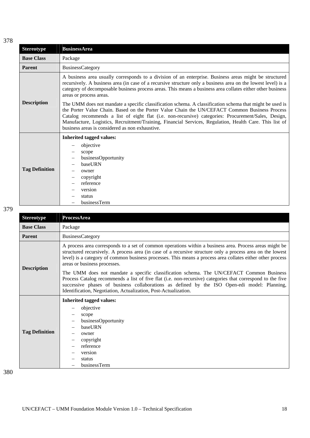| ٠<br>v | ×<br>۰. |
|--------|---------|

| <b>Stereotype</b>     | <b>BusinessArea</b>                                                                                                                                                                                                                                                                                                                                                                                                                                                          |  |
|-----------------------|------------------------------------------------------------------------------------------------------------------------------------------------------------------------------------------------------------------------------------------------------------------------------------------------------------------------------------------------------------------------------------------------------------------------------------------------------------------------------|--|
| <b>Base Class</b>     | Package                                                                                                                                                                                                                                                                                                                                                                                                                                                                      |  |
| <b>Parent</b>         | <b>BusinessCategory</b>                                                                                                                                                                                                                                                                                                                                                                                                                                                      |  |
| <b>Description</b>    | A business area usually corresponds to a division of an enterprise. Business areas might be structured<br>recursively. A business area (in case of a recursive structure only a business area on the lowest level) is a<br>category of decomposable business process areas. This means a business area collates either other business<br>areas or process areas.<br>The UMM does not mandate a specific classification schema. A classification schema that might be used is |  |
|                       | the Porter Value Chain. Based on the Porter Value Chain the UN/CEFACT Common Business Process<br>Catalog recommends a list of eight flat (i.e. non-recursive) categories: Procurement/Sales, Design,<br>Manufacture, Logistics, Recruitment/Training, Financial Services, Regulation, Health Care. This list of<br>business areas is considered as non exhaustive.                                                                                                           |  |
|                       | <b>Inherited tagged values:</b>                                                                                                                                                                                                                                                                                                                                                                                                                                              |  |
|                       | objective                                                                                                                                                                                                                                                                                                                                                                                                                                                                    |  |
|                       | scope                                                                                                                                                                                                                                                                                                                                                                                                                                                                        |  |
| <b>Tag Definition</b> | businessOpportunity<br>baseURN                                                                                                                                                                                                                                                                                                                                                                                                                                               |  |
|                       | owner                                                                                                                                                                                                                                                                                                                                                                                                                                                                        |  |
|                       | copyright                                                                                                                                                                                                                                                                                                                                                                                                                                                                    |  |
|                       | reference                                                                                                                                                                                                                                                                                                                                                                                                                                                                    |  |
|                       | version                                                                                                                                                                                                                                                                                                                                                                                                                                                                      |  |
|                       | status                                                                                                                                                                                                                                                                                                                                                                                                                                                                       |  |
|                       | businessTerm                                                                                                                                                                                                                                                                                                                                                                                                                                                                 |  |

| <b>Stereotype</b>     | ProcessArea                                                                                                                                                                                                                                                                                                                                                                                                                                                                                                                                                                                                                                                                                                                                      |  |
|-----------------------|--------------------------------------------------------------------------------------------------------------------------------------------------------------------------------------------------------------------------------------------------------------------------------------------------------------------------------------------------------------------------------------------------------------------------------------------------------------------------------------------------------------------------------------------------------------------------------------------------------------------------------------------------------------------------------------------------------------------------------------------------|--|
| <b>Base Class</b>     | Package                                                                                                                                                                                                                                                                                                                                                                                                                                                                                                                                                                                                                                                                                                                                          |  |
| <b>Parent</b>         | BusinessCategory                                                                                                                                                                                                                                                                                                                                                                                                                                                                                                                                                                                                                                                                                                                                 |  |
| <b>Description</b>    | A process area corresponds to a set of common operations within a business area. Process areas might be<br>structured recursively. A process area (in case of a recursive structure only a process area on the lowest<br>level) is a category of common business processes. This means a process area collates either other process<br>areas or business processes.<br>The UMM does not mandate a specific classification schema. The UN/CEFACT Common Business<br>Process Catalog recommends a list of five flat (i.e. non-recursive) categories that correspond to the five<br>successive phases of business collaborations as defined by the ISO Open-edi model: Planning,<br>Identification, Negotiation, Actualization, Post-Actualization. |  |
| <b>Tag Definition</b> | <b>Inherited tagged values:</b><br>objective<br>scope<br>businessOpportunity<br>baseURN<br>owner<br>copyright<br>reference<br>version<br>status<br>businessTerm                                                                                                                                                                                                                                                                                                                                                                                                                                                                                                                                                                                  |  |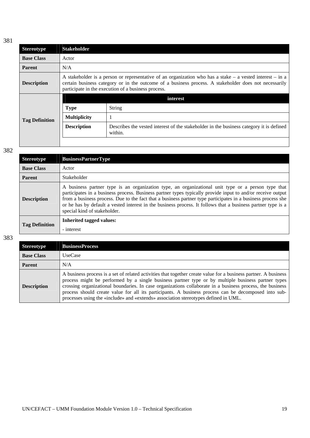| <b>Stereotype</b>     | <b>Stakeholder</b>                                                                                                                                                                                                                                                            |                                                                                                    |
|-----------------------|-------------------------------------------------------------------------------------------------------------------------------------------------------------------------------------------------------------------------------------------------------------------------------|----------------------------------------------------------------------------------------------------|
| <b>Base Class</b>     | Actor                                                                                                                                                                                                                                                                         |                                                                                                    |
| <b>Parent</b>         | N/A                                                                                                                                                                                                                                                                           |                                                                                                    |
| <b>Description</b>    | A stakeholder is a person or representative of an organization who has a stake $-$ a vested interest $-$ in a<br>certain business category or in the outcome of a business process. A stakeholder does not necessarily<br>participate in the execution of a business process. |                                                                                                    |
|                       |                                                                                                                                                                                                                                                                               | interest                                                                                           |
|                       | <b>Type</b>                                                                                                                                                                                                                                                                   | <b>String</b>                                                                                      |
| <b>Tag Definition</b> | <b>Multiplicity</b>                                                                                                                                                                                                                                                           |                                                                                                    |
|                       | <b>Description</b>                                                                                                                                                                                                                                                            | Describes the vested interest of the stakeholder in the business category it is defined<br>within. |
|                       |                                                                                                                                                                                                                                                                               |                                                                                                    |

| <b>Stereotype</b>     | <b>BusinessPartnerType</b>                                                                                                                                                                                                                                                                                                                                                                                                                                                        |
|-----------------------|-----------------------------------------------------------------------------------------------------------------------------------------------------------------------------------------------------------------------------------------------------------------------------------------------------------------------------------------------------------------------------------------------------------------------------------------------------------------------------------|
| <b>Base Class</b>     | Actor                                                                                                                                                                                                                                                                                                                                                                                                                                                                             |
| <b>Parent</b>         | Stakeholder                                                                                                                                                                                                                                                                                                                                                                                                                                                                       |
| <b>Description</b>    | A business partner type is an organization type, an organizational unit type or a person type that<br>participates in a business process. Business partner types typically provide input to and/or receive output<br>from a business process. Due to the fact that a business partner type participates in a business process she<br>or he has by default a vested interest in the business process. It follows that a business partner type is a<br>special kind of stakeholder. |
| <b>Tag Definition</b> | <b>Inherited tagged values:</b><br>- interest                                                                                                                                                                                                                                                                                                                                                                                                                                     |

| <b>Stereotype</b>  | <b>BusinessProcess</b>                                                                                                                                                                                                                                                                                                                                                                                                                                                                                                            |
|--------------------|-----------------------------------------------------------------------------------------------------------------------------------------------------------------------------------------------------------------------------------------------------------------------------------------------------------------------------------------------------------------------------------------------------------------------------------------------------------------------------------------------------------------------------------|
| <b>Base Class</b>  | <b>UseCase</b>                                                                                                                                                                                                                                                                                                                                                                                                                                                                                                                    |
| <b>Parent</b>      | N/A                                                                                                                                                                                                                                                                                                                                                                                                                                                                                                                               |
| <b>Description</b> | A business process is a set of related activities that together create value for a business partner. A business<br>process might be performed by a single business partner type or by multiple business partner types<br>crossing organizational boundaries. In case organizations collaborate in a business process, the business<br>process should create value for all its participants. A business process can be decomposed into sub-<br>processes using the «include» and «extends» association stereotypes defined in UML. |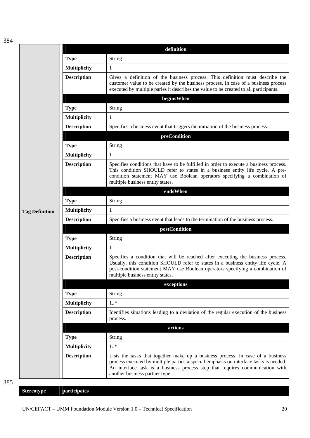|                       |                     | definition                                                                                                                                                                                                                                                                                  |
|-----------------------|---------------------|---------------------------------------------------------------------------------------------------------------------------------------------------------------------------------------------------------------------------------------------------------------------------------------------|
|                       | <b>Type</b>         | String                                                                                                                                                                                                                                                                                      |
|                       | Multiplicity        | 1                                                                                                                                                                                                                                                                                           |
|                       | <b>Description</b>  | Gives a definition of the business process. This definition must describe the<br>customer value to be created by the business process. In case of a business process<br>executed by multiple paries it describes the value to be created to all participants.                               |
|                       |                     | beginsWhen                                                                                                                                                                                                                                                                                  |
|                       | <b>Type</b>         | String                                                                                                                                                                                                                                                                                      |
|                       | Multiplicity        | 1                                                                                                                                                                                                                                                                                           |
|                       | <b>Description</b>  | Specifies a business event that triggers the initiation of the business process.                                                                                                                                                                                                            |
|                       |                     | preCondition                                                                                                                                                                                                                                                                                |
|                       | <b>Type</b>         | String                                                                                                                                                                                                                                                                                      |
|                       | <b>Multiplicity</b> | 1                                                                                                                                                                                                                                                                                           |
|                       | <b>Description</b>  | Specifies conditions that have to be fulfilled in order to execute a business process.<br>This condition SHOULD refer to states in a business entity life cycle. A pre-<br>condition statement MAY use Boolean operators specifying a combination of<br>multiple business entity states.    |
|                       |                     | endsWhen                                                                                                                                                                                                                                                                                    |
|                       | <b>Type</b>         | String                                                                                                                                                                                                                                                                                      |
| <b>Tag Definition</b> | <b>Multiplicity</b> | 1                                                                                                                                                                                                                                                                                           |
|                       | <b>Description</b>  | Specifies a business event that leads to the termination of the business process.                                                                                                                                                                                                           |
|                       |                     | postCondition                                                                                                                                                                                                                                                                               |
|                       | <b>Type</b>         | String                                                                                                                                                                                                                                                                                      |
|                       | <b>Multiplicity</b> | 1                                                                                                                                                                                                                                                                                           |
|                       | <b>Description</b>  | Specifies a condition that will be reached after executing the business process.<br>Usually, this condition SHOULD refer to states in a business entity life cycle. A<br>post-condition statement MAY use Boolean operators specifying a combination of<br>multiple business entity states. |
|                       |                     | exceptions                                                                                                                                                                                                                                                                                  |
|                       | <b>Type</b>         | <b>String</b>                                                                                                                                                                                                                                                                               |
|                       | <b>Multiplicity</b> | $1.$ *                                                                                                                                                                                                                                                                                      |
|                       | <b>Description</b>  | Identifies situations leading to a deviation of the regular execution of the business<br>process.                                                                                                                                                                                           |
|                       |                     | actions                                                                                                                                                                                                                                                                                     |
|                       | <b>Type</b>         | <b>String</b>                                                                                                                                                                                                                                                                               |
|                       | <b>Multiplicity</b> | $1.$ *                                                                                                                                                                                                                                                                                      |
|                       | <b>Description</b>  | Lists the tasks that together make up a business process. In case of a business<br>process executed by multiple parties a special emphasis on interface tasks is needed.<br>An interface task is a business process step that requires communication with<br>another business partner type. |

**Stereotype participates**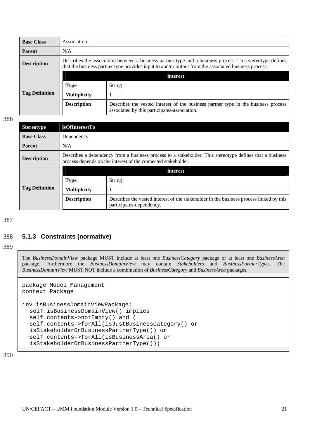<span id="page-22-0"></span>

| <b>Base Class</b>     | Association                                                                                                                                                                                                       |                                                                                                                                    |
|-----------------------|-------------------------------------------------------------------------------------------------------------------------------------------------------------------------------------------------------------------|------------------------------------------------------------------------------------------------------------------------------------|
| <b>Parent</b>         | N/A                                                                                                                                                                                                               |                                                                                                                                    |
| <b>Description</b>    | Describes the association between a business partner type and a business process. This stereotype defines<br>that the business partner type provides input to and/or output from the associated business process. |                                                                                                                                    |
| <b>Tag Definition</b> |                                                                                                                                                                                                                   | interest                                                                                                                           |
|                       | <b>Type</b>                                                                                                                                                                                                       | <b>String</b>                                                                                                                      |
|                       | <b>Multiplicity</b>                                                                                                                                                                                               |                                                                                                                                    |
|                       | <b>Description</b>                                                                                                                                                                                                | Describes the vested interest of the business partner type in the business process<br>associated by this participates-association. |

| <b>Stereotype</b>     | <b>isOfInterestTo</b>                                                                                                                                                     |                                                                                                                     |
|-----------------------|---------------------------------------------------------------------------------------------------------------------------------------------------------------------------|---------------------------------------------------------------------------------------------------------------------|
| <b>Base Class</b>     | Dependency                                                                                                                                                                |                                                                                                                     |
| <b>Parent</b>         | N/A                                                                                                                                                                       |                                                                                                                     |
| <b>Description</b>    | Describes a dependency from a business process to a stakeholder. This stereotype defines that a business<br>process depends on the interest of the connected stakeholder. |                                                                                                                     |
| <b>Tag Definition</b> |                                                                                                                                                                           | interest                                                                                                            |
|                       | <b>Type</b>                                                                                                                                                               | <b>String</b>                                                                                                       |
|                       | <b>Multiplicity</b>                                                                                                                                                       |                                                                                                                     |
|                       | <b>Description</b>                                                                                                                                                        | Describes the vested interest of the stakeholder in the business process linked by this<br>participates-dependency. |

#### 388 **5.1.3 Constraints (normative)**

389

The *BusinessDomainView* package MUST include at least one *BusinessCategory* package or at least one *BusinessArea* package. Furthermore the *BusinessDomainView* may contain *Stakeholders* and *BusinessPartnerTypes*. The *BusinessDomainView* MUST NOT include a combination of *BusinessCategory* and *BusinessArea* packages.

```
package Model_Management 
context Package 
inv isBusinessDomainViewPackage: 
   self.isBusinessDomainView() implies 
   self.contents->notEmpty() and ( 
   self.contents->forAll(isJustBusinessCategory() or 
   isStakeholderOrBusinessPartnerType()) or 
   self.contents->forAll(isBusinessArea() or 
   isStakeholderOrBusinessPartnerType()))
```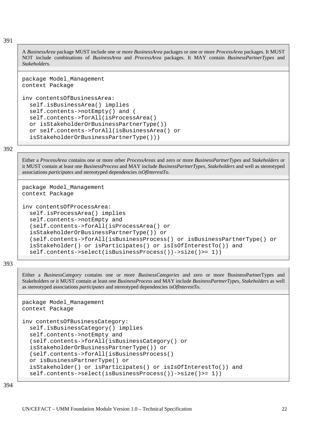A *BusinessArea* package MUST include one or more *BusinessArea* packages or one or more *ProcessArea* packages. It MUST NOT include combinations of *BusinessArea* and *ProcessArea* packages. It MAY contain *BusinessPartnerTypes* and *Stakeholders*.

```
package Model_Management 
context Package
```

```
inv contentsOfBusinessArea: 
   self.isBusinessArea() implies 
   self.contents->notEmpty() and ( 
   self.contents->forAll(isProcessArea() 
   or isStakeholderOrBusinessPartnerType()) 
   or self.contents->forAll(isBusinessArea() or 
   isStakeholderOrBusinessPartnerType()))
```
### 392

Either a *ProcessArea* contains one or more other *ProcessAreas* and zero or more *BusinessPartnerTypes* and *Stakeholders* or it MUST contain at least one *BusinessProcess* and MAY include *BusinessPartnerTypes*, *Stakeholders* and well as stereotyped associations *participates* and stereotyped dependencies *isOfInterestTo*.

```
package Model_Management 
context Package 
inv contentsOfProcessArea: 
   self.isProcessArea() implies 
   self.contents->notEmpty and 
   (self.contents->forAll(isProcessArea() or 
   isStakeholderOrBusinessPartnerType()) or 
   (self.contents->forAll(isBusinessProcess() or isBusinessPartnerType() or 
   isStakeholder() or isParticipates() or isIsOfInterestTo()) and 
   self.contents->select(isBusinessProcess())->size()>= 1))
```
### 393

Either a *BusinessCategory* contains one or more *BusinessCategories* and zero or more BusinessPartnerTypes and Stakeholders or it MUST contain at least one *BusinessProcess* and MAY include *BusinessPartnerTypes*, *Stakeholders* as well as stereotyped associations *participates* and stereotyped dependencies *isOfInterestTo*.

```
package Model_Management 
context Package 
inv contentsOfBusinessCategory: 
   self.isBusinessCategory() implies 
   self.contents->notEmpty and 
   (self.contents->forAll(isBusinessCategory() or 
   isStakeholderOrBusinessPartnerType()) or 
   (self.contents->forAll(isBusinessProcess() 
   or isBusinessPartnerType() or 
   isStakeholder() or isParticipates() or isIsOfInterestTo()) and 
   self.contents->select(isBusinessProcess())->size()>= 1))
```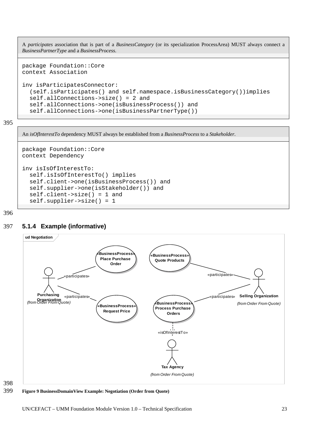<span id="page-24-0"></span>A *participates* association that is part of a *BusinessCategory* (or its specialization ProcessArea) MUST always connect a *BusinessPartnerType* and a *BusinessProcess*.

```
package Foundation::Core 
context Association
```

```
inv isParticipatesConnector: 
   (self.isParticipates() and self.namespace.isBusinessCategory())implies 
   self.allConnections->size() = 2 and 
   self.allConnections->one(isBusinessProcess()) and 
   self.allConnections->one(isBusinessPartnerType())
```

```
395
```
An *isOfInterestTo* dependency MUST always be established from a *BusinessProcess* to a *Stakeholder*.

```
package Foundation::Core 
context Dependency 
inv isIsOfInterestTo: 
   self.isIsOfInterestTo() implies 
   self.client->one(isBusinessProcess()) and 
   self.supplier->one(isStakeholder()) and 
   self.client->size() = 1 and 
   self.supplier->size() = 1
```
396

## 397 **5.1.4 Example (informative)**





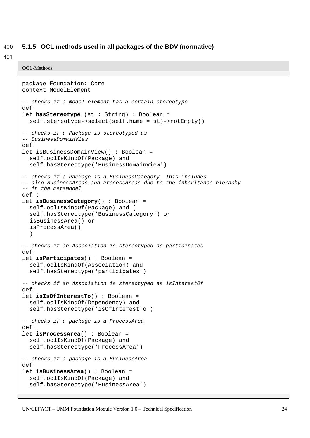### <span id="page-25-0"></span>400 **5.1.5 OCL methods used in all packages of the BDV (normative)**

401

OCL-Methods

```
package Foundation::Core 
context ModelElement 
-- checks if a model element has a certain stereotype 
def: 
let hasStereotype (st : String) : Boolean = 
   self.stereotype->select(self.name = st)->notEmpty() 
-- checks if a Package is stereotyped as 
-- BusinessDomainView 
def: 
let isBusinessDomainView() : Boolean = 
   self.oclIsKindOf(Package) and 
   self.hasStereotype('BusinessDomainView') 
-- checks if a Package is a BusinessCategory. This includes 
-- also BusinessAreas and ProcessAreas due to the inheritance hierachy 
-- in the metamodel 
def : 
let isBusinessCategory() : Boolean = 
   self.oclIsKindOf(Package) and ( 
   self.hasStereotype('BusinessCategory') or 
   isBusinessArea() or 
   isProcessArea() 
   ) 
-- checks if an Association is stereotyped as participates 
def:
let isParticipates() : Boolean = 
   self.oclIsKindOf(Association) and 
   self.hasStereotype('participates') 
-- checks if an Association is stereotyped as isInterestOf 
def: 
let isIsOfInterestTo() : Boolean = 
   self.oclIsKindOf(Dependency) and 
   self.hasStereotype('isOfInterestTo') 
-- checks if a package is a ProcessArea 
def:
let isProcessArea() : Boolean = 
   self.oclIsKindOf(Package) and 
   self.hasStereotype('ProcessArea') 
-- checks if a package is a BusinessArea 
def: 
let isBusinessArea() : Boolean = 
   self.oclIsKindOf(Package) and 
   self.hasStereotype('BusinessArea')
```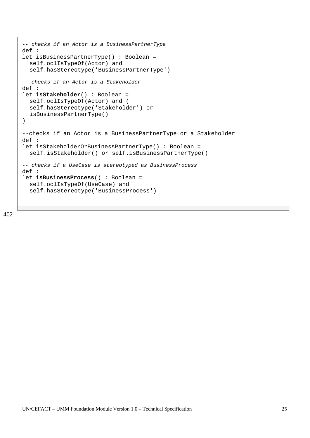```
-- checks if an Actor is a BusinessPartnerType 
def : 
let isBusinessPartnerType() : Boolean = 
   self.oclIsTypeOf(Actor) and 
   self.hasStereotype('BusinessPartnerType') 
-- checks if an Actor is a Stakeholder 
def : 
let isStakeholder() : Boolean = 
   self.oclIsTypeOf(Actor) and ( 
   self.hasStereotype('Stakeholder') or 
   isBusinessPartnerType() 
) 
--checks if an Actor is a BusinessPartnerType or a Stakeholder 
def : 
let isStakeholderOrBusinessPartnerType() : Boolean = 
   self.isStakeholder() or self.isBusinessPartnerType() 
-- checks if a UseCase is stereotyped as BusinessProcess 
def : 
let isBusinessProcess() : Boolean = 
   self.oclIsTypeOf(UseCase) and 
   self.hasStereotype('BusinessProcess')
```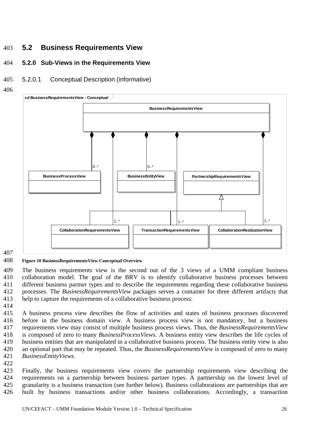# <span id="page-27-0"></span>403 **5.2 Business Requirements View**

#### 404 **5.2.0 Sub-Views in the Requirements View**

#### 405 5.2.0.1 Conceptual Description (informative)

406



# 407

#### 408 **Figure 10 BusinessRequirementsView Conceptual Overview**

409 410 411 412 413 The business requirements view is the second out of the 3 views of a UMM compliant business collaboration model. The goal of the BRV is to identify collaborative business processes between different business partner types and to describe the requirements regarding these collaborative business processes. The *BusinessRequirementsView* packages serves a container for three different artifacts that help to capture the requirements of a collaborative business process:

414

415 416 417 418 419 420 421 A business process view describes the flow of activities and states of business processes discovered before in the business domain view. A business process view is not mandatory, but a business requirements view may consist of multiple business process views. Thus, the *BusinessRequirementsView* is composed of zero to many *BusinessProcessViews*. A business entity view describes the life cycles of business entities that are manipulated in a collaborative business process. The business entity view is also an optional part that may be repeated. Thus, the *BusinessRequirementsView* is composed of zero to many *BusinessEntityViews*.

422

423 424 425 426 Finally, the business requirements view covers the partnership requirements view describing the requirements on a partnership between business partner types. A partnership on the lowest level of granularity is a business transaction (see further below). Business collaborations are partnerships that are built by business transactions and/or other business collaborations. Accordingly, a transaction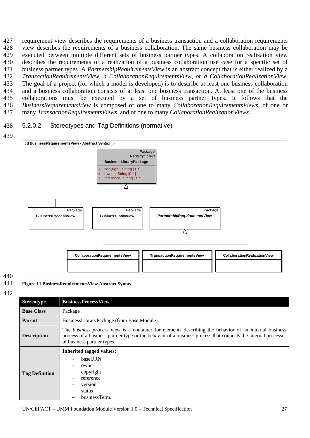<span id="page-28-0"></span>427 428 429 430 431 432 433 434 435 436 437 requirement view describes the requirements of a business transaction and a collaboration requirements view describes the requirements of a business collaboration. The same business collaboration may be executed between multiple different sets of business partner types. A collaboration realization view describes the requirements of a realization of a business collaboration use case for a specific set of business partner types. A *PartnershipRequirementsView* is an abstract concept that is either realized by a *TransactionRequirementsView, a CollaborationRequirementsView, or a CollaborationRealizationView*. The goal of a project (for which a model is developed) is to describe at least one business collaboration and a business collaboration consists of at least one business transaction. At least one of the business collaborations must be executed by a set of business partner types. It follows that the *BusinessRequirementsView* is composed of one to many *CollaborationRequirementsViews*, of one or many *TransactionRequirementsViews,* and of one to many *CollaborationRealizationViews*.

#### 438 5.2.0.2 Stereotypes and Tag Definitions (normative)





## 440

441 **Figure 11 BusinessRequirementsView Abstract Syntax** 

### 442

| <b>Stereotype</b>     | <b>BusinessProcessView</b>                                                                                                                                                                                                                                  |  |
|-----------------------|-------------------------------------------------------------------------------------------------------------------------------------------------------------------------------------------------------------------------------------------------------------|--|
| <b>Base Class</b>     | Package                                                                                                                                                                                                                                                     |  |
| <b>Parent</b>         | BusinessLibraryPackage (from Base Module)                                                                                                                                                                                                                   |  |
| <b>Description</b>    | The <i>business process view</i> is a container for elements describing the behavior of an internal business<br>process of a business partner type or the behavior of a business process that connects the internal processes<br>of business partner types. |  |
| <b>Tag Definition</b> | <b>Inherited tagged values:</b><br>baseURN<br>owner<br>copyright<br>reference<br>version<br>status<br>businessTerm.                                                                                                                                         |  |

UN/CEFACT – UMM Foundation Module Version 1.0 – Technical Specification 27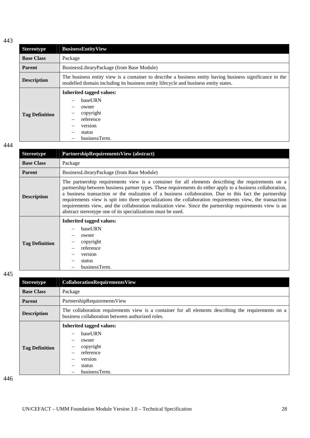| <b>Stereotype</b>     | <b>BusinessEntityView</b>                                                                                                                                                                        |  |
|-----------------------|--------------------------------------------------------------------------------------------------------------------------------------------------------------------------------------------------|--|
| <b>Base Class</b>     | Package                                                                                                                                                                                          |  |
| <b>Parent</b>         | BusinessLibraryPackage (from Base Module)                                                                                                                                                        |  |
| <b>Description</b>    | The business entity view is a container to describe a business entity having business significance in the<br>modelled domain including its business entity lifecycle and business entity states. |  |
| <b>Tag Definition</b> | <b>Inherited tagged values:</b><br>baseURN<br>owner<br>copyright<br>reference<br>version<br>status<br>businessTerm.                                                                              |  |

## 444

| <b>Stereotype</b>     | PartnershipRequirementsView (abstract)                                                                                                                                                                                                                                                                                                                                                                                                                                                                                                                                                                                |
|-----------------------|-----------------------------------------------------------------------------------------------------------------------------------------------------------------------------------------------------------------------------------------------------------------------------------------------------------------------------------------------------------------------------------------------------------------------------------------------------------------------------------------------------------------------------------------------------------------------------------------------------------------------|
| <b>Base Class</b>     | Package                                                                                                                                                                                                                                                                                                                                                                                                                                                                                                                                                                                                               |
| <b>Parent</b>         | BusinessLibraryPackage (from Base Module)                                                                                                                                                                                                                                                                                                                                                                                                                                                                                                                                                                             |
| <b>Description</b>    | The partnership requirements view is a container for all elements describing the requirements on a<br>partnership between business partner types. These requirements do either apply to a business collaboration,<br>a business transaction or the realization of a business collaboration. Due to this fact the partnership<br>requirements view is spit into three specializations the collaboration requirements view, the transaction<br>requirements view, and the collaboration realization view. Since the partnership requirements view is an<br>abstract stereotype one of its specializations must be used. |
| <b>Tag Definition</b> | <b>Inherited tagged values:</b><br>baseURN<br>owner<br>copyright<br>reference<br>version<br>status<br>businessTerm.                                                                                                                                                                                                                                                                                                                                                                                                                                                                                                   |

445

| <b>Stereotype</b>     | <b>CollaborationRequirementsView</b>                                                                                                                     |
|-----------------------|----------------------------------------------------------------------------------------------------------------------------------------------------------|
| <b>Base Class</b>     | Package                                                                                                                                                  |
| <b>Parent</b>         | PartnershipRequirementsView                                                                                                                              |
| <b>Description</b>    | The collaboration requirements view is a container for all elements describing the requirements on a<br>business collaboration between authorized roles. |
| <b>Tag Definition</b> | <b>Inherited tagged values:</b><br>baseURN<br>owner<br>copyright<br>reference<br>version<br>status<br>businessTerm.                                      |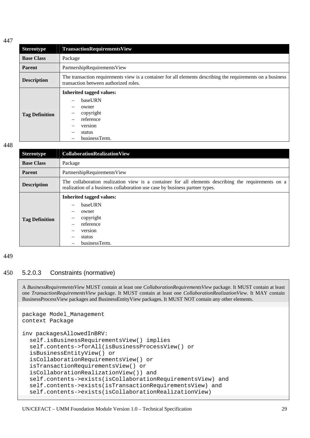<span id="page-30-0"></span>

| <b>Stereotype</b>     | <b>TransactionRequirementsView</b>                                                                                                                   |
|-----------------------|------------------------------------------------------------------------------------------------------------------------------------------------------|
| <b>Base Class</b>     | Package                                                                                                                                              |
| Parent                | PartnershipRequirementsView                                                                                                                          |
| <b>Description</b>    | The transaction requirements view is a container for all elements describing the requirements on a business<br>transaction between authorized roles. |
| <b>Tag Definition</b> | <b>Inherited tagged values:</b><br>baseURN<br>owner<br>copyright<br>reference<br>version<br>status<br>businessTerm.                                  |

### 448

| <b>Stereotype</b>     | <b>CollaborationRealizationView</b>                                                                                                                                                |
|-----------------------|------------------------------------------------------------------------------------------------------------------------------------------------------------------------------------|
| <b>Base Class</b>     | Package                                                                                                                                                                            |
| <b>Parent</b>         | PartnershipRequirementsView                                                                                                                                                        |
| <b>Description</b>    | The collaboration realization view is a container for all elements describing the requirements on a<br>realization of a business collaboration use case by business partner types. |
| <b>Tag Definition</b> | <b>Inherited tagged values:</b><br>baseURN<br>owner<br>copyright<br>reference<br>version<br>status<br>businessTerm.                                                                |

### 449

## 450 5.2.0.3 Constraints (normative)

A *BusinessRequirementsView* MUST contain at least one *CollaborationRequirementsView* package. It MUST contain at least one *TransactionRequirementsView* package. It MUST contain at least one *CollaborationRealizationView*. It MAY contain BusinessProcessView packages and BusinessEntityView packages. It MUST NOT contain any other elements.

```
package Model_Management 
context Package 
inv packagesAllowedInBRV: 
   self.isBusinessRequirementsView() implies 
   self.contents->forAll(isBusinessProcessView() or 
   isBusinessEntityView() or 
   isCollaborationRequirementsView() or 
   isTransactionRequirementsView() or 
   isCollaborationRealizationView()) and 
   self.contents->exists(isCollaborationRequirementsView) and 
   self.contents->exists(isTransactionRequirementsView) and 
   self.contents->exists(isCollaborationRealizationView)
```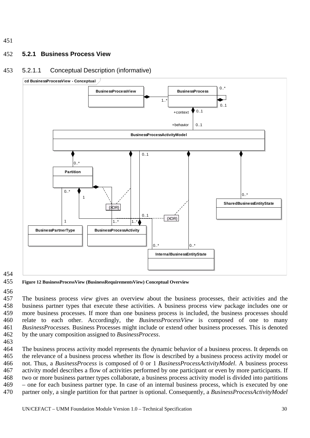#### <span id="page-31-0"></span>452 **5.2.1 Business Process View**

#### 453 5.2.1.1 Conceptual Description (informative)



454

#### 455 **Figure 12 BusinessProcessView (BusinessRequirementsView) Conceptual Overview**

456

457 458 459 460 461 462 The business process *view* gives an overview about the business processes, their activities and the business partner types that execute these activities. A business process view package includes one or more business processes. If more than one business process is included, the business processes should relate to each other. Accordingly, the *BusinessProcessView* is composed of one to many *BusinessProcesses.* Business Processes might include or extend other business processes. This is denoted by the unary composition assigned to *BusinessProcess*.

463

464 465 466 467 468 469 470 The business process activity model represents the dynamic behavior of a business process. It depends on the relevance of a business process whether its flow is described by a business process activity model or not. Thus, a *BusinessProcess* is composed of 0 or 1 *BusinessProcessActivityModel*. A business process activity model describes a flow of activities performed by one participant or even by more participants. If two or more business partner types collaborate, a business process activity model is divided into partitions – one for each business partner type. In case of an internal business process, which is executed by one partner only, a single partition for that partner is optional. Consequently, a *BusinessProcessActivityModel*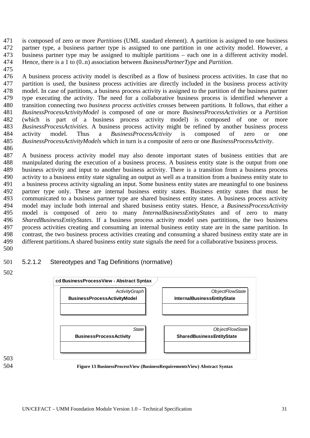<span id="page-32-0"></span>is composed of zero or more *Partitions* (UML standard element). A partition is assigned to one business partner type, a business partner type is assigned to one partition in one activity model. However, a business partner type may be assigned to multiple partitions – each one in a different activity model. Hence, there is a 1 to (0..n) association between *BusinessPartnerType* and *Partition*. 471 472 473 474

475

476 477 478 479 480 481 482 483 484 485 486 A business process activity model is described as a flow of business process activities. In case that no partition is used, the business process activities are directly included in the business process activity model. In case of partitions, a business process activity is assigned to the partition of the business partner type executing the activity. The need for a collaborative business process is identified whenever a transition connecting two *business process activities* crosses between partitions*.* It follows, that either a *BusinessProcessActivityModel* is composed of one or more *BusinessProcessActivities* or a *Partition* (which is part of a business process activity model) is composed of one or more *BusinessProcessActivities*. A business process activity might be refined by another business process activity model. Thus a *BusinessProcessActivity* is composed of zero or one *BusinessProcessActivityModels* which in turn is a composite of zero or one *BusinessProcessActivity*.

487 488 489 490 491 492 493 494 495 496 497 498 499 500 A business process activity model may also denote important states of business entities that are manipulated during the execution of a business process. A business entity state is the output from one business activity and input to another business activity. There is a transition from a business process activity to a business entity state signaling an output as well as a transition from a business entity state to a business process activity signaling an input. Some business entity states are meaningful to one business partner type only. These are internal business entity states. Business entity states that must be communicated to a business partner type are shared business entity states. A business process activity model may include both internal and shared business entity states. Hence, a *BusinessProcessActivity* model is composed of zero to many *InternalBusinessEntityStates* and of zero to many *SharedBusinessEntityStates*. If a business process activity model uses partititions, the two business process activities creating and consuming an internal business entity state are in the same partition. In contrast, the two business process activities creating and consuming a shared business entity state are in different partitions.A shared business entity state signals the need for a collaborative business process.

#### 501 5.2.1.2 Stereotypes and Tag Definitions (normative)

502



504 **Figure 13 BusinessProcessView (BusinessRequirementsView) Abstract Syntax**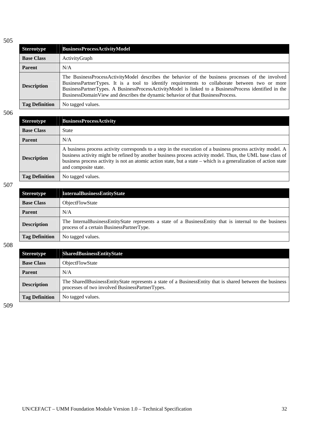| <b>Stereotype</b>     | <b>BusinessProcessActivityModel</b>                                                                                                                                                                                                                                                                                                                                                            |
|-----------------------|------------------------------------------------------------------------------------------------------------------------------------------------------------------------------------------------------------------------------------------------------------------------------------------------------------------------------------------------------------------------------------------------|
| <b>Base Class</b>     | ActivityGraph                                                                                                                                                                                                                                                                                                                                                                                  |
| <b>Parent</b>         | N/A                                                                                                                                                                                                                                                                                                                                                                                            |
| <b>Description</b>    | The BusinessProcessActivityModel describes the behavior of the business processes of the involved<br>BusinessPartnerTypes. It is a tool to identify requirements to collaborate between two or more<br>BusinessPartnerTypes. A BusinessProcessActivityModel is linked to a BusinessProcess identified in the<br>BusinessDomainView and describes the dynamic behavior of that BusinessProcess. |
| <b>Tag Definition</b> | No tagged values.                                                                                                                                                                                                                                                                                                                                                                              |

506

| <b>Stereotype</b>     | <b>BusinessProcessActivity</b>                                                                                                                                                                                                                                                                                                                                       |
|-----------------------|----------------------------------------------------------------------------------------------------------------------------------------------------------------------------------------------------------------------------------------------------------------------------------------------------------------------------------------------------------------------|
| <b>Base Class</b>     | <b>State</b>                                                                                                                                                                                                                                                                                                                                                         |
| <b>Parent</b>         | N/A                                                                                                                                                                                                                                                                                                                                                                  |
| <b>Description</b>    | A business process activity corresponds to a step in the execution of a business process activity model. A<br>business activity might be refined by another business process activity model. Thus, the UML base class of<br>business process activity is not an atomic action state, but a state – which is a generalization of action state<br>and composite state. |
| <b>Tag Definition</b> | No tagged values.                                                                                                                                                                                                                                                                                                                                                    |

507

| <b>Stereotype</b>     | <b>InternalBusinessEntityState</b>                                                                                                                   |
|-----------------------|------------------------------------------------------------------------------------------------------------------------------------------------------|
| <b>Base Class</b>     | <b>ObjectFlowState</b>                                                                                                                               |
| <b>Parent</b>         | N/A                                                                                                                                                  |
| <b>Description</b>    | The InternalBusinessEntityState represents a state of a BusinessEntity that is internal to the business<br>process of a certain BusinessPartnerType. |
| <b>Tag Definition</b> | No tagged values.                                                                                                                                    |

508

| <b>Stereotype</b>     | SharedBusinessEntityState                                                                                                                                       |
|-----------------------|-----------------------------------------------------------------------------------------------------------------------------------------------------------------|
| <b>Base Class</b>     | <b>ObjectFlowState</b>                                                                                                                                          |
| <b>Parent</b>         | N/A                                                                                                                                                             |
| <b>Description</b>    | The Shared Business Entity State represents a state of a Business Entity that is shared between the business<br>processes of two involved BusinessPartnerTypes. |
| <b>Tag Definition</b> | No tagged values.                                                                                                                                               |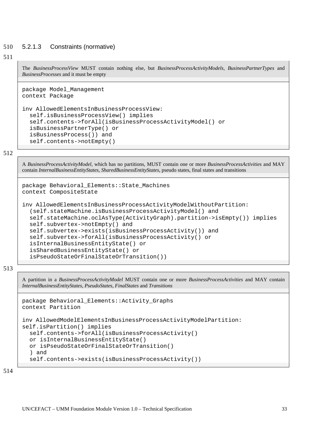#### <span id="page-34-0"></span>510 5.2.1.3 Constraints (normative)

### 511

The *BusinessProcessView* MUST contain nothing else, but *BusinessProcessActivityModels*, *BusinessPartnerTypes* and *BusinessProcesses* and it must be empty

```
package Model_Management 
context Package 
inv AllowedElementsInBusinessProcessView: 
   self.isBusinessProcessView() implies 
   self.contents->forAll(isBusinessProcessActivityModel() or 
   isBusinessPartnerType() or 
   isBusinessProcess()) and 
   self.contents->notEmpty()
```
### 512

A *BusinessProcessActivityModel*, which has no partitions, MUST contain one or more *BusinessProcessActivities* and MAY contain *InternalBusinessEntityStates*, *SharedBusinessEntityStates*, pseudo states, final states and transitions

```
package Behavioral_Elements::State_Machines 
context CompositeState 
inv AllowedElementsInBusinessProcessActivityModelWithoutPartition: 
   (self.stateMachine.isBusinessProcessActivityModel() and 
   self.stateMachine.oclAsType(ActivityGraph).partition->isEmpty()) implies 
   self.subvertex->notEmpty() and 
   self.subvertex->exists(isBusinessProcessActivity()) and 
   self.subvertex->forAll(isBusinessProcessActivity() or 
   isInternalBusinessEntityState() or 
   isSharedBusinessEntityState() or 
   isPseudoStateOrFinalStateOrTransition())
```
### 513

A partition in a *BusinessProcessActivityModel* MUST contain one or more *BusinessProcessActivities* and MAY contain *InternalBusinessEntityStates, PseudoStates*, *FinalStates* and *Transitions*

```
package Behavioral_Elements::Activity_Graphs 
context Partition 
inv AllowedModelElementsInBusinessProcessActivityModelPartition: 
self.isPartition() implies 
   self.contents->forAll(isBusinessProcessActivity() 
   or isInternalBusinessEntityState() 
   or isPseudoStateOrFinalStateOrTransition() 
   ) and 
   self.contents->exists(isBusinessProcessActivity())
```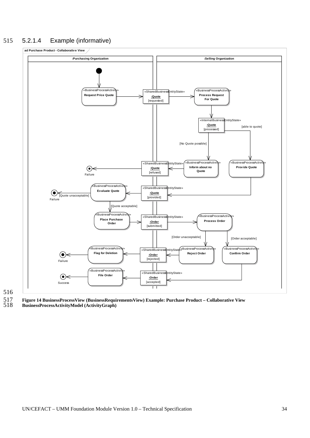## <span id="page-35-0"></span>515 5.2.1.4 Example (informative)



# 516

517 **Figure 14 BusinessProcessView (BusinessRequirementsView) Example: Purchase Product – Collaborative View** 

518 **BusinessProcessActivityModel (ActivityGraph)**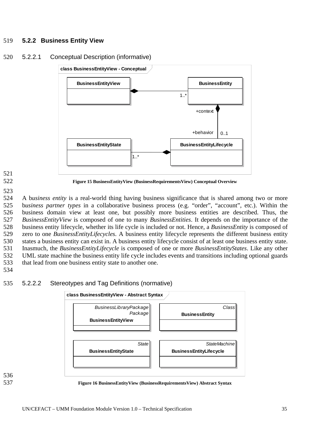## 519 **5.2.2 Business Entity View**







**Figure 15 BusinessEntityView (BusinessRequirementsView) Conceptual Overview** 

523

524 525 526 527 528 529 530 531 532 533 534 A b*usiness entity* is a real-world thing having business significance that is shared among two or more b*usiness partner types* in a collaborative business process (e.g. "order", "account", etc.). Within the business domain view at least one, but possibly more business entities are described. Thus, the *BusinessEntityView* is composed of one to many *BusinessEntities*. It depends on the importance of the business entity lifecycle, whether its life cycle is included or not. Hence, a *BusinessEntity* is composed of zero to one *BusinessEntityLifecycles*. A business entity lifecycle represents the different business entity states a business entity can exist in. A business entity lifecycle consist of at least one business entity state. Inasmuch, the *BusinessEntityLifecycle* is composed of one or more *BusinessEntityStates*. Like any other UML state machine the business entity life cycle includes events and transitions including optional guards that lead from one business entity state to another one.

535



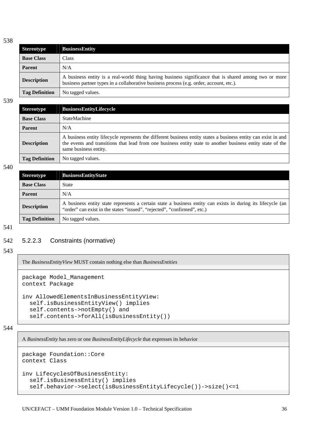| <b>Stereotype</b>     | <b>BusinessEntity</b>                                                                                                                                                                            |
|-----------------------|--------------------------------------------------------------------------------------------------------------------------------------------------------------------------------------------------|
| <b>Base Class</b>     | <b>Class</b>                                                                                                                                                                                     |
| <b>Parent</b>         | N/A                                                                                                                                                                                              |
| <b>Description</b>    | A business entity is a real-world thing having business significance that is shared among two or more<br>business partner types in a collaborative business process (e.g. order, account, etc.). |
| <b>Tag Definition</b> | No tagged values.                                                                                                                                                                                |

539

| <b>Stereotype</b>     | <b>BusinessEntityLifecycle</b>                                                                                                                                                                                                                         |
|-----------------------|--------------------------------------------------------------------------------------------------------------------------------------------------------------------------------------------------------------------------------------------------------|
| <b>Base Class</b>     | <b>StateMachine</b>                                                                                                                                                                                                                                    |
| <b>Parent</b>         | N/A                                                                                                                                                                                                                                                    |
| <b>Description</b>    | A business entity lifecycle represents the different business entity states a business entity can exist in and<br>the events and transitions that lead from one business entity state to another business entity state of the<br>same business entity. |
| <b>Tag Definition</b> | No tagged values.                                                                                                                                                                                                                                      |

540

| <b>Stereotype</b>     | <b>BusinessEntityState</b>                                                                                                                                                              |
|-----------------------|-----------------------------------------------------------------------------------------------------------------------------------------------------------------------------------------|
| <b>Base Class</b>     | State                                                                                                                                                                                   |
| <b>Parent</b>         | N/A                                                                                                                                                                                     |
| <b>Description</b>    | A business entity state represents a certain state a business entity can exists in during its lifecycle (an<br>"order" can exist in the states "issued", "rejected", "confirmed", etc.) |
| <b>Tag Definition</b> | No tagged values.                                                                                                                                                                       |

541

### 542 5.2.2.3 Constraints (normative)

### 543

The *BusinessEntityView* MUST contain nothing else than *BusinessEntities*

```
package Model_Management 
context Package 
inv AllowedElementsInBusinessEntityView: 
   self.isBusinessEntityView() implies 
   self.contents->notEmpty() and 
   self.contents->forAll(isBusinessEntity())
```
544

A *BusinessEntity* has zero or one *BusinessEntityLifecycle* that expresses its behavior

```
package Foundation::Core 
context Class 
inv LifecyclesOfBusinessEntity: 
   self.isBusinessEntity() implies 
   self.behavior->select(isBusinessEntityLifecycle())->size()<=1
```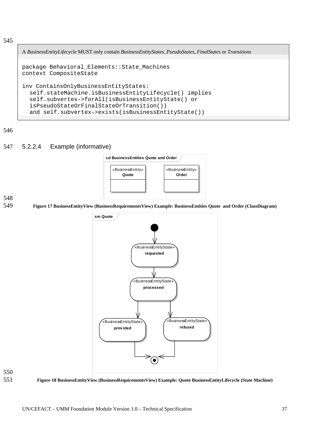A *BusinessEntityLifecycle* MUST only contain *BusinessEntityStates*, *PseudoStates*, *FinalStates* or *Transitions*

```
package Behavioral_Elements::State_Machines 
context CompositeState 
inv ContainsOnlyBusinessEntityStates: 
   self.stateMachine.isBusinessEntityLifecycle() implies 
   self.subvertex->forAll(isBusinessEntityState() or 
   isPseudoStateOrFinalStateOrTransition()) 
  and self.subvertex->exists(isBusinessEntityState())
```
546

## 547 5.2.2.4 Example (informative)



### 548

549 **Figure 17 BusinessEntityView (BusinessRequirementsView) Example: BusinessEntities Quote and Order (ClassDiagram)** 





551 **Figure 18 BusinessEntityView (BusinessRequirementsView) Example: Quote BusinessEntityLifecycle (State Machine)**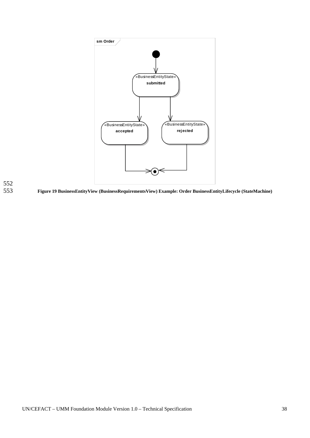



553 **Figure 19 BusinessEntityView (BusinessRequirementsView) Example: Order BusinessEntityLifecycle (StateMachine)**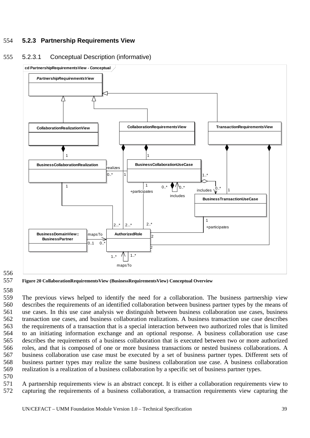# 554 **5.2.3 Partnership Requirements View**

# 555 5.2.3.1 Conceptual Description (informative)



556 557

558

**Figure 20 CollaborationRequirementsView (BusinessRequirementsView) Conceptual Overview** 

559 560 561 562 563 564 565 566 567 568 569 The previous views helped to identify the need for a collaboration. The business partnership view describes the requirements of an identified collaboration between business partner types by the means of use cases. In this use case analysis we distinguish between business collaboration use cases, business transaction use cases, and business collaboration realizations. A business transaction use case describes the requirements of a transaction that is a special interaction between two authorized roles that is limited to an initiating information exchange and an optional response. A business collaboration use case describes the requirements of a business collaboration that is executed between two or more authorized roles, and that is composed of one or more business transactions or nested business collaborations. A business collaboration use case must be executed by a set of business partner types. Different sets of business partner types may realize the same business collaboration use case. A business collaboration realization is a realization of a business collaboration by a specific set of business partner types.

570

571 572 A partnership requirements view is an abstract concept. It is either a collaboration requirements view to capturing the requirements of a business collaboration, a transaction requirements view capturing the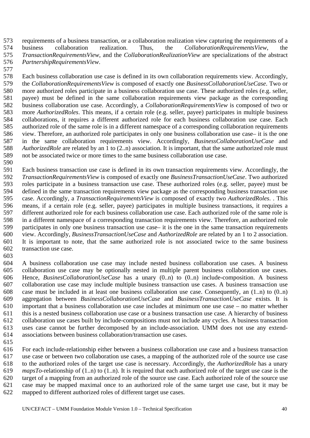573 574 575 576 requirements of a business transaction, or a collaboration realization view capturing the requirements of a business collaboration realization. Thus, the *CollaborationRequirementsView*, the *TransactionRequirementsView,* and the *CollaborationRealizationView* are specializations of the abstract *PartnershipRequirementsView*.

577

590

578 579 580 581 582 583 584 585 586 587 588 589 Each business collaboration use case is defined in its own collaboration requirements view. Accordingly, the *CollaborationRequirementsView* is composed of exactly one *BusinessCollaborationUseCase*. Two or more authorized roles participate in a business collaboration use case. These authorized roles (e.g. seller, payee) must be defined in the same collaboration requirements view package as the corresponding business collaboration use case. Accordingly, a *CollaborationRequirementsView* is composed of two or more *AuthorizedRoles*. This means, if a certain role (e.g. seller, payee) participates in multiple business collaborations, it requires a different authorized role for each business collaboration use case. Each authorized role of the same role is in a different namespace of a corresponding collaboration requirements view. Therefore, an authorized role participates in only one business collaboration use case– it is the one in the same collaboration requirements view. Accordingly, *BusinessCollaborationUseCase* and *AuthorizedRole* are related by an 1 to (2..n) association. It is important, that the same authorized role must not be associated twice or more times to the same business collaboration use case.

591 592 593 594 595 596 597 598 599 600 601 602 Each business transaction use case is defined in its own transaction requirements view. Accordingly, the *TransactionRequirementsView* is composed of exactly one *BusinessTransactionUseCase*. Two authorized roles participate in a business transaction use case. These authorized roles (e.g. seller, payee) must be defined in the same transaction requirements view package as the corresponding business transaction use case. Accordingly, a *TransactionRequirementsView* is composed of exactly two *AuthorizedRoles*. . This means, if a certain role (e.g. seller, payee) participates in multiple business transactions, it requires a different authorized role for each business collaboration use case. Each authorized role of the same role is in a different namespace of a corresponding transaction requirements view. Therefore, an authorized role participates in only one business transaction use case– it is the one in the same transaction requirements view. Accordingly, *BusinessTransactionUseCase* and *AuthorizedRole* are related by an 1 to 2 association. It is important to note, that the same authorized role is not associated twice to the same business transaction use case.

603

604 605 606 607 608 609 610 611 612 613 614 A business collaboration use case may include nested business collaboration use cases. A business collaboration use case may be optionally nested in multiple parent business collaboration use cases. Hence, *BusinesCollaborationUseCase* has a unary  $(0..n)$  to  $(0..n)$  include-composition. A business collaboration use case may include multiple business transaction use cases. A business transaction use case must be included in at least one business collaboration use case. Consequently, an (1..n) to (0..n) aggregation between *BusinessCollaborationUseCase* and *BusinessTransactionUseCase* exists. It is important that a business collaboration use case includes at minimum one use case – no matter whether this is a nested business collaboration use case or a business transaction use case. A hierarchy of business collaboration use cases built by include-compositions must not include any cycles. A business transaction uses case cannot be further decomposed by an include-association. UMM does not use any extendassociations between business collaboration/transaction use cases.

615

616 617 618 619 620 621 622 For each include-relationship either between a business collaboration use case and a business transaction use case or between two collaboration use cases, a mapping of the authorized role of the source use case to the authorized roles of the target use case is necessary. Accordingly, the *AuthorizedRole* has a unary *mapsTo*-relationship of (1..n) to (1..n). It is required that each authorized role of the target use case is the target of a mapping from an authorized role of the source use case. Each authorized role of the source use case may be mapped maximal once to an authorized role of the same target use case, but it may be mapped to different authorized roles of different target use cases.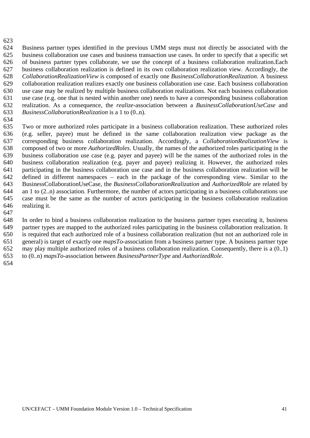624 625 626 627 628 629 630 631 632 633 Business partner types identified in the previous UMM steps must not directly be associated with the business collaboration use cases and business transaction use cases. In order to specify that a specific set of business partner types collaborate, we use the concept of a business collaboration realization.Each business collaboration realization is defined in its own collaboration realization view. Accordingly, the *CollaborationRealizationView* is composed of exactly one *BusinessCollaborationRealization*. A business collaboration realization realizes exactly one business collaboration use case. Each business collaboration use case may be realized by multiple business collaboration realizations. Not each business collaboration use case (e.g. one that is nested within another one) needs to have a corresponding business collaboration realization. As a consequence, the *realize*-association between a *BusinessCollaborationUseCase* and *BusinessCollaborationRealization* is a 1 to (0..n).

634

623

635 636 637 638 639 640 641 642 643 644 645 646 Two or more authorized roles participate in a business collaboration realization. These authorized roles (e.g. seller, payee) must be defined in the same collaboration realization view package as the corresponding business collaboration realization. Accordingly, a *CollaborationRealizationView* is composed of two or more *AuthorizedRoles*. Usually, the names of the authorized roles participating in the business collaboration use case (e.g. payer and payee) will be the names of the authorized roles in the business collaboration realization (e.g. payer and payee) realizing it. However, the authorized roles participating in the business collaboration use case and in the business collaboration realization will be defined in different namespaces – each in the package of the corresponding view. Similar to the BusinessCollaborationUseCase, the *BusinessCollaborationRealization* and *AuthorizedRole* are related by an 1 to (2..n) association. Furthermore, the number of actors participating in a business collaborations use case must be the same as the number of actors participating in the business collaboration realization realizing it.

647

648 649 650 651 652 653 In order to bind a business collaboration realization to the business partner types executing it, business partner types are mapped to the authorized roles participating in the business collaboration realization. It is required that each authorized role of a business collaboration realization (but not an authorized role in general) is target of exactly one *mapsTo*-association from a business partner type. A business partner type may play multiple authorized roles of a business collaboration realization. Consequently, there is a (0..1) to (0..n) *mapsTo*-association between *BusinessPartnerType* and *AuthorizedRole*.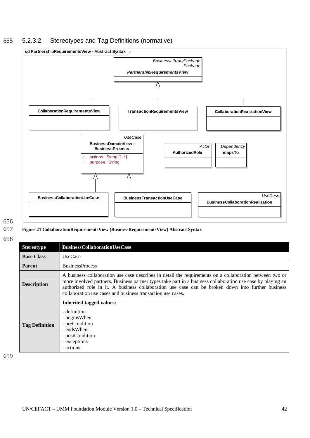# 655 5.2.3.2 Stereotypes and Tag Definitions (normative)



## 656 657

**Figure 21 CollaborationRequirementsView (BusinessRequirementsView) Abstract Syntax** 

658

| <b>Stereotype</b>     | <b>BusinessCollaborationUseCase</b>                                                                                                                                                                                                                                                                                                                                                         |
|-----------------------|---------------------------------------------------------------------------------------------------------------------------------------------------------------------------------------------------------------------------------------------------------------------------------------------------------------------------------------------------------------------------------------------|
| <b>Base Class</b>     | <b>UseCase</b>                                                                                                                                                                                                                                                                                                                                                                              |
| <b>Parent</b>         | <b>BusinessProcess</b>                                                                                                                                                                                                                                                                                                                                                                      |
| <b>Description</b>    | A business collaboration use case describes in detail the requirements on a collaboration between two or<br>more involved partners. Business partner types take part in a business collaboration use case by playing an<br>authorized role in it. A business collaboration use case can be broken down into further business<br>collaboration use cases and business transaction use cases. |
| <b>Tag Definition</b> | <b>Inherited tagged values:</b><br>- definition<br>- begins When<br>- preCondition<br>- endsWhen<br>- postCondition<br>- exceptions<br>- actions                                                                                                                                                                                                                                            |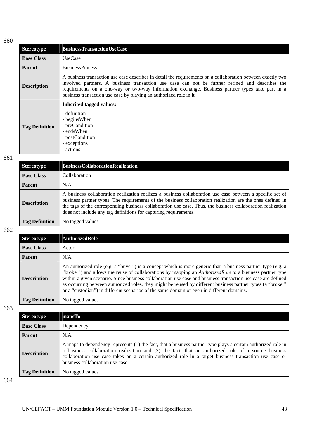| <b>Stereotype</b>     | <b>BusinessTransactionUseCase</b>                                                                                                                                                                                                                                                                                                                                                        |
|-----------------------|------------------------------------------------------------------------------------------------------------------------------------------------------------------------------------------------------------------------------------------------------------------------------------------------------------------------------------------------------------------------------------------|
| <b>Base Class</b>     | <b>UseCase</b>                                                                                                                                                                                                                                                                                                                                                                           |
| <b>Parent</b>         | <b>BusinessProcess</b>                                                                                                                                                                                                                                                                                                                                                                   |
| <b>Description</b>    | A business transaction use case describes in detail the requirements on a collaboration between exactly two<br>involved partners. A business transaction use case can not be further refined and describes the<br>requirements on a one-way or two-way information exchange. Business partner types take part in a<br>business transaction use case by playing an authorized role in it. |
| <b>Tag Definition</b> | <b>Inherited tagged values:</b><br>- definition<br>- begins When<br>- preCondition<br>- endsWhen<br>- postCondition<br>- exceptions<br>- actions                                                                                                                                                                                                                                         |

661

| <b>Stereotype</b>     | <b>BusinessCollaborationRealization</b>                                                                                                                                                                                                                                                                                                                                                                    |
|-----------------------|------------------------------------------------------------------------------------------------------------------------------------------------------------------------------------------------------------------------------------------------------------------------------------------------------------------------------------------------------------------------------------------------------------|
| <b>Base Class</b>     | Collaboration                                                                                                                                                                                                                                                                                                                                                                                              |
| <b>Parent</b>         | N/A                                                                                                                                                                                                                                                                                                                                                                                                        |
| <b>Description</b>    | A business collaboration realization realizes a business collaboration use case between a specific set of<br>business partner types. The requirements of the business collaboration realization are the ones defined in<br>the tags of the corresponding business collaboration use case. Thus, the business collaboration realization<br>does not include any tag definitions for capturing requirements. |
| <b>Tag Definition</b> | No tagged values                                                                                                                                                                                                                                                                                                                                                                                           |

662

| <b>Stereotype</b>     | <b>AuthorizedRole</b>                                                                                                                                                                                                                                                                                                                                                                                                                                                                                                                                      |
|-----------------------|------------------------------------------------------------------------------------------------------------------------------------------------------------------------------------------------------------------------------------------------------------------------------------------------------------------------------------------------------------------------------------------------------------------------------------------------------------------------------------------------------------------------------------------------------------|
| <b>Base Class</b>     | Actor                                                                                                                                                                                                                                                                                                                                                                                                                                                                                                                                                      |
| <b>Parent</b>         | N/A                                                                                                                                                                                                                                                                                                                                                                                                                                                                                                                                                        |
| <b>Description</b>    | An authorized role (e.g. a "buyer") is a concept which is more generic than a business partner type (e.g. a<br>"broker") and allows the reuse of collaborations by mapping an <i>AuthorizedRole</i> to a business partner type<br>within a given scenario. Since business collaboration use case and business transaction use case are defined<br>as occurring between authorized roles, they might be reused by different business partner types (a "broker"<br>or a "custodian") in different scenarios of the same domain or even in different domains. |
| <b>Tag Definition</b> | No tagged values.                                                                                                                                                                                                                                                                                                                                                                                                                                                                                                                                          |

663

| <b>Stereotype</b>     | mapsTo                                                                                                                                                                                                                                                                                                                                                             |
|-----------------------|--------------------------------------------------------------------------------------------------------------------------------------------------------------------------------------------------------------------------------------------------------------------------------------------------------------------------------------------------------------------|
| <b>Base Class</b>     | Dependency                                                                                                                                                                                                                                                                                                                                                         |
| <b>Parent</b>         | N/A                                                                                                                                                                                                                                                                                                                                                                |
| <b>Description</b>    | A maps to dependency represents (1) the fact, that a business partner type plays a certain authorized role in<br>a business collaboration realization and (2) the fact, that an authorized role of a source business<br>collaboration use case takes on a certain authorized role in a target business transaction use case or<br>business collaboration use case. |
| <b>Tag Definition</b> | No tagged values.                                                                                                                                                                                                                                                                                                                                                  |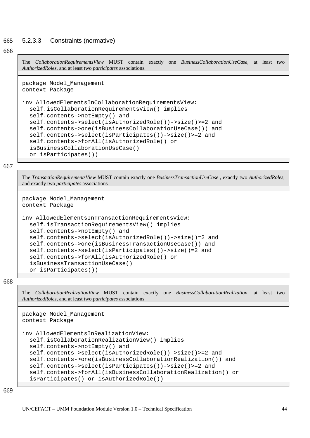#### 665 5.2.3.3 Constraints (normative)

### 666

The *CollaborationRequirementsView* MUST contain exactly one *BusinessCollaborationUseCase,* at least two *AuthorizedRoles*, and at least two *participates* associations.

```
package Model_Management 
context Package
```

```
inv AllowedElementsInCollaborationRequirementsView: 
   self.isCollaborationRequirementsView() implies 
   self.contents->notEmpty() and 
   self.contents->select(isAuthorizedRole())->size()>=2 and 
   self.contents->one(isBusinessCollaborationUseCase()) and 
   self.contents->select(isParticipates())->size()>=2 and 
   self.contents->forAll(isAuthorizedRole() or 
   isBusinessCollaborationUseCase() 
   or isParticipates())
```
667

The *TransactionRequirementsView* MUST contain exactly one *BusinessTransactionUseCase* , exactly two *AuthorizedRoles*, and exactly two *participates* associations

```
package Model_Management 
context Package
```

```
inv AllowedElementsInTransactionRequirementsView: 
   self.isTransactionRequirementsView() implies 
   self.contents->notEmpty() and 
   self.contents->select(isAuthorizedRole())->size()=2 and 
   self.contents->one(isBusinessTransactionUseCase()) and 
   self.contents->select(isParticipates())->size()=2 and 
   self.contents->forAll(isAuthorizedRole() or 
   isBusinessTransactionUseCase() 
   or isParticipates())
```
668

The *CollaborationRealizationView* MUST contain exactly one *BusinessCollaborationRealization,* at least two *AuthorizedRoles*, and at least two *participates* associations

```
package Model_Management 
context Package 
inv AllowedElementsInRealizationView: 
   self.isCollaborationRealizationView() implies 
   self.contents->notEmpty() and 
   self.contents->select(isAuthorizedRole())->size()>=2 and 
   self.contents->one(isBusinessCollaborationRealization()) and 
   self.contents->select(isParticipates())->size()>=2 and 
   self.contents->forAll(isBusinessCollaborationRealization() or 
   isParticipates() or isAuthorizedRole())
```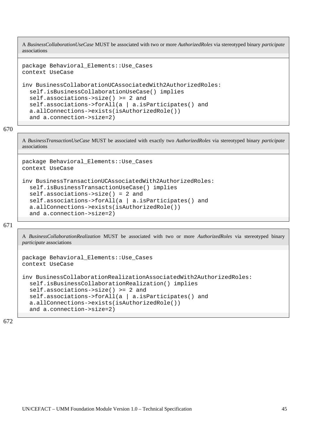A *BusinessCollaborationUseCase* MUST be associated with two or more *AuthorizedRoles* via stereotyped binary *participate* associations

```
package Behavioral_Elements::Use_Cases 
context UseCase 
inv BusinessCollaborationUCAssociatedWith2AuthorizedRoles: 
   self.isBusinessCollaborationUseCase() implies 
   self.associations->size() >= 2 and 
   self.associations->forAll(a | a.isParticipates() and 
   a.allConnections->exists(isAuthorizedRole()) 
   and a.connection->size=2)
```
670

A *BusinessTransactionUseCase* MUST be associated with exactly two *AuthorizedRoles* via stereotyped binary *participate* associations

```
package Behavioral_Elements::Use_Cases 
context UseCase 
inv BusinessTransactionUCAssociatedWith2AuthorizedRoles: 
   self.isBusinessTransactionUseCase() implies 
   self.associations->size() = 2 and 
   self.associations->forAll(a | a.isParticipates() and 
   a.allConnections->exists(isAuthorizedRole()) 
   and a.connection->size=2)
```
671

A *BusinessCollaborationRealization* MUST be associated with two or more *AuthorizedRoles* via stereotyped binary *participate* associations

```
package Behavioral_Elements::Use_Cases 
context UseCase 
inv BusinessCollaborationRealizationAssociatedWith2AuthorizedRoles: 
  self.isBusinessCollaborationRealization() implies
   self.associations->size() >= 2 and 
   self.associations->forAll(a | a.isParticipates() and 
   a.allConnections->exists(isAuthorizedRole()) 
   and a.connection->size=2)
```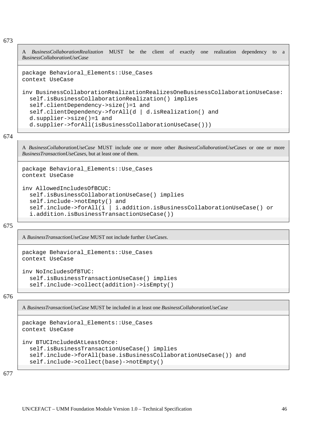A *BusinessCollaborationRealization* MUST be the client of exactly one realization dependency to a *BusinessCollaborationUseCase*

```
package Behavioral_Elements::Use_Cases 
context UseCase
```

```
inv BusinessCollaborationRealizationRealizesOneBusinessCollaborationUseCase: 
   self.isBusinessCollaborationRealization() implies 
   self.clientDependency->size()=1 and 
   self.clientDependency->forAll(d | d.isRealization() and 
   d.supplier->size()=1 and 
   d.supplier->forAll(isBusinessCollaborationUseCase()))
```
674

A *BusinessCollaborationUseCase* MUST include one or more other *BusinessCollaborationUseCases* or one or more *BusinessTransactionUseCases*, but at least one of them.

```
package Behavioral_Elements::Use_Cases 
context UseCase 
inv AllowedIncludesOfBCUC: 
   self.isBusinessCollaborationUseCase() implies 
   self.include->notEmpty() and 
   self.include->forAll(i | i.addition.isBusinessCollaborationUseCase() or 
   i.addition.isBusinessTransactionUseCase())
```
675

A *BusinessTransactionUseCase* MUST not include further *UseCases*.

```
package Behavioral_Elements::Use_Cases 
context UseCase 
inv NoIncludesOfBTUC: 
   self.isBusinessTransactionUseCase() implies 
   self.include->collect(addition)->isEmpty()
```
676

A *BusinessTransactionUseCase* MUST be included in at least one *BusinessCollaborationUseCase*

```
package Behavioral_Elements::Use_Cases 
context UseCase 
inv BTUCIncludedAtLeastOnce: 
   self.isBusinessTransactionUseCase() implies 
   self.include->forAll(base.isBusinessCollaborationUseCase()) and 
   self.include->collect(base)->notEmpty()
```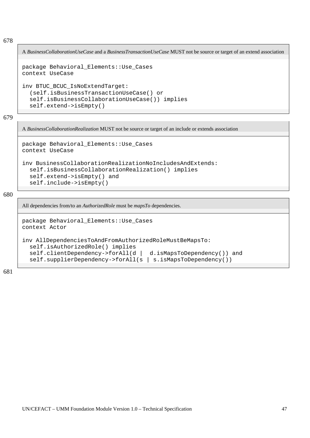A *BusinessCollaborationUseCase* and a *BusinessTransactionUseCase* MUST not be source or target of an extend association

```
package Behavioral_Elements::Use_Cases 
context UseCase 
inv BTUC_BCUC_IsNoExtendTarget: 
   (self.isBusinessTransactionUseCase() or 
   self.isBusinessCollaborationUseCase()) implies 
   self.extend->isEmpty()
```
679

A *BusinessCollaborationRealization* MUST not be source or target of an include or extends association

```
package Behavioral_Elements::Use_Cases 
context UseCase
```

```
inv BusinessCollaborationRealizationNoIncludesAndExtends: 
  self.isBusinessCollaborationRealization() implies
   self.extend->isEmpty() and 
   self.include->isEmpty()
```
680

All dependencies from/to an *AuthorizedRole* must be *mapsTo* dependencies.

```
package Behavioral_Elements::Use_Cases 
context Actor 
inv AllDependenciesToAndFromAuthorizedRoleMustBeMapsTo:
```

```
 self.isAuthorizedRole() implies 
 self.clientDependency->forAll(d | d.isMapsToDependency()) and 
 self.supplierDependency->forAll(s | s.isMapsToDependency())
```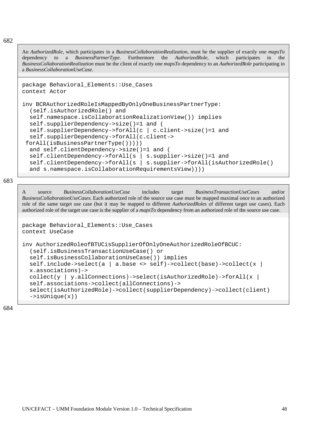An *AuthorizedRole*, which participates in a *BusinessCollaborationRealization*, must be the supplier of exactly one *mapsTo* dependency to a *BusinessPartnerType*. Furthermore the *AuthorizedRole*, which participates in the *BusinessCollaborationRealization* must be the client of exactly one *mapsTo* dependency to an *AuthorizedRole* participating in a *BusinessCollaborationUseCase*.

```
package Behavioral_Elements::Use_Cases 
context Actor
```

```
inv BCRAuthorizedRoleIsMappedByOnlyOneBusinessPartnerType: 
   (self.isAuthorizedRole() and 
   self.namespace.isCollaborationRealizationView()) implies 
   self.supplierDependency->size()=1 and ( 
   self.supplierDependency->forAll(c | c.client->size()=1 and 
   self.supplierDependency->forAll(c.client-> 
  forAll(isBusinessPartnerType())))) 
   and self.clientDependency->size()=1 and ( 
   self.clientDependency->forAll(s | s.supplier->size()=1 and 
   self.clientDependency->forAll(s | s.supplier->forAll(isAuthorizedRole() 
   and s.namespace.isCollaborationRequirementsView))))
```
683

A source *BusinessCollaborationUseCase* includes target *BusinessTransactionUseCases* and/or *BusinessCollaborationUseCases*. Each authorized role of the source use case must be mapped maximal once to an authorized role of the same target use case (but it may be mapped to different *AuthorizedRoles* of different target use cases). Each authorized role of the target use case is the supplier of a *mapsTo* dependency from an authorized role of the source use case.

```
package Behavioral_Elements::Use_Cases 
context UseCase
```

```
inv AuthorizedRoleofBTUCisSupplierOfOnlyOneAuthorizedRoleOfBCUC: 
   (self.isBusinessTransactionUseCase() or 
   self.isBusinessCollaborationUseCase()) implies 
   self.include->select(a | a.base <> self)->collect(base)->collect(x | 
   x.associations)-> 
  collect(y | y.allConnections)->select(isAuthorizedRole)->forAll(x |
   self.associations->collect(allConnections)-> 
   select(isAuthorizedRole)->collect(supplierDependency)->collect(client) 
  ->isUnique(x))
```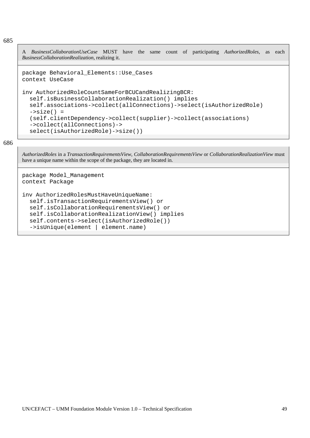A *BusinessCollaborationUseCase* MUST have the same count of participating *AuthorizedRoles*, as each *BusinessCollaborationRealization*, realizing it.

```
package Behavioral_Elements::Use_Cases 
context UseCase
```

```
inv AuthorizedRoleCountSameForBCUCandRealizingBCR: 
   self.isBusinessCollaborationRealization() implies 
   self.associations->collect(allConnections)->select(isAuthorizedRole) 
  ->size() = (self.clientDependency->collect(supplier)->collect(associations) 
   ->collect(allConnections)-> 
   select(isAuthorizedRole)->size())
```
686

*AuthorizedRoles* in a *TransactionRequirementsView*, *CollaborationRequirementsView* or *CollaborationRealizationView* must have a unique name within the scope of the package, they are located in.

```
package Model_Management 
context Package 
inv AuthorizedRolesMustHaveUniqueName: 
   self.isTransactionRequirementsView() or 
   self.isCollaborationRequirementsView() or 
   self.isCollaborationRealizationView() implies 
   self.contents->select(isAuthorizedRole()) 
   ->isUnique(element | element.name)
```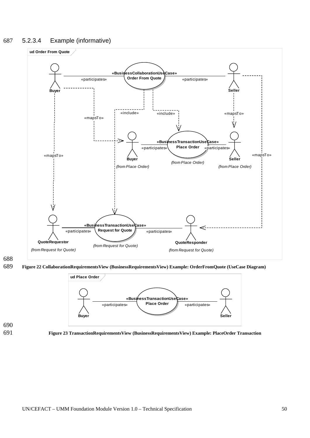## 687 5.2.3.4 Example (informative)



688

689 **Figure 22 CollaborationRequirementsView (BusinessRequirementsView) Example: OrderFromQuote (UseCase Diagram)** 





691 **Figure 23 TransactionRequirementsView (BusinessRequirementsView) Example: PlaceOrder Transaction**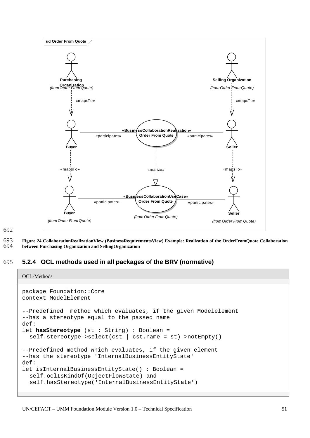

692

693 694 **Figure 24 CollaborationRealizationView (BusinessRequirementsView) Example: Realization of the OrderFromQuote Collaboration between Purchasing Organization and SellingOrganization** 

### 695 **5.2.4 OCL methods used in all packages of the BRV (normative)**

```
OCL-Methods 
package Foundation::Core 
context ModelElement 
--Predefined method which evaluates, if the given Modelelement 
--has a stereotype equal to the passed name 
def:
let hasStereotype (st : String) : Boolean = 
   self.stereotype->select(cst | cst.name = st)->notEmpty() 
--Predefined method which evaluates, if the given element 
--has the stereotype 'InternalBusinessEntityState' 
def: 
let isInternalBusinessEntityState() : Boolean = 
   self.oclIsKindOf(ObjectFlowState) and 
   self.hasStereotype('InternalBusinessEntityState')
```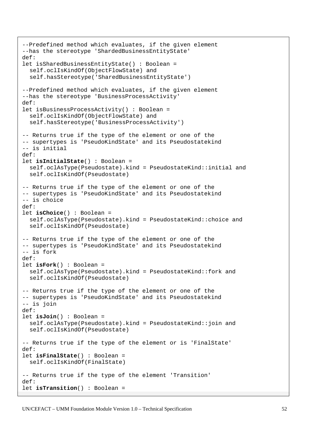```
--Predefined method which evaluates, if the given element 
--has the stereotype 'ShardedBusinessEntityState' 
def: 
let isSharedBusinessEntityState() : Boolean = 
   self.oclIsKindOf(ObjectFlowState) and 
   self.hasStereotype('SharedBusinessEntityState') 
--Predefined method which evaluates, if the given element 
--has the stereotype 'BusinessProcessActivity' 
def: 
let isBusinessProcessActivity() : Boolean = 
   self.oclIsKindOf(ObjectFlowState) and 
   self.hasStereotype('BusinessProcessActivity') 
-- Returns true if the type of the element or one of the 
-- supertypes is 'PseudoKindState' and its Pseudostatekind 
-- is initial 
def:
let isInitialState() : Boolean = 
   self.oclAsType(Pseudostate).kind = PseudostateKind::initial and 
   self.oclIsKindOf(Pseudostate) 
-- Returns true if the type of the element or one of the 
-- supertypes is 'PseudoKindState' and its Pseudostatekind 
-- is choice 
def: 
let isChoice() : Boolean = 
   self.oclAsType(Pseudostate).kind = PseudostateKind::choice and 
   self.oclIsKindOf(Pseudostate) 
-- Returns true if the type of the element or one of the 
-- supertypes is 'PseudoKindState' and its Pseudostatekind 
-- is fork 
def: 
let isFork() : Boolean = 
   self.oclAsType(Pseudostate).kind = PseudostateKind::fork and 
   self.oclIsKindOf(Pseudostate) 
-- Returns true if the type of the element or one of the 
-- supertypes is 'PseudoKindState' and its Pseudostatekind 
-- is join 
def:
let isJoin() : Boolean = 
   self.oclAsType(Pseudostate).kind = PseudostateKind::join and 
   self.oclIsKindOf(Pseudostate) 
-- Returns true if the type of the element or is 'FinalState' 
def: 
let isFinalState() : Boolean = 
   self.oclIsKindOf(FinalState) 
-- Returns true if the type of the element 'Transition' 
def: 
let isTransition() : Boolean =
```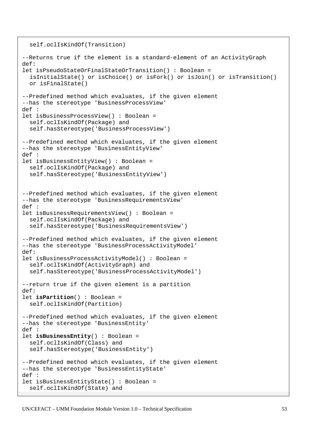```
 self.oclIsKindOf(Transition) 
--Returns true if the element is a standard-element of an ActivityGraph 
def: 
let isPseudoStateOrFinalStateOrTransition() : Boolean = 
   isInitialState() or isChoice() or isFork() or isJoin() or isTransition() 
   or isFinalState() 
--Predefined method which evaluates, if the given element 
--has the stereotype 'BusinessProcessView' 
def : 
let isBusinessProcessView() : Boolean = 
   self.oclIsKindOf(Package) and 
   self.hasStereotype('BusinessProcessView') 
--Predefined method which evaluates, if the given element 
--has the stereotype 'BusinessEntityView' 
def : 
let isBusinessEntityView() : Boolean = 
   self.oclIsKindOf(Package) and 
   self.hasStereotype('BusinessEntityView') 
--Predefined method which evaluates, if the given element 
--has the stereotype 'BusinessRequirementsView' 
def : 
let isBusinessRequirementsView() : Boolean = 
   self.oclIsKindOf(Package) and 
   self.hasStereotype('BusinessRequirementsView') 
--Predefined method which evaluates, if the given element 
--has the stereotype 'BusinessProcessActivityModel' 
def: 
let isBusinessProcessActivityModel() : Boolean = 
   self.oclIsKindOf(ActivityGraph) and 
   self.hasStereotype('BusinessProcessActivityModel') 
--return true if the given element is a partition 
def: 
let isPartition() : Boolean = 
   self.oclIsKindOf(Partition) 
--Predefined method which evaluates, if the given element 
--has the stereotype 'BusinessEntity' 
def : 
let isBusinessEntity() : Boolean = 
   self.oclIsKindOf(Class) and 
   self.hasStereotype('BusinessEntity') 
--Predefined method which evaluates, if the given element 
--has the stereotype 'BusinessEntityState' 
def : 
let isBusinessEntityState() : Boolean = 
   self.oclIsKindOf(State) and
```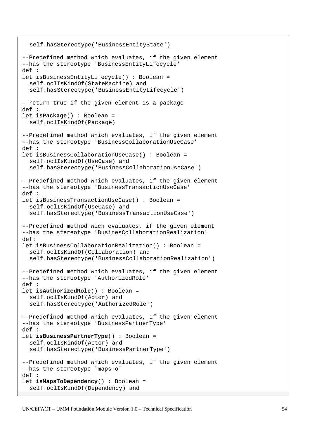```
 self.hasStereotype('BusinessEntityState') 
--Predefined method which evaluates, if the given element 
--has the stereotype 'BusinessEntityLifecycle' 
def : 
let isBusinessEntityLifecycle() : Boolean = 
   self.oclIsKindOf(StateMachine) and 
   self.hasStereotype('BusinessEntityLifecycle') 
--return true if the given element is a package 
def : 
let isPackage() : Boolean = 
   self.oclIsKindOf(Package) 
--Predefined method which evaluates, if the given element 
--has the stereotype 'BusinessCollaborationUseCase' 
def : 
let isBusinessCollaborationUseCase() : Boolean = 
   self.oclIsKindOf(UseCase) and 
   self.hasStereotype('BusinessCollaborationUseCase') 
--Predefined method which evaluates, if the given element 
--has the stereotype 'BusinessTransactionUseCase' 
def : 
let isBusinessTransactionUseCase() : Boolean = 
   self.oclIsKindOf(UseCase) and 
   self.hasStereotype('BusinessTransactionUseCase') 
--Predefined method wich evaluates, if the given element 
--has the stereotype 'BusinesCollaborationRealization'
def: 
let isBusinessCollaborationRealization() : Boolean = 
   self.oclIsKindOf(Collaboration) and 
  self.hasStereotype('BusinessCollaborationRealization')
--Predefined method which evaluates, if the given element 
--has the stereotype 'AuthorizedRole' 
def : 
let isAuthorizedRole() : Boolean = 
   self.oclIsKindOf(Actor) and 
   self.hasStereotype('AuthorizedRole') 
--Predefined method which evaluates, if the given element 
--has the stereotype 'BusinessPartnerType' 
def : 
let isBusinessPartnerType() : Boolean = 
   self.oclIsKindOf(Actor) and 
   self.hasStereotype('BusinessPartnerType') 
--Predefined method which evaluates, if the given element 
--has the stereotype 'mapsTo' 
def : 
let isMapsToDependency() : Boolean = 
   self.oclIsKindOf(Dependency) and
```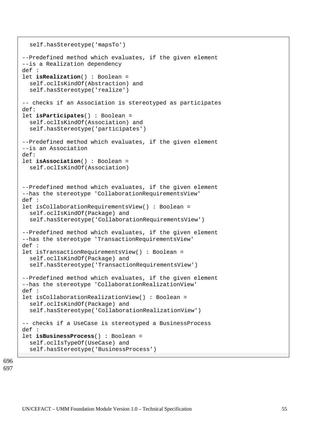```
 self.hasStereotype('mapsTo') 
--Predefined method which evaluates, if the given element 
--is a Realization dependency 
def : 
let isRealization() : Boolean = 
   self.oclIsKindOf(Abstraction) and 
   self.hasStereotype('realize') 
-- checks if an Association is stereotyped as participates 
def:
let isParticipates() : Boolean = 
   self.oclIsKindOf(Association) and 
   self.hasStereotype('participates') 
--Predefined method which evaluates, if the given element 
--is an Association 
def:
let isAssociation() : Boolean = 
   self.oclIsKindOf(Association) 
--Predefined method which evaluates, if the given element 
--has the stereotype 'CollaborationRequirementsView' 
def : 
let isCollaborationRequirementsView() : Boolean = 
   self.oclIsKindOf(Package) and 
   self.hasStereotype('CollaborationRequirementsView') 
--Predefined method which evaluates, if the given element 
--has the stereotype 'TransactionRequirementsView' 
def : 
let isTransactionRequirementsView() : Boolean = 
   self.oclIsKindOf(Package) and 
   self.hasStereotype('TransactionRequirementsView') 
--Predefined method which evaluates, if the given element 
--has the stereotype 'CollaborationRealizationView' 
def : 
let isCollaborationRealizationView() : Boolean = 
   self.oclIsKindOf(Package) and 
   self.hasStereotype('CollaborationRealizationView') 
-- checks if a UseCase is stereotyped a BusinessProcess 
def : 
let isBusinessProcess() : Boolean = 
   self.oclIsTypeOf(UseCase) and 
   self.hasStereotype('BusinessProcess')
```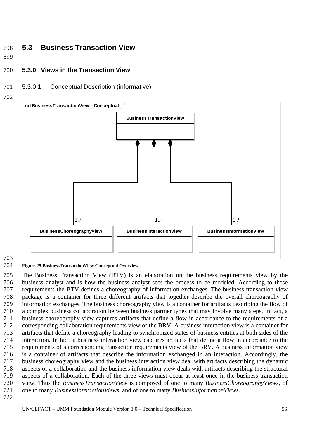# 698 **5.3 Business Transaction View**

- 699
- 700 **5.3.0 Views in the Transaction View**
- 701 5.3.0.1 Conceptual Description (informative)
- 702



703

#### 704 **Figure 25 BusinessTransactionView Conceptual Overview**

705 706 707 708 709 710 711 712 713 714 715 716 717 718 719 720 721 The Business Transaction View (BTV) is an elaboration on the business requirements view by the business analyst and is how the business analyst sees the process to be modeled. According to these requirements the BTV defines a choreography of information exchanges. The business transaction view package is a container for three different artifacts that together describe the overall choreography of information exchanges. The business choreography view is a container for artifacts describing the flow of a complex business collaboration between business partner types that may involve many steps. In fact, a business choreography view captures artifacts that define a flow in accordance to the requirements of a corresponding collaboration requirements view of the BRV. A business interaction view is a container for artifacts that define a choreography leading to synchronized states of business entities at both sides of the interaction. In fact, a business interaction view captures artifacts that define a flow in accordance to the requirements of a corresponding transaction requirements view of the BRV. A business information view is a container of artifacts that describe the information exchanged in an interaction. Accordingly, the business choreography view and the business interaction view deal with artifacts describing the dynamic aspects of a collaboration and the business information view deals with artifacts describing the structural aspects of a collaboration. Each of the three views must occur at least once in the business transaction view. Thus the *BusinessTransactionView* is composed of one to many *BusinessChoreographyViews*, of one to many *BusinessInteractionViews*, and of one to many *BusinessInformationViews*.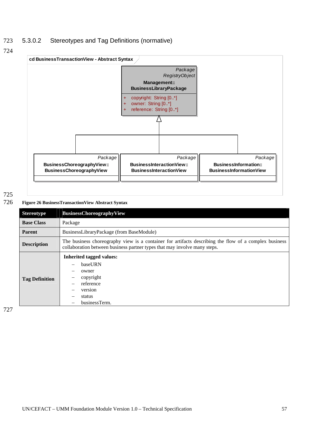### 723 5.3.0.2 Stereotypes and Tag Definitions (normative)





## 725

## 726 **Figure 26 BusinessTransactionView Abstract Syntax**

| <b>Stereotype</b>     | <b>BusinessChoreographyView</b>                                                                                                                                                    |
|-----------------------|------------------------------------------------------------------------------------------------------------------------------------------------------------------------------------|
| <b>Base Class</b>     | Package                                                                                                                                                                            |
| <b>Parent</b>         | BusinessLibraryPackage (from BaseModule)                                                                                                                                           |
| <b>Description</b>    | The business choreography view is a container for artifacts describing the flow of a complex business<br>collaboration between business partner types that may involve many steps. |
| <b>Tag Definition</b> | <b>Inherited tagged values:</b><br>baseURN<br>owner<br>copyright<br>reference<br>version<br>status<br>businessTerm.                                                                |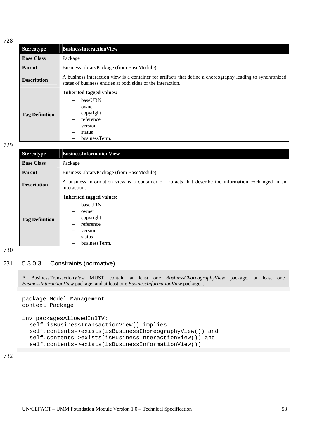| <b>Stereotype</b>     | <b>BusinessInteractionView</b>                                                                                                                                               |
|-----------------------|------------------------------------------------------------------------------------------------------------------------------------------------------------------------------|
| <b>Base Class</b>     | Package                                                                                                                                                                      |
| <b>Parent</b>         | BusinessLibraryPackage (from BaseModule)                                                                                                                                     |
| <b>Description</b>    | A business interaction view is a container for artifacts that define a choreography leading to synchronized<br>states of business entities at both sides of the interaction. |
| <b>Tag Definition</b> | <b>Inherited tagged values:</b><br>baseURN<br>owner<br>copyright<br>reference<br>version<br>status<br>businessTerm.<br>-                                                     |

### 729

| <b>Stereotype</b>     | <b>BusinessInformationView</b>                                                                                        |
|-----------------------|-----------------------------------------------------------------------------------------------------------------------|
| <b>Base Class</b>     | Package                                                                                                               |
| <b>Parent</b>         | BusinessLibraryPackage (from BaseModule)                                                                              |
| <b>Description</b>    | A business information view is a container of artifacts that describe the information exchanged in an<br>interaction. |
| <b>Tag Definition</b> | <b>Inherited tagged values:</b><br>baseURN<br>owner<br>copyright<br>reference<br>version<br>status<br>businessTerm.   |

## 730

## 731 5.3.0.3 Constraints (normative)

A BusinessTransaction*View* MUST contain at least one *BusinessChoreographyView* package, at least one *BusinessInteractionView* package, and at least one *BusinessInformationView* package. .

```
package Model_Management 
context Package 
inv packagesAllowedInBTV: 
   self.isBusinessTransactionView() implies 
   self.contents->exists(isBusinessChoreographyView()) and 
   self.contents->exists(isBusinessInteractionView()) and 
   self.contents->exists(isBusinessInformationView())
```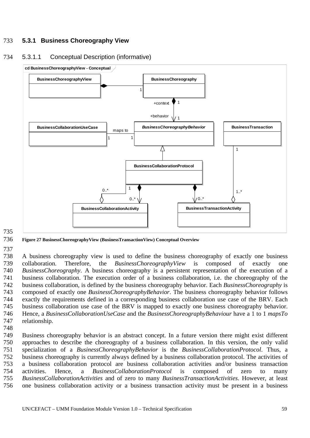# 733 **5.3.1 Business Choreography View**

## 734 5.3.1.1 Conceptual Description (informative)



#### 736 **Figure 27 BusinessChoreographyView (BusinessTransactionView) Conceptual Overview**

### 737

735

738 739 740 741 742 743 744 745 746 747 A business choreography view is used to define the business choreography of exactly one business collaboration. Therefore, the *BusinessChoreographyView* is composed of exactly one *BusinessChoreography*. A business choreography is a persistent representation of the execution of a business collaboration. The execution order of a business collaboration, i.e. the choreography of the business collaboration, is defined by the business choreography behavior. Each *BusinessChoreography* is composed of exactly one *BusinessChoreographyBehavior*. The business choreography behavior follows exactly the requirements defined in a corresponding business collaboration use case of the BRV. Each business collaboration use case of the BRV is mapped to exactly one business choreography behavior. Hence, a *BusinessCollaborationUseCase* and the *BusinessChoreographyBehaviour* have a 1 to 1 *mapsTo* relationship.

748

749 750 751 752 753 754 755 756 Business choreography behavior is an abstract concept. In a future version there might exist different approaches to describe the choreography of a business collaboration. In this version, the only valid specialization of a *BusinessChoreographyBehavior* is the *BusinessCollaborationProtocol*. Thus, a business choreography is currently always defined by a business collaboration protocol. The activities of a business collaboration protocol are business collaboration activities and/or business transaction activities. Hence, a *BusinessCollaborationProtocol* is composed of zero to many *BusinessCollaborationActivities* and of zero to many *BusinessTransactionActivities*. However, at least one business collaboration activity or a business transaction activity must be present in a business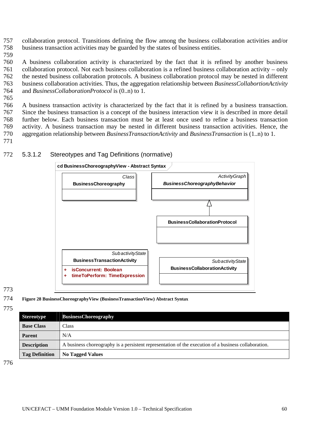757 758 collaboration protocol. Transitions defining the flow among the business collaboration activities and/or business transaction activities may be guarded by the states of business entities.

759

760 761 762 763 764 A business collaboration activity is characterized by the fact that it is refined by another business collaboration protocol. Not each business collaboration is a refined business collaboration activity – only the nested business collaboration protocols. A business collaboration protocol may be nested in different business collaboration activities. Thus, the aggregation relationship between *BusinessCollabortionActivity* and *BusinessCollaborationProtocol* is (0..n) to 1.

765

766 767 768 769 770 771 A business transaction activity is characterized by the fact that it is refined by a business transaction. Since the business transaction is a concept of the business interaction view it is described in more detail further below. Each business transaction must be at least once used to refine a business transaction activity. A business transaction may be nested in different business transaction activities. Hence, the aggregation relationship between *BusinessTransactionActivity* and *BusinessTransaction* is (1..n) to 1.

> **cd BusinessChoreographyView - Abstract Syntax** *Class ActivityGraph BusinessChoreographyBehavior* **BusinessChoreography** Л **BusinessCollaborationProtocol** *SubactivityState* **BusinessTransactionActivity** *SubactivityState* **BusinessCollaborationActivity [+ isConcurrent: Boolean](#page-17-0) [+ timeToPerform: TimeExpression](#page-17-0)**

### 772 5.3.1.2 Stereotypes and Tag Definitions (normative)

## 773

- 774 **Figure 28 BusinessChoreographyView (BusinessTransactionView) Abstract Syntax**
- 775

| <b>Stereotype</b>     | <b>BusinessChoreography</b>                                                                          |
|-----------------------|------------------------------------------------------------------------------------------------------|
| <b>Base Class</b>     | <b>Class</b>                                                                                         |
| <b>Parent</b>         | N/A                                                                                                  |
| <b>Description</b>    | A business choreography is a persistent representation of the execution of a business collaboration. |
| <b>Tag Definition</b> | <b>No Tagged Values</b>                                                                              |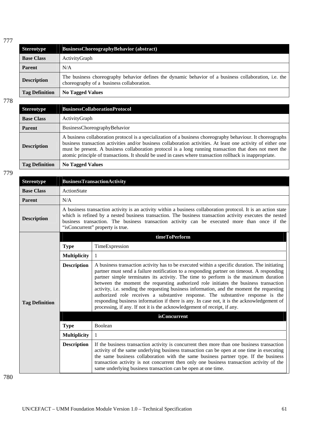| <b>Stereotype</b>     | <b>BusinessChoreographyBehavior (abstract)</b>                                                                                                     |  |
|-----------------------|----------------------------------------------------------------------------------------------------------------------------------------------------|--|
| <b>Base Class</b>     | ActivityGraph                                                                                                                                      |  |
| <b>Parent</b>         | N/A                                                                                                                                                |  |
| <b>Description</b>    | The business choreography behavior defines the dynamic behavior of a business collaboration, i.e. the<br>choreography of a business collaboration. |  |
| <b>Tag Definition</b> | <b>No Tagged Values</b>                                                                                                                            |  |

778

| <b>Stereotype</b>     | <b>BusinessCollaborationProtocol</b>                                                                                                                                                                                                                                                                                                                                                                                                                 |  |
|-----------------------|------------------------------------------------------------------------------------------------------------------------------------------------------------------------------------------------------------------------------------------------------------------------------------------------------------------------------------------------------------------------------------------------------------------------------------------------------|--|
| <b>Base Class</b>     | ActivityGraph                                                                                                                                                                                                                                                                                                                                                                                                                                        |  |
| <b>Parent</b>         | BusinessChoreographyBehavior                                                                                                                                                                                                                                                                                                                                                                                                                         |  |
| <b>Description</b>    | A business collaboration protocol is a specialization of a business choreography behaviour. It choreographs<br>business transaction activities and/or business collaboration activities. At least one activity of either one<br>must be present. A business collaboration protocol is a long running transaction that does not meet the<br>atomic principle of transactions. It should be used in cases where transaction rollback is inappropriate. |  |
| <b>Tag Definition</b> | <b>No Tagged Values</b>                                                                                                                                                                                                                                                                                                                                                                                                                              |  |

779

| <b>Stereotype</b>     | <b>BusinessTransactionActivity</b>                                                                                                                                                                                                                                                                                                                              |                                                                                                                                                                                                                                                                                                                                                                                                                                                                                                                                                                                                                                                                                                                                      |  |  |
|-----------------------|-----------------------------------------------------------------------------------------------------------------------------------------------------------------------------------------------------------------------------------------------------------------------------------------------------------------------------------------------------------------|--------------------------------------------------------------------------------------------------------------------------------------------------------------------------------------------------------------------------------------------------------------------------------------------------------------------------------------------------------------------------------------------------------------------------------------------------------------------------------------------------------------------------------------------------------------------------------------------------------------------------------------------------------------------------------------------------------------------------------------|--|--|
| <b>Base Class</b>     | <b>ActionState</b>                                                                                                                                                                                                                                                                                                                                              |                                                                                                                                                                                                                                                                                                                                                                                                                                                                                                                                                                                                                                                                                                                                      |  |  |
| <b>Parent</b>         | N/A                                                                                                                                                                                                                                                                                                                                                             |                                                                                                                                                                                                                                                                                                                                                                                                                                                                                                                                                                                                                                                                                                                                      |  |  |
| <b>Description</b>    | A business transaction activity is an activity within a business collaboration protocol. It is an action state<br>which is refined by a nested business transaction. The business transaction activity executes the nested<br>business transaction. The business transaction activity can be executed more than once if the<br>"isConcurrent" property is true. |                                                                                                                                                                                                                                                                                                                                                                                                                                                                                                                                                                                                                                                                                                                                      |  |  |
|                       |                                                                                                                                                                                                                                                                                                                                                                 | timeToPerform                                                                                                                                                                                                                                                                                                                                                                                                                                                                                                                                                                                                                                                                                                                        |  |  |
|                       | <b>Type</b>                                                                                                                                                                                                                                                                                                                                                     | TimeExpression                                                                                                                                                                                                                                                                                                                                                                                                                                                                                                                                                                                                                                                                                                                       |  |  |
|                       | <b>Multiplicity</b>                                                                                                                                                                                                                                                                                                                                             | 1                                                                                                                                                                                                                                                                                                                                                                                                                                                                                                                                                                                                                                                                                                                                    |  |  |
| <b>Tag Definition</b> | <b>Description</b>                                                                                                                                                                                                                                                                                                                                              | A business transaction activity has to be executed within a specific duration. The initiating<br>partner must send a failure notification to a responding partner on timeout. A responding<br>partner simple terminates its activity. The time to perform is the maximum duration<br>between the moment the requesting authorized role initiates the business transaction<br>activity, i.e. sending the requesting business information, and the moment the requesting<br>authorized role receives a substantive response. The substantive response is the<br>responding business information if there is any. In case not, it is the acknowledgement of<br>processing, if any. If not it is the acknowledgement of receipt, if any. |  |  |
|                       |                                                                                                                                                                                                                                                                                                                                                                 | <b>isConcurrent</b>                                                                                                                                                                                                                                                                                                                                                                                                                                                                                                                                                                                                                                                                                                                  |  |  |
|                       | <b>Type</b>                                                                                                                                                                                                                                                                                                                                                     | Boolean                                                                                                                                                                                                                                                                                                                                                                                                                                                                                                                                                                                                                                                                                                                              |  |  |
|                       | <b>Multiplicity</b>                                                                                                                                                                                                                                                                                                                                             |                                                                                                                                                                                                                                                                                                                                                                                                                                                                                                                                                                                                                                                                                                                                      |  |  |
|                       | <b>Description</b>                                                                                                                                                                                                                                                                                                                                              | If the business transaction activity is concurrent then more than one business transaction<br>activity of the same underlying business transaction can be open at one time in executing<br>the same business collaboration with the same business partner type. If the business<br>transaction activity is not concurrent then only one business transaction activity of the<br>same underlying business transaction can be open at one time.                                                                                                                                                                                                                                                                                        |  |  |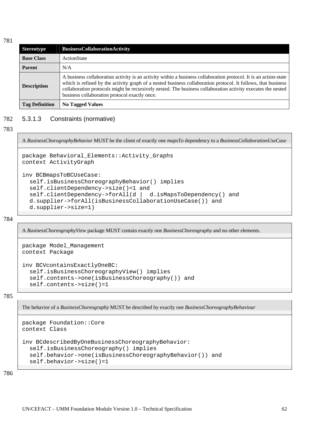| <b>Stereotype</b>     | <b>BusinessCollaborationActivity</b>                                                                                                                                                                                                                                                                                                                                                               |  |
|-----------------------|----------------------------------------------------------------------------------------------------------------------------------------------------------------------------------------------------------------------------------------------------------------------------------------------------------------------------------------------------------------------------------------------------|--|
| <b>Base Class</b>     | ActionState                                                                                                                                                                                                                                                                                                                                                                                        |  |
| <b>Parent</b>         | N/A                                                                                                                                                                                                                                                                                                                                                                                                |  |
| <b>Description</b>    | A business collaboration activity is an activity within a business collaboration protocol. It is an action-state<br>which is refined by the activity graph of a nested business collaboration protocol. It follows, that business<br>collaboration protocols might be recursively nested. The business collaboration activity executes the nested<br>business collaboration protocol exactly once. |  |
| <b>Tag Definition</b> | <b>No Tagged Values</b>                                                                                                                                                                                                                                                                                                                                                                            |  |

#### 782 5.3.1.3 Constraints (normative)

### 783

A *BusinessChorographyBehavior* MUST be the client of exactly one *mapsTo* dependency to a *BusinessCollaborationUseCase*

```
package Behavioral_Elements::Activity_Graphs 
context ActivityGraph
```

```
inv BCBmapsToBCUseCase: 
   self.isBusinessChoreographyBehavior() implies 
   self.clientDependency->size()=1 and 
   self.clientDependency->forAll(d | d.isMapsToDependency() and 
   d.supplier->forAll(isBusinessCollaborationUseCase()) and 
   d.supplier->size=1)
```
784

A *BusinessChoreographyView* package MUST contain exactly one *BusinessChoreography* and no other elements*.*

```
package Model_Management 
context Package 
inv BCVcontainsExactlyOneBC: 
   self.isBusinessChoreographyView() implies 
   self.contents->one(isBusinessChoreography()) and 
   self.contents->size()=1
```
785

The behavior of a *BusinessChoreography* MUST be described by exactly one *BusinessChoreographyBehaviour*

```
package Foundation::Core 
context Class 
inv BCdescribedByOneBusinessChoreographyBehavior: 
   self.isBusinessChoreography() implies 
   self.behavior->one(isBusinessChoreographyBehavior()) and 
   self.behavior->size()=1
```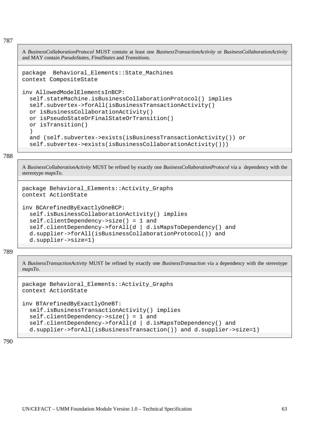A *BusinessCollaborationProtocol* MUST contain at least one *BusinessTransactionActivity* or *BusinessCollaborationActivity* and MAY contain *PseudoStates*, *FinalStates* and *Transitions*.

```
package Behavioral_Elements::State_Machines 
context CompositeState
```

```
inv AllowedModelElementsInBCP: 
   self.stateMachine.isBusinessCollaborationProtocol() implies 
   self.subvertex->forAll(isBusinessTransactionActivity() 
   or isBusinessCollaborationActivity() 
   or isPseudoStateOrFinalStateOrTransition() 
   or isTransition() 
   ) 
   and (self.subvertex->exists(isBusinessTransactionActivity()) or
```

```
 self.subvertex->exists(isBusinessCollaborationActivity()))
```
788

A *BusinessCollaborationActivity* MUST be refined by exactly one *BusinessCollaborationProtocol* via a dependency with the stereotype *mapsTo*.

```
package Behavioral_Elements::Activity_Graphs 
context ActionState
```

```
inv BCArefinedByExactlyOneBCP: 
   self.isBusinessCollaborationActivity() implies 
   self.clientDependency->size() = 1 and 
   self.clientDependency->forAll(d | d.isMapsToDependency() and 
   d.supplier->forAll(isBusinessCollaborationProtocol()) and 
   d.supplier->size=1)
```
789

A *BusinessTransactionActivity* MUST be refined by exactly one *BusinessTransaction* via a dependency with the stereotype *mapsTo*.

```
package Behavioral_Elements::Activity_Graphs 
context ActionState
```

```
inv BTArefinedByExactlyOneBT: 
   self.isBusinessTransactionActivity() implies 
   self.clientDependency->size() = 1 and 
   self.clientDependency->forAll(d | d.isMapsToDependency() and 
   d.supplier->forAll(isBusinessTransaction()) and d.supplier->size=1)
```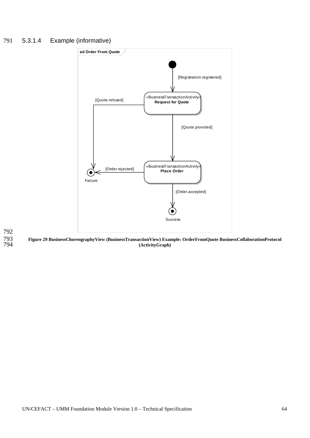# 791 5.3.1.4 Example (informative)



792 793 794

**Figure 29 BusinessChoreographyView (BusinessTransactionView) Example: OrderFromQuote BusinessCollaborationProtocol (ActivityGraph)**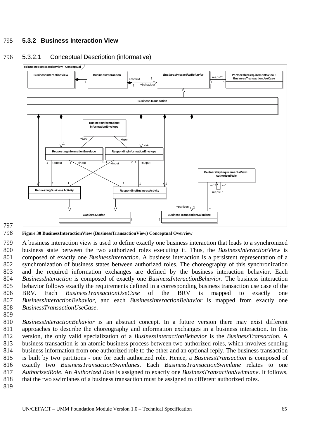# 795 **5.3.2 Business Interaction View**



# 796 5.3.2.1 Conceptual Description (informative)

797

798 **Figure 30 BusinessInteractionView (BusinessTransactionView) Conceptual Overview** 

799 800 801 802 803 804 805 806 807 808 A business interaction view is used to define exactly one business interaction that leads to a synchronized business state between the two authorized roles executing it. Thus, the *BusinessInteractionView* is composed of exactly one *BusinessInteraction*. A business interaction is a persistent representation of a synchronization of business states between authorized roles. The choreography of this synchronization and the required information exchanges are defined by the business interaction behavior. Each *BusinessInteraction* is composed of exactly one *BusinessInteractionBehavior*. The business interaction behavior follows exactly the requirements defined in a corresponding business transaction use case of the BRV. Each *BusinessTransactionUseCase* of the BRV is mapped to exactly one *BusinessInteractionBehavior*, and each *BusinessInteractionBehavior* is mapped from exactly one *BusinessTransactionUseCase*.

809

810 811 812 813 814 815 816 817 818 *BusinessInteractionBehavior* is an abstract concept. In a future version there may exist different approaches to describe the choreography and information exchanges in a business interaction. In this version, the only valid specialization of a *BusinessInteractionBehavior* is the *BusinessTransaction*. A business transaction is an atomic business process between two authorized roles, which involves sending business information from one authorized role to the other and an optional reply. The business transaction is built by two partitions - one for each authorized role. Hence, a *BusinessTransaction* is composed of exactly two *BusinessTransactionSwimlanes*. Each *BusinessTransactionSwimlane* relates to one *AuthorizedRole*. An *Authorized Role* is assigned to exactly one *BusinessTransactionSwimlane*. It follows, that the two swimlanes of a business transaction must be assigned to different authorized roles.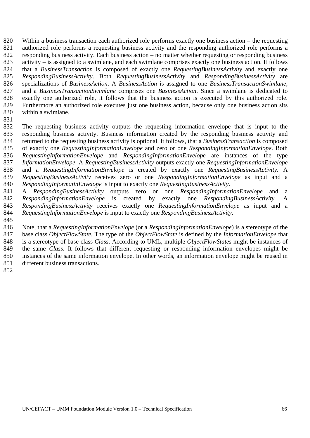820 821 822 823 824 825 826 827 828 829 830 Within a business transaction each authorized role performs exactly one business action – the requesting authorized role performs a requesting business activity and the responding authorized role performs a responding business activity. Each business action – no matter whether requesting or responding business activity – is assigned to a swimlane, and each swimlane comprises exactly one business action. It follows that a *BusinessTransaction* is composed of exactly one *RequestingBusinessActivity* and exactly one *RespondingBusinessActivity*. Both *RequestingBusinessActivity* and *RespondingBusinessActivity* are specializations of *BusinessAction*. A *BusinessAction* is assigned to one *BusinessTransactionSwimlane*, and a *BusinessTransactionSwimlane* comprises one *BusinessAction*. Since a swimlane is dedicated to exactly one authorized role, it follows that the business action is executed by this authorized role. Furthermore an authorized role executes just one business action, because only one business action sits within a swimlane.

831

832 833 834 835 836 837 838 839 840 The requesting business activity outputs the requesting information envelope that is input to the responding business activity. Business information created by the responding business activity and returned to the requesting business activity is optional. It follows, that a *BusinessTransaction* is composed of exactly one *RequestingInformationEnvelope* and zero or one *RespondingInformationEnvelope*. Both *RequestingInformationEnvelope* and *RespondingInformationEnvelope* are instances of the type *InformationEnvelope*. A *RequestingBusinessActivity* outputs exactly one *RequestingInformationEnvelope* and a *RequestingInformationEnvelope* is created by exactly one *RequestingBusinessActivity*. A *RequestingBusinessActivity* receives zero or one *RespondingInformationEnvelope* as input and a *RespondingInformatinEnvelope* is input to exactly one *RequestingBusinessActivity*.

841 842 843 844 A *RespondingBusinessActivity* outputs zero or one *RespondingInformationEnvelope* and a *RespondingInformationEnvelope* is created by exactly one *RespondingBusinessActivity*. A *RespondingBusinessActivity* receives exactly one *RequestingInformationEnvelope* as input and a *RequestingInformationEnvelope* is input to exactly one *RespondingBusinessActivity*.

845

846 847 848 849 850 851 Note, that a *RequestingInformationEnvelope* (or a *RespondingInformationEnvelope*) is a stereotype of the base class *ObjectFlowState.* The type of the *ObjectFlowState* is defined by the *InformationEnvelope* that is a stereotype of base class *Class*. According to UML, multiple *ObjectFlowStates* might be instances of the same *Class*. It follows that different requesting or responding information envelopes might be instances of the same information envelope. In other words, an information envelope might be reused in different business transactions.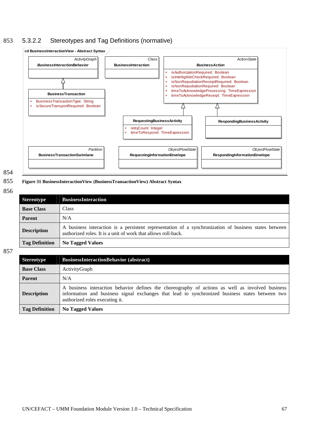# 853 5.3.2.2 Stereotypes and Tag Definitions (normative)



854

#### 855 **Figure 31 BusinessInteractionView (BusinessTransactionView) Abstract Syntax**

856

| <b>Stereotype</b>     | <b>BusinessInteraction</b>                                                                                                                                             |
|-----------------------|------------------------------------------------------------------------------------------------------------------------------------------------------------------------|
| <b>Base Class</b>     | Class                                                                                                                                                                  |
| <b>Parent</b>         | N/A                                                                                                                                                                    |
| <b>Description</b>    | A business interaction is a persistent representation of a synchronization of business states between<br>authorized roles. It is a unit of work that allows roll-back. |
| <b>Tag Definition</b> | <b>No Tagged Values</b>                                                                                                                                                |

| <b>Stereotype</b>     | <b>BusinessInteractionBehavior (abstract)</b>                                                                                                                                                                                         |  |  |
|-----------------------|---------------------------------------------------------------------------------------------------------------------------------------------------------------------------------------------------------------------------------------|--|--|
| <b>Base Class</b>     | ActivityGraph                                                                                                                                                                                                                         |  |  |
| <b>Parent</b>         | N/A                                                                                                                                                                                                                                   |  |  |
| <b>Description</b>    | A business interaction behavior defines the choreography of actions as well as involved business<br>information and business signal exchanges that lead to synchronized business states between two<br>authorized roles executing it. |  |  |
| <b>Tag Definition</b> | <b>No Tagged Values</b>                                                                                                                                                                                                               |  |  |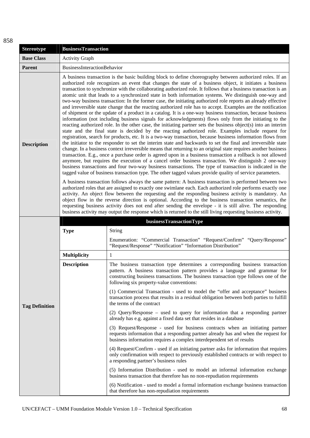| <b>Stereotype</b>     | <b>BusinessTransaction</b>                                                                                                                                                                                                                                                                                                                                                                                                                                                                                                                                 |                                                                                                                                                                                                                                                                                                                                                                                                                                                                                                                                                                                                                                                                                                                                                                                                                                                                                                                                                                                                                                                                                                                                                                                                                                                                                                                                                                                                                                                                                                                                                                                                                                                                                                                                                                                                                                                                                                                                                                                                                                                      |  |
|-----------------------|------------------------------------------------------------------------------------------------------------------------------------------------------------------------------------------------------------------------------------------------------------------------------------------------------------------------------------------------------------------------------------------------------------------------------------------------------------------------------------------------------------------------------------------------------------|------------------------------------------------------------------------------------------------------------------------------------------------------------------------------------------------------------------------------------------------------------------------------------------------------------------------------------------------------------------------------------------------------------------------------------------------------------------------------------------------------------------------------------------------------------------------------------------------------------------------------------------------------------------------------------------------------------------------------------------------------------------------------------------------------------------------------------------------------------------------------------------------------------------------------------------------------------------------------------------------------------------------------------------------------------------------------------------------------------------------------------------------------------------------------------------------------------------------------------------------------------------------------------------------------------------------------------------------------------------------------------------------------------------------------------------------------------------------------------------------------------------------------------------------------------------------------------------------------------------------------------------------------------------------------------------------------------------------------------------------------------------------------------------------------------------------------------------------------------------------------------------------------------------------------------------------------------------------------------------------------------------------------------------------------|--|
| <b>Base Class</b>     | <b>Activity Graph</b>                                                                                                                                                                                                                                                                                                                                                                                                                                                                                                                                      |                                                                                                                                                                                                                                                                                                                                                                                                                                                                                                                                                                                                                                                                                                                                                                                                                                                                                                                                                                                                                                                                                                                                                                                                                                                                                                                                                                                                                                                                                                                                                                                                                                                                                                                                                                                                                                                                                                                                                                                                                                                      |  |
| Parent                | BusinessInteractionBehavior                                                                                                                                                                                                                                                                                                                                                                                                                                                                                                                                |                                                                                                                                                                                                                                                                                                                                                                                                                                                                                                                                                                                                                                                                                                                                                                                                                                                                                                                                                                                                                                                                                                                                                                                                                                                                                                                                                                                                                                                                                                                                                                                                                                                                                                                                                                                                                                                                                                                                                                                                                                                      |  |
| <b>Description</b>    |                                                                                                                                                                                                                                                                                                                                                                                                                                                                                                                                                            | A business transaction is the basic building block to define choreography between authorized roles. If an<br>authorized role recognizes an event that changes the state of a business object, it initiates a business<br>transaction to synchronize with the collaborating authorized role. It follows that a business transaction is an<br>atomic unit that leads to a synchronized state in both information systems. We distinguish one-way and<br>two-way business transaction: In the former case, the initiating authorized role reports an already effective<br>and irreversible state change that the reacting authorized role has to accept. Examples are the notification<br>of shipment or the update of a product in a catalog. It is a one-way business transaction, because business<br>information (not including business signals for acknowledgments) flows only from the initiating to the<br>reacting authorized role. In the other case, the initiating partner sets the business object(s) into an interim<br>state and the final state is decided by the reacting authorized role. Examples include request for<br>registration, search for products, etc. It is a two-way transaction, because business information flows from<br>the initiator to the responder to set the interim state and backwards to set the final and irreversible state<br>change. In a business context irreversible means that returning to an original state requires another business<br>transaction. E.g., once a purchase order is agreed upon in a business transaction a rollback is not allowed<br>anymore, but requires the execution of a cancel order business transaction. We distinguish 2 one-way<br>business transactions and four two-way business transactions. The type of transaction is indicated in the<br>tagged value of business transaction type. The other tagged values provide quality of service parameters.<br>A business transaction follows always the same pattern: A business transaction is performed between two |  |
|                       | authorized roles that are assigned to exactly one swimlane each. Each authorized role performs exactly one<br>activity. An object flow between the requesting and the responding business activity is mandatory. An<br>object flow in the reverse direction is optional. According to the business transaction semantics, the<br>requesting business activity does not end after sending the envelope - it is still alive. The responding<br>business activity may output the response which is returned to the still living requesting business activity. |                                                                                                                                                                                                                                                                                                                                                                                                                                                                                                                                                                                                                                                                                                                                                                                                                                                                                                                                                                                                                                                                                                                                                                                                                                                                                                                                                                                                                                                                                                                                                                                                                                                                                                                                                                                                                                                                                                                                                                                                                                                      |  |
|                       |                                                                                                                                                                                                                                                                                                                                                                                                                                                                                                                                                            | businessTransactionType                                                                                                                                                                                                                                                                                                                                                                                                                                                                                                                                                                                                                                                                                                                                                                                                                                                                                                                                                                                                                                                                                                                                                                                                                                                                                                                                                                                                                                                                                                                                                                                                                                                                                                                                                                                                                                                                                                                                                                                                                              |  |
|                       | <b>Type</b>                                                                                                                                                                                                                                                                                                                                                                                                                                                                                                                                                | String                                                                                                                                                                                                                                                                                                                                                                                                                                                                                                                                                                                                                                                                                                                                                                                                                                                                                                                                                                                                                                                                                                                                                                                                                                                                                                                                                                                                                                                                                                                                                                                                                                                                                                                                                                                                                                                                                                                                                                                                                                               |  |
|                       |                                                                                                                                                                                                                                                                                                                                                                                                                                                                                                                                                            | Enumeration: "Commercial Transaction" "Request/Confirm" "Query/Response"<br>"Request/Response" "Notification" "Information Distribution"                                                                                                                                                                                                                                                                                                                                                                                                                                                                                                                                                                                                                                                                                                                                                                                                                                                                                                                                                                                                                                                                                                                                                                                                                                                                                                                                                                                                                                                                                                                                                                                                                                                                                                                                                                                                                                                                                                             |  |
|                       | <b>Multiplicity</b>                                                                                                                                                                                                                                                                                                                                                                                                                                                                                                                                        | 1                                                                                                                                                                                                                                                                                                                                                                                                                                                                                                                                                                                                                                                                                                                                                                                                                                                                                                                                                                                                                                                                                                                                                                                                                                                                                                                                                                                                                                                                                                                                                                                                                                                                                                                                                                                                                                                                                                                                                                                                                                                    |  |
| <b>Tag Definition</b> | <b>Description</b>                                                                                                                                                                                                                                                                                                                                                                                                                                                                                                                                         | The business transaction type determines a corresponding business transaction<br>pattern. A business transaction pattern provides a language and grammar for<br>constructing business transactions. The business transaction type follows one of the<br>following six property-value conventions:                                                                                                                                                                                                                                                                                                                                                                                                                                                                                                                                                                                                                                                                                                                                                                                                                                                                                                                                                                                                                                                                                                                                                                                                                                                                                                                                                                                                                                                                                                                                                                                                                                                                                                                                                    |  |
|                       |                                                                                                                                                                                                                                                                                                                                                                                                                                                                                                                                                            | (1) Commercial Transaction - used to model the "offer and acceptance" business<br>transaction process that results in a residual obligation between both parties to fulfill<br>the terms of the contract                                                                                                                                                                                                                                                                                                                                                                                                                                                                                                                                                                                                                                                                                                                                                                                                                                                                                                                                                                                                                                                                                                                                                                                                                                                                                                                                                                                                                                                                                                                                                                                                                                                                                                                                                                                                                                             |  |
|                       |                                                                                                                                                                                                                                                                                                                                                                                                                                                                                                                                                            | (2) Query/Response – used to query for information that a responding partner<br>already has e.g. against a fixed data set that resides in a database                                                                                                                                                                                                                                                                                                                                                                                                                                                                                                                                                                                                                                                                                                                                                                                                                                                                                                                                                                                                                                                                                                                                                                                                                                                                                                                                                                                                                                                                                                                                                                                                                                                                                                                                                                                                                                                                                                 |  |
|                       |                                                                                                                                                                                                                                                                                                                                                                                                                                                                                                                                                            | (3) Request/Response - used for business contracts when an initiating partner<br>requests information that a responding partner already has and when the request for<br>business information requires a complex interdependent set of results                                                                                                                                                                                                                                                                                                                                                                                                                                                                                                                                                                                                                                                                                                                                                                                                                                                                                                                                                                                                                                                                                                                                                                                                                                                                                                                                                                                                                                                                                                                                                                                                                                                                                                                                                                                                        |  |
|                       |                                                                                                                                                                                                                                                                                                                                                                                                                                                                                                                                                            | (4) Request/Confirm - used if an initiating partner asks for information that requires<br>only confirmation with respect to previously established contracts or with respect to<br>a responding partner's business rules                                                                                                                                                                                                                                                                                                                                                                                                                                                                                                                                                                                                                                                                                                                                                                                                                                                                                                                                                                                                                                                                                                                                                                                                                                                                                                                                                                                                                                                                                                                                                                                                                                                                                                                                                                                                                             |  |
|                       |                                                                                                                                                                                                                                                                                                                                                                                                                                                                                                                                                            | (5) Information Distribution - used to model an informal information exchange<br>business transaction that therefore has no non-repudiation requirements                                                                                                                                                                                                                                                                                                                                                                                                                                                                                                                                                                                                                                                                                                                                                                                                                                                                                                                                                                                                                                                                                                                                                                                                                                                                                                                                                                                                                                                                                                                                                                                                                                                                                                                                                                                                                                                                                             |  |
|                       |                                                                                                                                                                                                                                                                                                                                                                                                                                                                                                                                                            | (6) Notification - used to model a formal information exchange business transaction<br>that therefore has non-repudiation requirements                                                                                                                                                                                                                                                                                                                                                                                                                                                                                                                                                                                                                                                                                                                                                                                                                                                                                                                                                                                                                                                                                                                                                                                                                                                                                                                                                                                                                                                                                                                                                                                                                                                                                                                                                                                                                                                                                                               |  |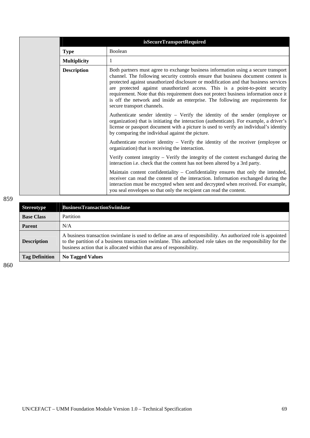|                     | isSecureTransportRequired                                                                                                                                                                                                                                                                                                                                                                                                                                                                                                                                 |
|---------------------|-----------------------------------------------------------------------------------------------------------------------------------------------------------------------------------------------------------------------------------------------------------------------------------------------------------------------------------------------------------------------------------------------------------------------------------------------------------------------------------------------------------------------------------------------------------|
| <b>Type</b>         | Boolean                                                                                                                                                                                                                                                                                                                                                                                                                                                                                                                                                   |
| <b>Multiplicity</b> | 1                                                                                                                                                                                                                                                                                                                                                                                                                                                                                                                                                         |
| <b>Description</b>  | Both partners must agree to exchange business information using a secure transport<br>channel. The following security controls ensure that business document content is<br>protected against unauthorized disclosure or modification and that business services<br>are protected against unauthorized access. This is a point-to-point security<br>requirement. Note that this requirement does not protect business information once it<br>is off the network and inside an enterprise. The following are requirements for<br>secure transport channels. |
|                     | Authenticate sender identity $-$ Verify the identity of the sender (employee or<br>organization) that is initiating the interaction (authenticate). For example, a driver's<br>license or passport document with a picture is used to verify an individual's identity<br>by comparing the individual against the picture.                                                                                                                                                                                                                                 |
|                     | Authenticate receiver identity – Verify the identity of the receiver (employee or<br>organization) that is receiving the interaction.                                                                                                                                                                                                                                                                                                                                                                                                                     |
|                     | Verify content integrity $-$ Verify the integrity of the content exchanged during the<br>interaction i.e. check that the content has not been altered by a 3rd party.                                                                                                                                                                                                                                                                                                                                                                                     |
|                     | Maintain content confidentiality - Confidentiality ensures that only the intended,<br>receiver can read the content of the interaction. Information exchanged during the<br>interaction must be encrypted when sent and decrypted when received. For example,<br>you seal envelopes so that only the recipient can read the content.                                                                                                                                                                                                                      |

| <b>Stereotype</b>     | <b>BusinessTransactionSwimlane</b>                                                                                                                                                                                                                                                                     |
|-----------------------|--------------------------------------------------------------------------------------------------------------------------------------------------------------------------------------------------------------------------------------------------------------------------------------------------------|
| <b>Base Class</b>     | Partition                                                                                                                                                                                                                                                                                              |
| <b>Parent</b>         | N/A                                                                                                                                                                                                                                                                                                    |
| <b>Description</b>    | A business transaction swimlane is used to define an area of responsibility. An authorized role is appointed<br>to the partition of a business transaction swimlane. This authorized role takes on the responsibility for the<br>business action that is allocated within that area of responsibility. |
| <b>Tag Definition</b> | <b>No Tagged Values</b>                                                                                                                                                                                                                                                                                |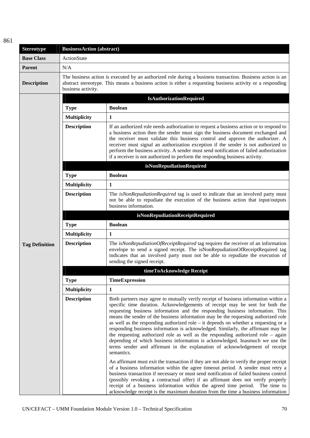| <b>Stereotype</b>     | <b>BusinessAction (abstract)</b>                                                                                                                                                                                                               |                                                                                                                                                                                                                                                                                                                                                                                                                                                                                                                                                                                                                                                                                                                                                                                            |  |
|-----------------------|------------------------------------------------------------------------------------------------------------------------------------------------------------------------------------------------------------------------------------------------|--------------------------------------------------------------------------------------------------------------------------------------------------------------------------------------------------------------------------------------------------------------------------------------------------------------------------------------------------------------------------------------------------------------------------------------------------------------------------------------------------------------------------------------------------------------------------------------------------------------------------------------------------------------------------------------------------------------------------------------------------------------------------------------------|--|
| <b>Base Class</b>     | ActionState                                                                                                                                                                                                                                    |                                                                                                                                                                                                                                                                                                                                                                                                                                                                                                                                                                                                                                                                                                                                                                                            |  |
| Parent                | N/A                                                                                                                                                                                                                                            |                                                                                                                                                                                                                                                                                                                                                                                                                                                                                                                                                                                                                                                                                                                                                                                            |  |
| <b>Description</b>    | The business action is executed by an authorized role during a business transaction. Business action is an<br>abstract stereotype. This means a business action is either a requesting business activity or a responding<br>business activity. |                                                                                                                                                                                                                                                                                                                                                                                                                                                                                                                                                                                                                                                                                                                                                                                            |  |
|                       |                                                                                                                                                                                                                                                | <b>IsAuthorizationRequired</b>                                                                                                                                                                                                                                                                                                                                                                                                                                                                                                                                                                                                                                                                                                                                                             |  |
|                       | <b>Type</b>                                                                                                                                                                                                                                    | <b>Boolean</b>                                                                                                                                                                                                                                                                                                                                                                                                                                                                                                                                                                                                                                                                                                                                                                             |  |
|                       | <b>Multiplicity</b>                                                                                                                                                                                                                            | 1                                                                                                                                                                                                                                                                                                                                                                                                                                                                                                                                                                                                                                                                                                                                                                                          |  |
|                       | <b>Description</b>                                                                                                                                                                                                                             | If an authorized role needs authorization to request a business action or to respond to<br>a business action then the sender must sign the business document exchanged and<br>the receiver must validate this business control and approve the authorizer. A<br>receiver must signal an authorization exception if the sender is not authorized to<br>perform the business activity. A sender must send notification of failed authorization<br>if a receiver is not authorized to perform the responding business activity.                                                                                                                                                                                                                                                               |  |
|                       |                                                                                                                                                                                                                                                | isNonRepudiationRequired                                                                                                                                                                                                                                                                                                                                                                                                                                                                                                                                                                                                                                                                                                                                                                   |  |
|                       | <b>Type</b>                                                                                                                                                                                                                                    | <b>Boolean</b>                                                                                                                                                                                                                                                                                                                                                                                                                                                                                                                                                                                                                                                                                                                                                                             |  |
|                       | <b>Multiplicity</b>                                                                                                                                                                                                                            | $\mathbf{1}$                                                                                                                                                                                                                                                                                                                                                                                                                                                                                                                                                                                                                                                                                                                                                                               |  |
|                       | <b>Description</b>                                                                                                                                                                                                                             | The isNonRepudiationRequired tag is used to indicate that an involved party must<br>not be able to repudiate the execution of the business action that input/outputs<br>business information.                                                                                                                                                                                                                                                                                                                                                                                                                                                                                                                                                                                              |  |
|                       |                                                                                                                                                                                                                                                | isNonRepudiationReceiptRequired                                                                                                                                                                                                                                                                                                                                                                                                                                                                                                                                                                                                                                                                                                                                                            |  |
|                       | <b>Type</b>                                                                                                                                                                                                                                    | <b>Boolean</b>                                                                                                                                                                                                                                                                                                                                                                                                                                                                                                                                                                                                                                                                                                                                                                             |  |
|                       | Multiplicity                                                                                                                                                                                                                                   | $\mathbf{1}$                                                                                                                                                                                                                                                                                                                                                                                                                                                                                                                                                                                                                                                                                                                                                                               |  |
| <b>Tag Definition</b> | <b>Description</b>                                                                                                                                                                                                                             | The isNonRepudiationOfReceiptRequired tag requires the receiver of an information<br>envelope to send a signed receipt. The isNonRepudiationOfReceiptRequired tag<br>indicates that an involved party must not be able to repudiate the execution of<br>sending the signed receipt.                                                                                                                                                                                                                                                                                                                                                                                                                                                                                                        |  |
|                       |                                                                                                                                                                                                                                                | timeToAcknowledge Receipt                                                                                                                                                                                                                                                                                                                                                                                                                                                                                                                                                                                                                                                                                                                                                                  |  |
|                       | <b>Type</b>                                                                                                                                                                                                                                    | TimeExpression                                                                                                                                                                                                                                                                                                                                                                                                                                                                                                                                                                                                                                                                                                                                                                             |  |
|                       | Multiplicity                                                                                                                                                                                                                                   | 1                                                                                                                                                                                                                                                                                                                                                                                                                                                                                                                                                                                                                                                                                                                                                                                          |  |
|                       | <b>Description</b>                                                                                                                                                                                                                             | Both partners may agree to mutually verify receipt of business information within a<br>specific time duration. Acknowledgements of receipt may be sent for both the<br>requesting business information and the responding business information. This<br>means the sender of the business information may be the requesting authorized role<br>as well as the responding authorized role $-$ it depends on whether a requesting or a<br>responding business information is acknowledged. Similarly, the affirmant may be<br>the requesting authorized role as well as the responding authorized role $-$ again<br>depending of which business information is acknowledged. Inasmuch we use the<br>terms sender and affirmant in the explanation of acknowledgement of receipt<br>semantics. |  |
|                       |                                                                                                                                                                                                                                                | An affirmant must exit the transaction if they are not able to verify the proper receipt<br>of a business information within the agree timeout period. A sender must retry a<br>business transaction if necessary or must send notification of failed business control<br>(possibly revoking a contractual offer) if an affirmant does not verify properly<br>receipt of a business information within the agreed time period. The time to<br>acknowledge receipt is the maximum duration from the time a business information                                                                                                                                                                                                                                                             |  |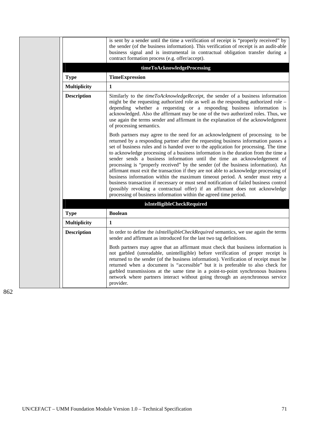|  |                     | is sent by a sender until the time a verification of receipt is "properly received" by<br>the sender (of the business information). This verification of receipt is an audit-able<br>business signal and is instrumental in contractual obligation transfer during a<br>contract formation process (e.g. offer/accept).                                                                                                                                                                                                                                                                                                                                                                                                                                                                                                                                                                                                                       |
|--|---------------------|-----------------------------------------------------------------------------------------------------------------------------------------------------------------------------------------------------------------------------------------------------------------------------------------------------------------------------------------------------------------------------------------------------------------------------------------------------------------------------------------------------------------------------------------------------------------------------------------------------------------------------------------------------------------------------------------------------------------------------------------------------------------------------------------------------------------------------------------------------------------------------------------------------------------------------------------------|
|  |                     | timeToAcknowledgeProcessing                                                                                                                                                                                                                                                                                                                                                                                                                                                                                                                                                                                                                                                                                                                                                                                                                                                                                                                   |
|  | <b>Type</b>         | <b>TimeExpression</b>                                                                                                                                                                                                                                                                                                                                                                                                                                                                                                                                                                                                                                                                                                                                                                                                                                                                                                                         |
|  | <b>Multiplicity</b> | 1                                                                                                                                                                                                                                                                                                                                                                                                                                                                                                                                                                                                                                                                                                                                                                                                                                                                                                                                             |
|  | <b>Description</b>  | Similarly to the <i>timeToAcknowledgeReceipt</i> , the sender of a business information<br>might be the requesting authorized role as well as the responding authorized role –<br>depending whether a requesting or a responding business information is<br>acknowledged. Also the affirmant may be one of the two authorized roles. Thus, we<br>use again the terms sender and affirmant in the explanation of the acknowledgment<br>of processing semantics.                                                                                                                                                                                                                                                                                                                                                                                                                                                                                |
|  |                     | Both partners may agree to the need for an acknowledgment of processing to be<br>returned by a responding partner after the requesting business information passes a<br>set of business rules and is handed over to the application for processing. The time<br>to acknowledge processing of a business information is the duration from the time a<br>sender sends a business information until the time an acknowledgement of<br>processing is "properly received" by the sender (of the business information). An<br>affirmant must exit the transaction if they are not able to acknowledge processing of<br>business information within the maximum timeout period. A sender must retry a<br>business transaction if necessary or must send notification of failed business control<br>(possibly revoking a contractual offer) if an affirmant does not acknowledge<br>processing of business information within the agreed time period. |
|  |                     | isIntelligibleCheckRequired                                                                                                                                                                                                                                                                                                                                                                                                                                                                                                                                                                                                                                                                                                                                                                                                                                                                                                                   |
|  | <b>Type</b>         | <b>Boolean</b>                                                                                                                                                                                                                                                                                                                                                                                                                                                                                                                                                                                                                                                                                                                                                                                                                                                                                                                                |
|  | <b>Multiplicity</b> | 1                                                                                                                                                                                                                                                                                                                                                                                                                                                                                                                                                                                                                                                                                                                                                                                                                                                                                                                                             |
|  | <b>Description</b>  | In order to define the <i>isIntelligibleCheckRequired</i> semantics, we use again the terms<br>sender and affirmant as introduced for the last two tag definitions.                                                                                                                                                                                                                                                                                                                                                                                                                                                                                                                                                                                                                                                                                                                                                                           |
|  |                     | Both partners may agree that an affirmant must check that business information is<br>not garbled (unreadable, unintelligible) before verification of proper receipt is<br>returned to the sender (of the business information). Verification of receipt must be<br>returned when a document is "accessible" but it is preferable to also check for<br>garbled transmissions at the same time in a point-to-point synchronous business<br>network where partners interact without going through an asynchronous service<br>provider.                                                                                                                                                                                                                                                                                                                                                                                                           |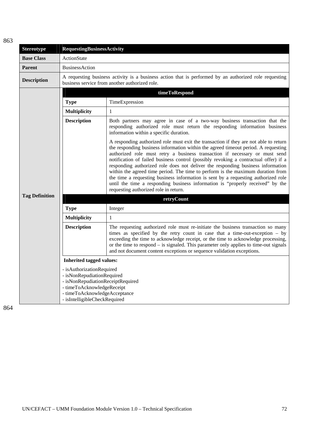| <b>Stereotype</b>     | <b>RequestingBusinessActivity</b>                                                                                                                                                            |                                                                                                                                                                                                                                                                                                                                                                                                                                                                                                                                                                                                                                                                                                                                           |
|-----------------------|----------------------------------------------------------------------------------------------------------------------------------------------------------------------------------------------|-------------------------------------------------------------------------------------------------------------------------------------------------------------------------------------------------------------------------------------------------------------------------------------------------------------------------------------------------------------------------------------------------------------------------------------------------------------------------------------------------------------------------------------------------------------------------------------------------------------------------------------------------------------------------------------------------------------------------------------------|
| <b>Base Class</b>     | ActionState                                                                                                                                                                                  |                                                                                                                                                                                                                                                                                                                                                                                                                                                                                                                                                                                                                                                                                                                                           |
| <b>Parent</b>         | <b>BusinessAction</b>                                                                                                                                                                        |                                                                                                                                                                                                                                                                                                                                                                                                                                                                                                                                                                                                                                                                                                                                           |
| <b>Description</b>    | A requesting business activity is a business action that is performed by an authorized role requesting<br>business service from another authorized role.                                     |                                                                                                                                                                                                                                                                                                                                                                                                                                                                                                                                                                                                                                                                                                                                           |
|                       |                                                                                                                                                                                              | timeToRespond                                                                                                                                                                                                                                                                                                                                                                                                                                                                                                                                                                                                                                                                                                                             |
|                       | <b>Type</b>                                                                                                                                                                                  | TimeExpression                                                                                                                                                                                                                                                                                                                                                                                                                                                                                                                                                                                                                                                                                                                            |
|                       | <b>Multiplicity</b>                                                                                                                                                                          | $\mathbf{1}$                                                                                                                                                                                                                                                                                                                                                                                                                                                                                                                                                                                                                                                                                                                              |
|                       | <b>Description</b>                                                                                                                                                                           | Both partners may agree in case of a two-way business transaction that the<br>responding authorized role must return the responding information business<br>information within a specific duration.                                                                                                                                                                                                                                                                                                                                                                                                                                                                                                                                       |
|                       |                                                                                                                                                                                              | A responding authorized role must exit the transaction if they are not able to return<br>the responding business information within the agreed timeout period. A requesting<br>authorized role must retry a business transaction if necessary or must send<br>notification of failed business control (possibly revoking a contractual offer) if a<br>responding authorized role does not deliver the responding business information<br>within the agreed time period. The time to perform is the maximum duration from<br>the time a requesting business information is sent by a requesting authorized role<br>until the time a responding business information is "properly received" by the<br>requesting authorized role in return. |
| <b>Tag Definition</b> |                                                                                                                                                                                              | retryCount                                                                                                                                                                                                                                                                                                                                                                                                                                                                                                                                                                                                                                                                                                                                |
|                       | <b>Type</b>                                                                                                                                                                                  | Integer                                                                                                                                                                                                                                                                                                                                                                                                                                                                                                                                                                                                                                                                                                                                   |
|                       | <b>Multiplicity</b>                                                                                                                                                                          | $\mathbf{1}$                                                                                                                                                                                                                                                                                                                                                                                                                                                                                                                                                                                                                                                                                                                              |
|                       | <b>Description</b>                                                                                                                                                                           | The requesting authorized role must re-initiate the business transaction so many<br>times as specified by the retry count in case that a time-out-exception - by<br>exceeding the time to acknowledge receipt, or the time to acknowledge processing,<br>or the time to respond $-$ is signaled. This parameter only applies to time-out signals<br>and not document content exceptions or sequence validation exceptions.                                                                                                                                                                                                                                                                                                                |
|                       | <b>Inherited tagged values:</b>                                                                                                                                                              |                                                                                                                                                                                                                                                                                                                                                                                                                                                                                                                                                                                                                                                                                                                                           |
|                       | - isAuthorizationRequired<br>- isNonRepudiationRequired<br>- isNonRepudiationReceiptRequired<br>- timeToAcknowledgeReceipt<br>- timeToAcknowledgeAcceptance<br>- isIntelligibleCheckRequired |                                                                                                                                                                                                                                                                                                                                                                                                                                                                                                                                                                                                                                                                                                                                           |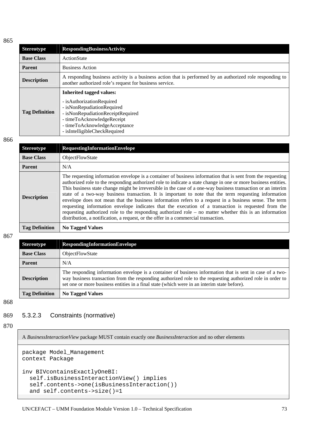| <b>Stereotype</b>     | <b>RespondingBusinessActivity</b>                                                                                                                                                                                                 |  |  |
|-----------------------|-----------------------------------------------------------------------------------------------------------------------------------------------------------------------------------------------------------------------------------|--|--|
| <b>Base Class</b>     | ActionState                                                                                                                                                                                                                       |  |  |
| <b>Parent</b>         | <b>Business Action</b>                                                                                                                                                                                                            |  |  |
| <b>Description</b>    | A responding business activity is a business action that is performed by an authorized role responding to<br>another authorized role's request for business service.                                                              |  |  |
| <b>Tag Definition</b> | <b>Inherited tagged values:</b><br>- is Authorization Required<br>- isNonRepudiationRequired<br>- isNonRepudiationReceiptRequired<br>- timeToAcknowledgeReceipt<br>- timeToAcknowledgeAcceptance<br>- isIntelligibleCheckRequired |  |  |

866

| Stereotype            | <b>RequestingInformationEnvelope</b>                                                                                                                                                                                                                                                                                                                                                                                                                                                                                                                                                                                                                                                                                                                                                                                                                                       |  |  |  |
|-----------------------|----------------------------------------------------------------------------------------------------------------------------------------------------------------------------------------------------------------------------------------------------------------------------------------------------------------------------------------------------------------------------------------------------------------------------------------------------------------------------------------------------------------------------------------------------------------------------------------------------------------------------------------------------------------------------------------------------------------------------------------------------------------------------------------------------------------------------------------------------------------------------|--|--|--|
| <b>Base Class</b>     | <b>ObjectFlowState</b>                                                                                                                                                                                                                                                                                                                                                                                                                                                                                                                                                                                                                                                                                                                                                                                                                                                     |  |  |  |
| Parent                | N/A                                                                                                                                                                                                                                                                                                                                                                                                                                                                                                                                                                                                                                                                                                                                                                                                                                                                        |  |  |  |
| <b>Description</b>    | The requesting information envelope is a container of business information that is sent from the requesting<br>authorized role to the responding authorized role to indicate a state change in one or more business entities.<br>This business state change might be irreversible in the case of a one-way business transaction or an interim<br>state of a two-way business transaction. It is important to note that the term requesting information<br>envelope does not mean that the business information refers to a request in a business sense. The term<br>requesting information envelope indicates that the execution of a transaction is requested from the<br>requesting authorized role to the responding authorized role $-$ no matter whether this is an information<br>distribution, a notification, a request, or the offer in a commercial transaction. |  |  |  |
| <b>Tag Definition</b> | <b>No Tagged Values</b>                                                                                                                                                                                                                                                                                                                                                                                                                                                                                                                                                                                                                                                                                                                                                                                                                                                    |  |  |  |

867

| <b>Stereotype</b>     | <b>RespondingInformationEnvelope</b>                                                                                                                                                                                                                                                                                   |  |
|-----------------------|------------------------------------------------------------------------------------------------------------------------------------------------------------------------------------------------------------------------------------------------------------------------------------------------------------------------|--|
| <b>Base Class</b>     | <b>ObjectFlowState</b>                                                                                                                                                                                                                                                                                                 |  |
| <b>Parent</b>         | N/A                                                                                                                                                                                                                                                                                                                    |  |
| <b>Description</b>    | The responding information envelope is a container of business information that is sent in case of a two-<br>way business transaction from the responding authorized role to the requesting authorized role in order to<br>set one or more business entities in a final state (which were in an interim state before). |  |
| <b>Tag Definition</b> | <b>No Tagged Values</b>                                                                                                                                                                                                                                                                                                |  |

868

#### 869 5.3.2.3 Constraints (normative)

870

A *BusinessInteractionView* package MUST contain exactly one *BusinessInteraction* and no other elements

```
package Model_Management 
context Package 
inv BIVcontainsExactlyOneBI: 
   self.isBusinessInteractionView() implies 
   self.contents->one(isBusinessInteraction()) 
   and self.contents->size()=1
```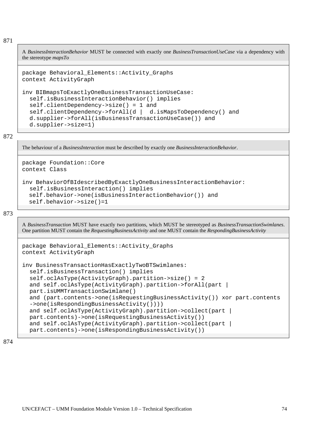A *BusinessInteractionBehavior* MUST be connected with exactly one *BusinessTransactionUseCase* via a dependency with the stereotype *mapsTo*

```
package Behavioral_Elements::Activity_Graphs 
context ActivityGraph
```

```
inv BIBmapsToExactlyOneBusinessTransactionUseCase: 
   self.isBusinessInteractionBehavior() implies 
   self.clientDependency->size() = 1 and 
   self.clientDependency->forAll(d | d.isMapsToDependency() and 
   d.supplier->forAll(isBusinessTransactionUseCase()) and 
   d.supplier->size=1)
```
872

The behaviour of a *BusinessInteraction* must be described by exactly one *BusinessInteractionBehavior*.

```
package Foundation::Core 
context Class
```

```
inv BehaviorOfBIdescribedByExactlyOneBusinessInteractionBehavior: 
   self.isBusinessInteraction() implies 
   self.behavior->one(isBusinessInteractionBehavior()) and 
   self.behavior->size()=1
```
873

A *BusinessTransaction* MUST have exactly two partitions, which MUST be stereotyped as *BusinessTransactionSwimlanes*. One partition MUST contain the *RequestingBusinessActivity* and one MUST contain the *RespondingBusinessActivity*

```
package Behavioral_Elements::Activity_Graphs 
context ActivityGraph 
inv BusinessTransactionHasExactlyTwoBTSwimlanes: 
   self.isBusinessTransaction() implies 
   self.oclAsType(ActivityGraph).partition->size() = 2 
  and self.oclAsType(ActivityGraph).partition->forAll(part |
   part.isUMMTransactionSwimlane() 
   and (part.contents->one(isRequestingBusinessActivity()) xor part.contents 
   ->one(isRespondingBusinessActivity()))) 
  and self.oclAsType(ActivityGraph).partition->collect(part |
   part.contents)->one(isRequestingBusinessActivity()) 
  and self.oclAsType(ActivityGraph).partition->collect(part |
   part.contents)->one(isRespondingBusinessActivity())
```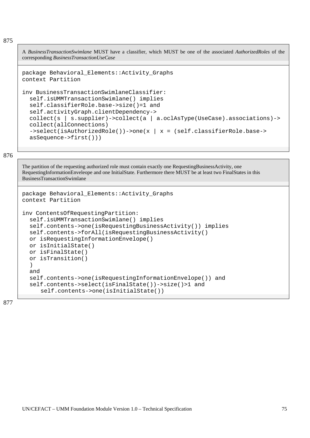A *BusinessTransactionSwimlane* MUST have a classifier, which MUST be one of the associated *AuthorizedRoles* of the corresponding *BusinessTransactionUseCase*

```
package Behavioral_Elements::Activity_Graphs 
context Partition
```

```
inv BusinessTransactionSwimlaneClassifier: 
   self.isUMMTransactionSwimlane() implies 
   self.classifierRole.base->size()=1 and 
   self.activityGraph.clientDependency-> 
   collect(s | s.supplier)->collect(a | a.oclAsType(UseCase).associations)-> 
   collect(allConnections) 
  ->select(isAuthorizedRole())->one(x | x = (self.classifierRole.base->
   asSequence->first()))
```
876

The partition of the requesting authorized role must contain exactly one RequestingBusinessActivity, one RequestingInformationEnveleope and one InitialState. Furthermore there MUST be at least two FinalStates in this BusinessTransactionSwimlane

```
package Behavioral_Elements::Activity_Graphs 
context Partition 
inv ContentsOfRequestingPartition: 
   self.isUMMTransactionSwimlane() implies 
   self.contents->one(isRequestingBusinessActivity()) implies 
   self.contents->forAll(isRequestingBusinessActivity() 
   or isRequestingInformationEnvelope() 
   or isInitialState() 
   or isFinalState() 
   or isTransition() 
   ) 
   and 
   self.contents->one(isRequestingInformationEnvelope()) and 
   self.contents->select(isFinalState())->size()>1 and 
     self.contents->one(isInitialState())
```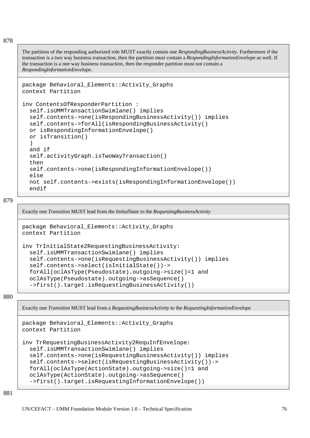The partition of the responding authorized role MUST exactly contain one *RespondingBusinessActivity*. Furthermore if the transaction is a two way business transaction, then the partition must contain a *RespondingInformationEnvelope* as well. If the transaction is a one way business transaction, then the responder partition must not contain a *RespondingInformationEnvelope*.

```
package Behavioral_Elements::Activity_Graphs 
context Partition 
inv ContentsOfResponderPartition : 
   self.isUMMTransactionSwimlane() implies 
   self.contents->one(isRespondingBusinessActivity()) implies 
   self.contents->forAll(isRespondingBusinessActivity() 
   or isRespondingInformationEnvelope() 
   or isTransition() 
   ) 
   and if 
   self.activityGraph.isTwoWayTransaction() 
   then 
   self.contents->one(isRespondingInformationEnvelope()) 
   else 
   not self.contents->exists(isRespondingInformationEnvelope()) 
   endif
```
879

Exactly one *Transition* MUST lead from the *InitialState* to the *RequestingBusinessActivity*

```
package Behavioral_Elements::Activity_Graphs 
context Partition
```

```
inv TrInitialState2RequestingBusinessActivity: 
   self.isUMMTransactionSwimlane() implies 
   self.contents->one(isRequestingBusinessActivity()) implies 
   self.contents->select(isInitialState())-> 
   forAll(oclAsType(Pseudostate).outgoing->size()=1 and 
   oclAsType(Pseudostate).outgoing->asSequence() 
   ->first().target.isRequestingBusinessActivity())
```
880

Exactly one *Transition* MUST lead from a *RequestingBusinessActivity* to the *RequestingInformationEnvelope*

```
package Behavioral_Elements::Activity_Graphs 
context Partition 
inv TrRequestingBusinessActivity2RequInfEnvelope: 
   self.isUMMTransactionSwimlane() implies 
   self.contents->one(isRequestingBusinessActivity()) implies 
   self.contents->select(isRequestingBusinessActivity())-> 
   forAll(oclAsType(ActionState).outgoing->size()=1 and 
   oclAsType(ActionState).outgoing->asSequence() 
   ->first().target.isRequestingInformationEnvelope())
```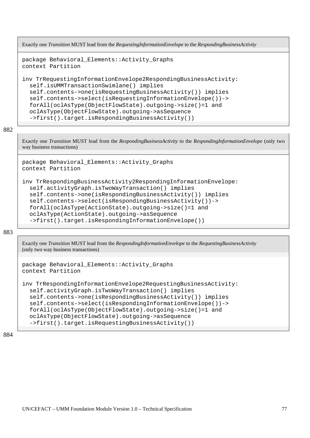```
Exactly one Transition MUST lead from the RequestingInformationEnvelope to the RespondingBusinessActivity
```

```
package Behavioral_Elements::Activity_Graphs 
context Partition
```

```
inv TrRequestingInformationEnvelope2RespondingBusinessActivity: 
   self.isUMMTransactionSwimlane() implies 
   self.contents->one(isRequestingBusinessActivity()) implies 
   self.contents->select(isRequestingInformationEnvelope())-> 
   forAll(oclAsType(ObjectFlowState).outgoing->size()=1 and 
   oclAsType(ObjectFlowState).outgoing->asSequence 
   ->first().target.isRespondingBusinessActivity())
```
Exactly one *Transition* MUST lead from the *RespondingBusinessActivity* to the *RespondingInformationEnvelope* (only two way business transactions)

```
package Behavioral_Elements::Activity_Graphs 
context Partition
```

```
inv TrRespondingBusinessActivity2RespondingInformationEnvelope: 
   self.activityGraph.isTwoWayTransaction() implies 
   self.contents->one(isRespondingBusinessActivity()) implies 
   self.contents->select(isRespondingBusinessActivity())-> 
   forAll(oclAsType(ActionState).outgoing->size()=1 and 
   oclAsType(ActionState).outgoing->asSequence 
   ->first().target.isRespondingInformationEnvelope())
```
883

Exactly one *Transition* MUST lead from the *RespondingInformationEnvelope* to the *RequestingBusinessActivity* (only two way business transactions)

```
package Behavioral_Elements::Activity_Graphs 
context Partition
```

```
inv TrRespondingInformationEnvelope2RequestingBusinessActivity: 
   self.activityGraph.isTwoWayTransaction() implies 
   self.contents->one(isRespondingBusinessActivity()) implies 
   self.contents->select(isRespondingInformationEnvelope())-> 
   forAll(oclAsType(ObjectFlowState).outgoing->size()=1 and 
   oclAsType(ObjectFlowState).outgoing->asSequence 
   ->first().target.isRequestingBusinessActivity())
```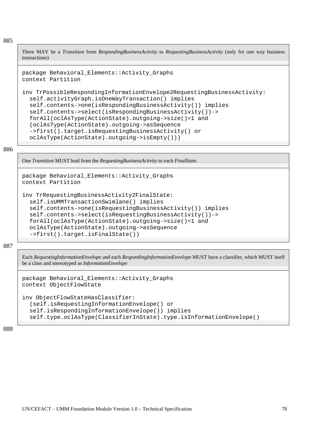There MAY be a *Transition* from *RespondingBusinessActivity* to *RequestingBusinessActivity* (only for one way business transactions)

```
package Behavioral_Elements::Activity_Graphs 
context Partition
```

```
inv TrPossibleRespondingInformationEnvelope2RequestingBusinessActivity: 
   self.activityGraph.isOneWayTransaction() implies 
   self.contents->one(isRespondingBusinessActivity()) implies 
   self.contents->select(isRespondingBusinessActivity())-> 
   forAll(oclAsType(ActionState).outgoing->size()=1 and 
   (oclAsType(ActionState).outgoing->asSequence 
   ->first().target.isRequestingBusinessActivity() or 
   oclAsType(ActionState).outgoing->isEmpty()))
```
886

One *Transition* MUST lead from the *RequestingBusinessActivity* to each *FinalState*.

```
package Behavioral_Elements::Activity_Graphs 
context Partition
```

```
inv TrRequestingBusinessActivity2FinalState: 
   self.isUMMTransactionSwimlane() implies 
   self.contents->one(isRequestingBusinessActivity()) implies 
   self.contents->select(isRequestingBusinessActivity())-> 
   forAll(oclAsType(ActionState).outgoing->size()=1 and 
   oclAsType(ActionState).outgoing->asSequence 
   ->first().target.isFinalState())
```
887

Each *RequestingInformationEnvelope* and each *RespondingInformationEnvelope* MUST have a classifier, which MUST itself be a class and stereotyped as *InformationEnvelope*

```
package Behavioral_Elements::Activity_Graphs 
context ObjectFlowState
```

```
inv ObjectFlowStateHasClassifier: 
   (self.isRequestingInformationEnvelope() or 
   self.isRespondingInformationEnvelope()) implies 
   self.type.oclAsType(ClassifierInState).type.isInformationEnvelope()
```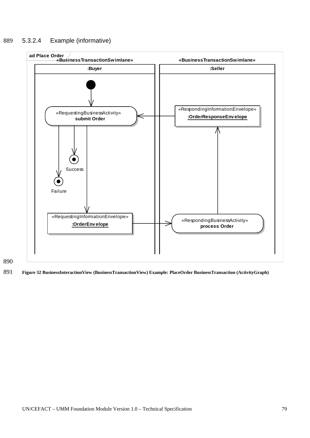# 889 5.3.2.4 Example (informative)



890

891 **Figure 32 BusinessInteractionView (BusinessTransactionView) Example: PlaceOrder BusinessTransaction (ActivityGraph)**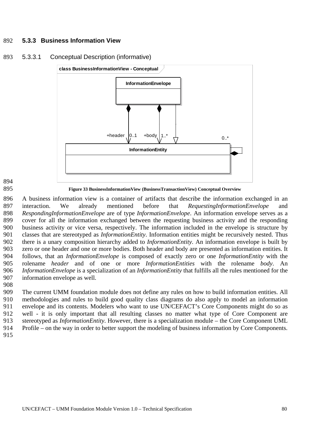# 892 **5.3.3 Business Information View**



# 893 5.3.3.1 Conceptual Description (informative)

894 895

**Figure 33 BusinessInformationView (BusinessTransactionView) Conceptual Overview** 

896 897 898 899 900 901 902 903 904 905 906 907 A business information view is a container of artifacts that describe the information exchanged in an interaction. We already mentioned before that *RequestingInformationEnvelope* and *RespondingInformationEnvelope* are of type *InformationEnvelope*. An information envelope serves as a cover for all the information exchanged between the requesting business activity and the responding business activity or vice versa, respectively. The information included in the envelope is structure by classes that are stereotyped as *InformationEntity*. Information entities might be recursively nested. Thus there is a unary composition hierarchy added to *InformationEntity*. An information envelope is built by zero or one header and one or more bodies. Both header and body are presented as information entities. It follows, that an *InformationEnvelope* is composed of exactly zero or one *InformationEntity* with the rolename *header* and of one or more *InformationEntities* with the rolename *body*. An *InformationEnvelope* is a specialization of an *InformationEntity* that fulfills all the rules mentioned for the information envelope as well.

908

909 910 911 912 913 914 The current UMM foundation module does not define any rules on how to build information entities. All methodologies and rules to build good quality class diagrams do also apply to model an information envelope and its contents. Modelers who want to use UN/CEFACT's Core Components might do so as well - it is only important that all resulting classes no matter what type of Core Component are stereotyped as *InformationEntity*. However, there is a specialization module – the Core Component UML Profile – on the way in order to better support the modeling of business information by Core Components.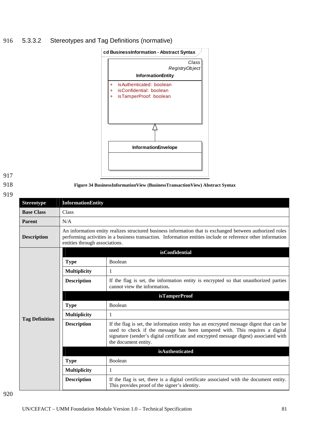# 916 5.3.3.2 Stereotypes and Tag Definitions (normative)



**Figure 34 BusinessInformationView (BusinessTransactionView) Abstract Syntax**

917

918

919

| <b>Stereotype</b>     | <b>InformationEntity</b>                                                                                                                                                                                                                                    |                                                                                                                                                                                                                                                                                         |  |
|-----------------------|-------------------------------------------------------------------------------------------------------------------------------------------------------------------------------------------------------------------------------------------------------------|-----------------------------------------------------------------------------------------------------------------------------------------------------------------------------------------------------------------------------------------------------------------------------------------|--|
| <b>Base Class</b>     | Class                                                                                                                                                                                                                                                       |                                                                                                                                                                                                                                                                                         |  |
| <b>Parent</b>         | N/A                                                                                                                                                                                                                                                         |                                                                                                                                                                                                                                                                                         |  |
| <b>Description</b>    | An information entity realizes structured business information that is exchanged between authorized roles<br>performing activities in a business transaction. Information entities include or reference other information<br>entities through associations. |                                                                                                                                                                                                                                                                                         |  |
|                       | isConfidential                                                                                                                                                                                                                                              |                                                                                                                                                                                                                                                                                         |  |
|                       | <b>Type</b>                                                                                                                                                                                                                                                 | Boolean                                                                                                                                                                                                                                                                                 |  |
|                       | <b>Multiplicity</b>                                                                                                                                                                                                                                         | 1                                                                                                                                                                                                                                                                                       |  |
|                       | <b>Description</b>                                                                                                                                                                                                                                          | If the flag is set, the information entity is encrypted so that unauthorized parties<br>cannot view the information.                                                                                                                                                                    |  |
|                       |                                                                                                                                                                                                                                                             | <b>isTamperProof</b>                                                                                                                                                                                                                                                                    |  |
|                       | <b>Type</b>                                                                                                                                                                                                                                                 | <b>Boolean</b>                                                                                                                                                                                                                                                                          |  |
|                       | <b>Multiplicity</b>                                                                                                                                                                                                                                         | 1                                                                                                                                                                                                                                                                                       |  |
| <b>Tag Definition</b> | <b>Description</b>                                                                                                                                                                                                                                          | If the flag is set, the information entity has an encrypted message digest that can be<br>used to check if the message has been tampered with. This requires a digital<br>signature (sender's digital certificate and encrypted message digest) associated with<br>the document entity. |  |
|                       |                                                                                                                                                                                                                                                             | isAuthenticated                                                                                                                                                                                                                                                                         |  |
|                       | <b>Type</b>                                                                                                                                                                                                                                                 | Boolean                                                                                                                                                                                                                                                                                 |  |
|                       | <b>Multiplicity</b>                                                                                                                                                                                                                                         | 1                                                                                                                                                                                                                                                                                       |  |

**Description** If the flag is set, there is a digital certificate associated with the document entity.

This provides proof of the signer's identity.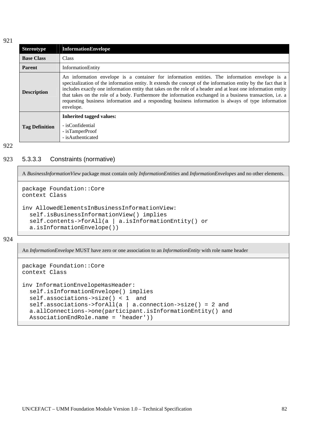| <b>Stereotype</b>     | <b>InformationEnvelope</b>                                                                                                                                                                                                                                                                                                                                                                                                                                                                                                                                           |
|-----------------------|----------------------------------------------------------------------------------------------------------------------------------------------------------------------------------------------------------------------------------------------------------------------------------------------------------------------------------------------------------------------------------------------------------------------------------------------------------------------------------------------------------------------------------------------------------------------|
| <b>Base Class</b>     | <b>Class</b>                                                                                                                                                                                                                                                                                                                                                                                                                                                                                                                                                         |
| <b>Parent</b>         | InformationEntity                                                                                                                                                                                                                                                                                                                                                                                                                                                                                                                                                    |
| <b>Description</b>    | An information envelope is a container for information entities. The information envelope is a<br>specizalization of the information entity. It extends the concept of the information entity by the fact that it<br>includes exactly one information entity that takes on the role of a header and at least one information entity<br>that takes on the role of a body. Furthermore the information exchanged in a business transaction, i.e. a<br>requesting business information and a responding business information is always of type information<br>envelope. |
| <b>Tag Definition</b> | Inherited tagged values:<br>- isConfidential<br>- isTamperProof<br>- isAuthenticated                                                                                                                                                                                                                                                                                                                                                                                                                                                                                 |

#### 922

### 923 5.3.3.3 Constraints (normative)

A *BusinessInformationView* package must contain only *InformationEntities* and *InformationEnvelopes* and no other elements*.*

```
package Foundation::Core 
context Class
```

```
inv AllowedElementsInBusinessInformationView: 
   self.isBusinessInformationView() implies 
   self.contents->forAll(a | a.isInformationEntity() or 
   a.isInformationEnvelope())
```
924

An *InformationEnvelope* MUST have zero or one association to an *InformationEntity* with role name header

```
package Foundation::Core 
context Class 
inv InformationEnvelopeHasHeader: 
   self.isInformationEnvelope() implies 
   self.associations->size() < 1 and 
   self.associations->forAll(a | a.connection->size() = 2 and 
   a.allConnections->one(participant.isInformationEntity() and 
   AssociationEndRole.name = 'header'))
```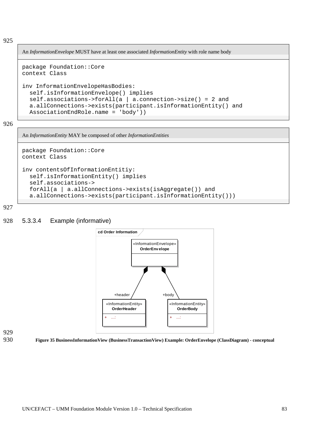An *InformationEnvelope* MUST have at least one associated *InformationEntity* with role name body

```
package Foundation::Core 
context Class
```

```
inv InformationEnvelopeHasBodies: 
   self.isInformationEnvelope() implies 
   self.associations->forAll(a | a.connection->size() = 2 and 
   a.allConnections->exists(participant.isInformationEntity() and 
   AssociationEndRole.name = 'body'))
```
926

An *InformationEntity* MAY be composed of other *InformationEntities*

```
package Foundation::Core 
context Class 
inv contentsOfInformationEntitiy: 
   self.isInformationEntity() implies 
   self.associations-> 
   forAll(a | a.allConnections->exists(isAggregate()) and 
   a.allConnections->exists(participant.isInformationEntity()))
```
927

# 928 5.3.3.4 Example (informative)



929 930

**Figure 35 BusinessInformationView (BusinessTransactionView) Example: OrderEnvelope (ClassDiagram) - conceptual**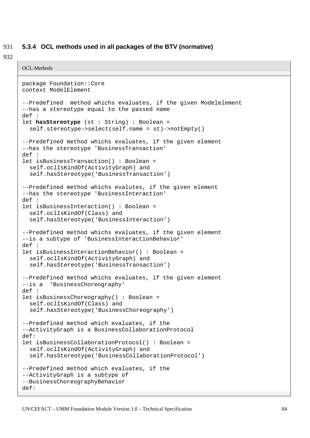#### 931 **5.3.4 OCL methods used in all packages of the BTV (normative)**

```
OCL-Methods 
package Foundation::Core 
context ModelElement 
--Predefined method whichs evaluates, if the given Modelelement 
--has a stereotype equal to the passed name 
def : 
let hasStereotype (st : String) : Boolean = 
   self.stereotype->select(self.name = st)->notEmpty() 
--Predefined method whichs evaluates, if the given element 
--has the stereotype 'BusinessTransaction' 
def : 
let isBusinessTransaction() : Boolean = 
   self.oclIsKindOf(ActivityGraph) and 
   self.hasStereotype('BusinessTransaction') 
--Predefined method whichs evalutes, if the given element 
--has the stereotype 'BusinessInteraction' 
def : 
let isBusinessInteraction() : Boolean = 
   self.oclIsKindOf(Class) and 
   self.hasStereotype('BusinessInteraction') 
--Predefined method whichs evaluates, if the given element 
--is a subtype of 'BusinessInteractionBehavior' 
def : 
let isBusinessInteractionBehavior() : Boolean = 
   self.oclIsKindOf(ActivityGraph) and 
   self.hasStereotype('BusinessTransaction') 
--Predefined method whichs evaluates, if the given element 
--is a 'BusinessChoreography' 
def : 
let isBusinessChoreography() : Boolean = 
   self.oclIsKindOf(Class) and 
   self.hasStereotype('BusinessChoreography') 
--Predefined method which evaluates, if the 
--ActivityGraph is a BusinessCollaborationProtocol 
def: 
let isBusinessCollaborationProtocol() : Boolean = 
   self.oclIsKindOf(ActivityGraph) and 
   self.hasStereotype('BusinessCollaborationProtocol') 
--Predefined method which evaluates, if the 
--ActivityGraph is a subtype of 
--BusinessChoreographyBehavior 
def:
```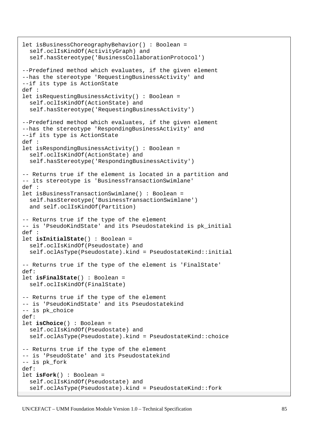```
let isBusinessChoreographyBehavior() : Boolean = 
   self.oclIsKindOf(ActivityGraph) and 
   self.hasStereotype('BusinessCollaborationProtocol') 
--Predefined method which evaluates, if the given element 
--has the stereotype 'RequestingBusinessActivity' and 
--if its type is ActionState 
def : 
let isRequestingBusinessActivity() : Boolean = 
   self.oclIsKindOf(ActionState) and 
   self.hasStereotype('RequestingBusinessActivity') 
--Predefined method which evaluates, if the given element 
--has the stereotype 'RespondingBusinessActivity' and 
--if its type is ActionState 
def : 
let isRespondingBusinessActivity() : Boolean = 
   self.oclIsKindOf(ActionState) and 
   self.hasStereotype('RespondingBusinessActivity') 
-- Returns true if the element is located in a partition and 
-- its stereotype is 'BusinessTransactionSwimlane' 
def : 
let isBusinessTransactionSwimlane() : Boolean = 
   self.hasStereotype('BusinessTransactionSwimlane') 
   and self.oclIsKindOf(Partition) 
-- Returns true if the type of the element 
-- is 'PseudoKindState' and its Pseudostatekind is pk_initial 
def : 
let isInitialState() : Boolean = 
   self.oclIsKindOf(Pseudostate) and 
   self.oclAsType(Pseudostate).kind = PseudostateKind::initial 
-- Returns true if the type of the element is 'FinalState' 
def: 
let isFinalState() : Boolean = 
   self.oclIsKindOf(FinalState) 
-- Returns true if the type of the element 
-- is 'PseudoKindState' and its Pseudostatekind 
-- is pk_choice 
def: 
let isChoice() : Boolean = 
   self.oclIsKindOf(Pseudostate) and 
   self.oclAsType(Pseudostate).kind = PseudostateKind::choice 
-- Returns true if the type of the element 
-- is 'PseudoState' and its Pseudostatekind 
-- is pk_fork 
def: 
let isFork() : Boolean = 
   self.oclIsKindOf(Pseudostate) and 
   self.oclAsType(Pseudostate).kind = PseudostateKind::fork
```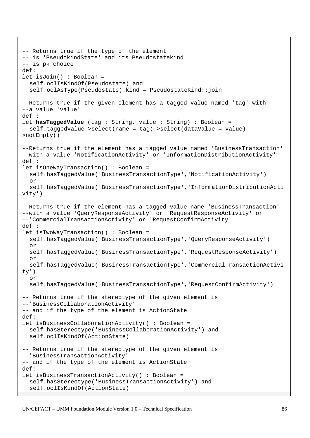```
-- Returns true if the type of the element 
-- is 'PseudokindState' and its Pseudostatekind 
-- is pk_choice 
def:
let isJoin() : Boolean = 
   self.oclIsKindOf(Pseudostate) and 
   self.oclAsType(Pseudostate).kind = PseudostateKind::join 
--Returns true if the given element has a tagged value named 'tag' with 
--a value 'value' 
def : 
let hasTaggedValue (tag : String, value : String) : Boolean = 
   self.taggedValue->select(name = tag)->select(dataValue = value)-
>notEmpty() 
--Returns true if the element has a tagged value named 'BusinessTransaction' 
--with a value 'NotificationActivity' or 'InformationDistributionActivity' 
def : 
let isOneWayTransaction() : Boolean = 
   self.hasTaggedValue('BusinessTransactionType','NotificationActivity') 
   or 
   self.hasTaggedValue('BusinessTransactionType','InformationDistributionActi
vity') 
--Returns true if the element has a tagged value name 'BusinessTransaction' 
--with a value 'QueryResponseActivity' or 'RequestResponseActivity' or 
--'CommercialTransactionActivity' or 'RequestConfirmActivity' 
def : 
let isTwoWayTransaction() : Boolean = 
   self.hasTaggedValue('BusinessTransactionType','QueryResponseActivity') 
   or 
   self.hasTaggedValue('BusinessTransactionType','RequestResponseActivity') 
   or 
   self.hasTaggedValue('BusinessTransactionType','CommercialTransactionActivi
ty') 
   or 
   self.hasTaggedValue('BusinessTransactionType','RequestConfirmActivity') 
-- Returns true if the stereotype of the given element is 
--'BusinessCollaborationActivity' 
-- and if the type of the element is ActionState 
def: 
let isBusinessCollaborationActivity() : Boolean = 
   self.hasStereotype('BusinessCollaborationActivity') and 
   self.oclIsKindOf(ActionState) 
-- Returns true if the stereotype of the given element is 
--'BusinessTransactionActivity' 
-- and if the type of the element is ActionState 
def: 
let isBusinessTransactionActivity() : Boolean = 
   self.hasStereotype('BusinessTransactionActivity') and 
   self.oclIsKindOf(ActionState)
```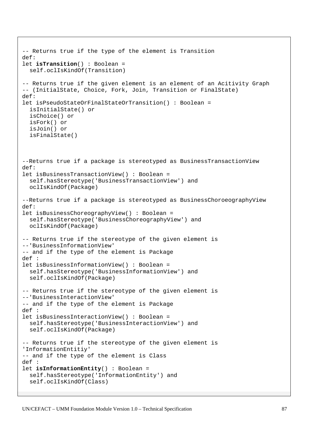```
-- Returns true if the type of the element is Transition 
def: 
let isTransition() : Boolean = 
   self.oclIsKindOf(Transition) 
-- Returns true if the given element is an element of an Acitivity Graph 
-- (InitialState, Choice, Fork, Join, Transition or FinalState) 
def: 
let isPseudoStateOrFinalStateOrTransition() : Boolean = 
   isInitialState() or 
   isChoice() or 
   isFork() or 
   isJoin() or 
   isFinalState() 
--Returns true if a package is stereotyped as BusinessTransactionView 
def: 
let isBusinessTransactionView() : Boolean = 
   self.hasStereotype('BusinessTransactionView') and 
   oclIsKindOf(Package) 
--Returns true if a package is stereotyped as BusinessChoroeographyView 
def: 
let isBusinessChoreographyView() : Boolean = 
   self.hasStereotype('BusinessChoreographyView') and 
   oclIsKindOf(Package) 
-- Returns true if the stereotype of the given element is 
--'BusinessInformationView' 
-- and if the type of the element is Package 
def : 
let isBusinessInformationView() : Boolean = 
   self.hasStereotype('BusinessInformationView') and 
   self.oclIsKindOf(Package) 
-- Returns true if the stereotype of the given element is 
--'BusinessInteractionView' 
-- and if the type of the element is Package 
def : 
let isBusinessInteractionView() : Boolean = 
   self.hasStereotype('BusinessInteractionView') and 
   self.oclIsKindOf(Package) 
-- Returns true if the stereotype of the given element is 
'InformationEntitiy' 
-- and if the type of the element is Class 
def : 
let isInformationEntity() : Boolean = 
   self.hasStereotype('InformationEntity') and 
   self.oclIsKindOf(Class)
```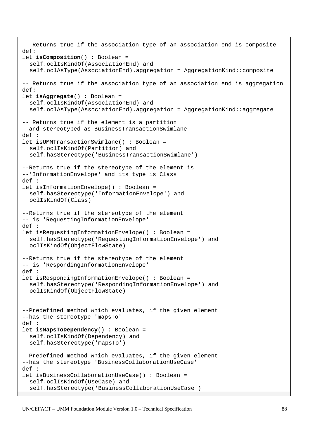```
-- Returns true if the association type of an association end is composite 
def: 
let isComposition() : Boolean = 
   self.oclIsKindOf(AssociationEnd) and 
   self.oclAsType(AssociationEnd).aggregation = AggregationKind::composite 
-- Returns true if the association type of an association end is aggregation 
def: 
let isAggregate() : Boolean = 
   self.oclIsKindOf(AssociationEnd) and 
   self.oclAsType(AssociationEnd).aggregation = AggregationKind::aggregate 
-- Returns true if the element is a partition 
--and stereotyped as BusinessTransactionSwimlane 
def : 
let isUMMTransactionSwimlane() : Boolean = 
   self.oclIsKindOf(Partition) and 
   self.hasStereotype('BusinessTransactionSwimlane') 
--Returns true if the stereotype of the element is 
--'InformationEnvelope' and its type is Class 
def : 
let isInformationEnvelope() : Boolean = 
   self.hasStereotype('InformationEnvelope') and 
   oclIsKindOf(Class) 
--Returns true if the stereotype of the element 
-- is 'RequestingInformationEnvelope' 
def : 
let isRequestingInformationEnvelope() : Boolean = 
   self.hasStereotype('RequestingInformationEnvelope') and 
   oclIsKindOf(ObjectFlowState) 
--Returns true if the stereotype of the element 
-- is 'RespondingInformationEnvelope' 
def : 
let isRespondingInformationEnvelope() : Boolean = 
   self.hasStereotype('RespondingInformationEnvelope') and 
   oclIsKindOf(ObjectFlowState) 
--Predefined method which evaluates, if the given element 
--has the stereotype 'mapsTo' 
def : 
let isMapsToDependency() : Boolean = 
   self.oclIsKindOf(Dependency) and 
   self.hasStereotype('mapsTo') 
--Predefined method which evaluates, if the given element 
--has the stereotype 'BusinessCollaborationUseCase' 
def : 
let isBusinessCollaborationUseCase() : Boolean = 
   self.oclIsKindOf(UseCase) and 
   self.hasStereotype('BusinessCollaborationUseCase')
```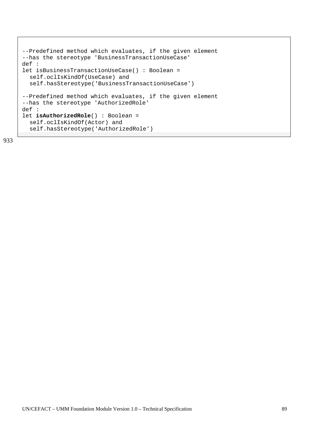```
--Predefined method which evaluates, if the given element 
--has the stereotype 'BusinessTransactionUseCase' 
def : 
let isBusinessTransactionUseCase() : Boolean = 
   self.oclIsKindOf(UseCase) and 
   self.hasStereotype('BusinessTransactionUseCase') 
--Predefined method which evaluates, if the given element 
--has the stereotype 'AuthorizedRole' 
def : 
let isAuthorizedRole() : Boolean = 
   self.oclIsKindOf(Actor) and 
   self.hasStereotype('AuthorizedRole')
```